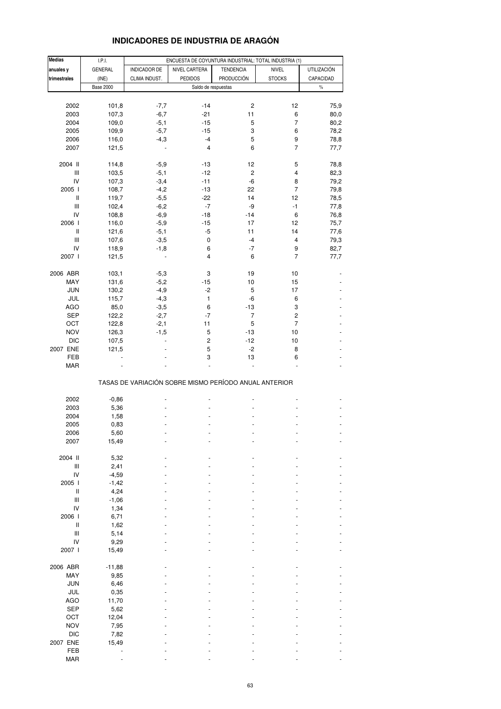| <b>Medias</b>                      | I.P.I.           |               |                                                       |                     | ENCUESTA DE COYUNTURA INDUSTRIAL: TOTAL INDUSTRIA (1) |             |
|------------------------------------|------------------|---------------|-------------------------------------------------------|---------------------|-------------------------------------------------------|-------------|
|                                    |                  |               |                                                       |                     |                                                       | UTILIZACIÓN |
| anuales y                          | <b>GENERAL</b>   | INDICADOR DE  | NIVEL CARTERA                                         | <b>TENDENCIA</b>    | NIVEL                                                 |             |
| trimestrales                       | (INE)            | CLIMA INDUST. | <b>PEDIDOS</b>                                        | PRODUCCIÓN          | <b>STOCKS</b>                                         | CAPACIDAD   |
|                                    | <b>Base 2000</b> |               |                                                       | Saldo de respuestas |                                                       | $\%$        |
| 2002                               | 101,8            | $-7,7$        | $-14$                                                 | 2                   | 12                                                    | 75,9        |
|                                    |                  |               |                                                       |                     |                                                       |             |
| 2003                               | 107,3            | $-6,7$        | $-21$                                                 | 11                  | 6                                                     | 80,0        |
| 2004                               | 109,0            | $-5,1$        | $-15$                                                 | 5                   | $\overline{7}$                                        | 80,2        |
| 2005                               | 109,9            | $-5,7$        | $-15$                                                 | 3                   | 6                                                     | 78,2        |
| 2006                               | 116,0            | $-4,3$        | $-4$                                                  | 5                   | 9                                                     | 78,8        |
| 2007                               | 121,5            |               | $\overline{\mathbf{4}}$                               | 6                   | $\overline{7}$                                        | 77,7        |
| 2004 II                            | 114,8            | $-5,9$        | $-13$                                                 | 12                  | 5                                                     | 78,8        |
|                                    |                  |               |                                                       |                     |                                                       |             |
| Ш                                  | 103,5            | $-5,1$        | $-12$                                                 | $\sqrt{2}$          | $\overline{\mathbf{4}}$                               | 82,3        |
| IV                                 | 107,3            | $-3,4$        | $-11$                                                 | $-6$                | 8                                                     | 79,2        |
| 2005 l                             | 108,7            | $-4,2$        | $-13$                                                 | 22                  | 7                                                     | 79,8        |
| Ш                                  | 119,7            | $-5,5$        | $-22$                                                 | 14                  | 12                                                    | 78,5        |
| $\ensuremath{\mathsf{III}}\xspace$ | 102,4            | $-6,2$        | $-7$                                                  | -9                  | $-1$                                                  | 77,8        |
| IV                                 | 108,8            | $-6,9$        | $-18$                                                 | $-14$               | 6                                                     | 76,8        |
|                                    |                  |               | $-15$                                                 |                     |                                                       |             |
| 2006                               | 116,0            | $-5,9$        |                                                       | 17                  | 12                                                    | 75,7        |
| Ш                                  | 121,6            | $-5,1$        | $-5$                                                  | 11                  | 14                                                    | 77,6        |
| $\ensuremath{\mathsf{III}}\xspace$ | 107,6            | $-3,5$        | 0                                                     | $-4$                | $\overline{\mathbf{4}}$                               | 79,3        |
| IV                                 | 118,9            | $-1,8$        | 6                                                     | $-7$                | 9                                                     | 82,7        |
| 2007 l                             | 121,5            |               | $\overline{4}$                                        | 6                   | 7                                                     | 77,7        |
|                                    |                  |               |                                                       |                     |                                                       |             |
| 2006 ABR                           | 103,1            | $-5,3$        | 3                                                     | 19                  | 10                                                    |             |
| MAY                                | 131,6            | $-5,2$        | $-15$                                                 | 10                  | 15                                                    |             |
| <b>JUN</b>                         | 130,2            | $-4,9$        | $-2$                                                  | 5                   | 17                                                    |             |
| JUL                                | 115,7            | $-4,3$        | 1                                                     | $-6$                | 6                                                     |             |
| AGO                                | 85,0             | $-3,5$        | 6                                                     | $-13$               | 3                                                     |             |
| <b>SEP</b>                         | 122,2            | $-2,7$        | $-7$                                                  | 7                   | $\overline{c}$                                        |             |
|                                    |                  |               |                                                       |                     |                                                       |             |
| OCT                                | 122,8            | $-2,1$        | 11                                                    | $\mathbf 5$         | $\overline{7}$                                        |             |
| <b>NOV</b>                         | 126,3            | $-1,5$        | 5                                                     | $-13$               | 10                                                    |             |
| <b>DIC</b>                         | 107,5            |               | $\overline{c}$                                        | $-12$               | 10                                                    |             |
| 2007 ENE                           | 121,5            |               | 5                                                     | $-2$                | 8                                                     |             |
| FEB                                |                  |               | 3                                                     | 13                  | 6                                                     |             |
|                                    |                  |               |                                                       |                     |                                                       |             |
| MAR                                |                  |               |                                                       |                     |                                                       |             |
|                                    |                  |               | TASAS DE VARIACIÓN SOBRE MISMO PERÍODO ANUAL ANTERIOR |                     |                                                       |             |
| 2002                               | $-0,86$          |               |                                                       |                     |                                                       |             |
| 2003                               | 5,36             |               |                                                       |                     |                                                       |             |
|                                    |                  |               |                                                       |                     |                                                       |             |
| 2004                               | 1,58             |               |                                                       |                     |                                                       |             |
| 2005                               | 0,83             |               |                                                       |                     |                                                       |             |
| 2006                               | 5,60             |               |                                                       |                     |                                                       |             |
| 2007                               | 15,49            |               |                                                       |                     |                                                       |             |
| 2004 II                            | 5,32             |               |                                                       |                     |                                                       |             |
| $\ensuremath{\mathsf{III}}\xspace$ | 2,41             |               |                                                       |                     |                                                       |             |
|                                    |                  |               |                                                       |                     |                                                       |             |
| IV                                 | $-4,59$          |               |                                                       |                     |                                                       |             |
| 2005 l                             | $-1,42$          |               |                                                       |                     |                                                       |             |
| $\, \parallel$                     | 4,24             |               |                                                       |                     |                                                       |             |
| $\mathbf{III}$                     | $-1,06$          |               |                                                       |                     |                                                       |             |
| IV                                 | 1,34             |               |                                                       |                     |                                                       |             |
| 2006                               | 6,71             |               |                                                       |                     |                                                       |             |
|                                    |                  |               |                                                       |                     |                                                       |             |
| $\, \parallel$                     | 1,62             |               |                                                       |                     |                                                       |             |
| $\mathbf{III}$                     | 5,14             |               |                                                       |                     |                                                       |             |
| IV                                 | 9,29             |               |                                                       |                     |                                                       |             |
| 2007 l                             | 15,49            |               |                                                       |                     |                                                       |             |
| 2006 ABR                           | $-11,88$         |               |                                                       |                     |                                                       |             |
| MAY                                | 9,85             |               |                                                       |                     |                                                       |             |
|                                    |                  |               |                                                       |                     |                                                       |             |
| <b>JUN</b>                         | 6,46             |               |                                                       |                     |                                                       |             |
| JUL                                | 0,35             |               |                                                       |                     |                                                       |             |
| <b>AGO</b>                         | 11,70            |               |                                                       |                     |                                                       |             |
| <b>SEP</b>                         | 5,62             |               |                                                       |                     |                                                       |             |
| OCT                                | 12,04            |               |                                                       |                     |                                                       |             |
|                                    |                  |               |                                                       |                     |                                                       |             |
| <b>NOV</b>                         | 7,95             |               |                                                       |                     |                                                       |             |
| <b>DIC</b>                         | 7,82             |               |                                                       |                     |                                                       |             |
| 2007 ENE                           | 15,49            |               |                                                       |                     |                                                       |             |
| FEB                                |                  |               |                                                       |                     |                                                       |             |

# **INDICADORES DE INDUSTRIA DE ARAGÓN**

MAR - - - - - -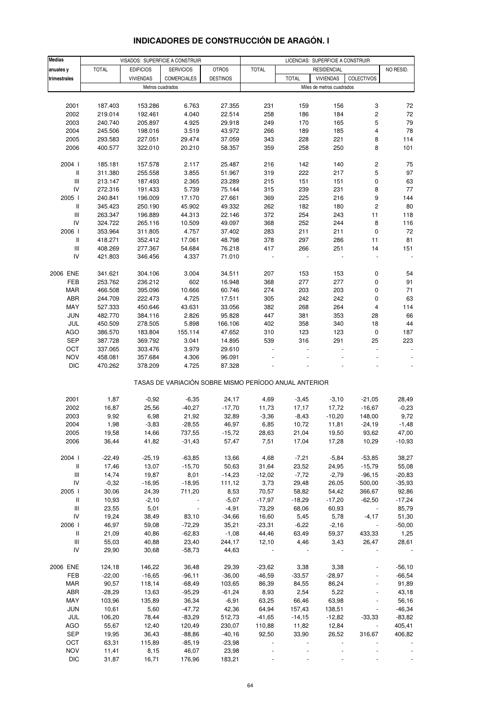| <b>Medias</b>                      |              |                  | VISADOS: SUPERFICIE A CONSTRUIR                       |                 |              |              | LICENCIAS: SUPERFICIE A CONSTRUIR |                          |                |
|------------------------------------|--------------|------------------|-------------------------------------------------------|-----------------|--------------|--------------|-----------------------------------|--------------------------|----------------|
| anuales y                          | <b>TOTAL</b> | <b>EDIFICIOS</b> | <b>SERVICIOS</b>                                      | <b>OTROS</b>    | <b>TOTAL</b> |              | <b>RESIDENCIAL</b>                |                          | NO RESID.      |
| trimestrales                       |              | <b>VIVIENDAS</b> | <b>COMERCIALES</b>                                    | <b>DESTINOS</b> |              | <b>TOTAL</b> | <b>VIVIENDAS</b>                  | <b>COLECTIVOS</b>        |                |
|                                    |              | Metros cuadrados |                                                       |                 |              |              | Miles de metros cuadrados         |                          |                |
|                                    |              |                  |                                                       |                 |              |              |                                   |                          |                |
| 2001                               | 187.403      | 153.286          | 6.763                                                 | 27.355          | 231          | 159          | 156                               | 3                        | 72             |
| 2002                               | 219.014      | 192.461          | 4.040                                                 | 22.514          | 258          | 186          | 184                               | $\overline{c}$           | 72             |
| 2003                               | 240.740      | 205.897          | 4.925                                                 | 29.918          | 249          | 170          | 165                               | 5                        | 79             |
| 2004                               | 245.506      | 198.016          | 3.519                                                 | 43.972          | 266          | 189          | 185                               | 4                        | 78             |
| 2005                               | 293.583      | 227.051          | 29.474                                                | 37.059          | 343          | 228          | 221                               | 8                        | 114            |
| 2006                               | 400.577      | 322.010          | 20.210                                                | 58.357          | 359          | 258          | 250                               | 8                        | 101            |
|                                    |              |                  |                                                       |                 |              |              |                                   |                          |                |
| 2004 l                             | 185.181      | 157.578          | 2.117                                                 | 25.487          | 216          | 142          | 140                               | 2                        | 75             |
| $\, \parallel$                     | 311.380      | 255.558          | 3.855                                                 | 51.967          | 319          | 222          | 217                               | 5                        | 97             |
| Ш                                  | 213.147      | 187.493          | 2.365                                                 | 23.289          | 215          | 151          | 151                               | 0                        | 63             |
| IV                                 | 272.316      | 191.433          | 5.739                                                 | 75.144          | 315          | 239          | 231                               | 8                        | 77             |
| 2005 l                             | 240.841      | 196.009          | 17.170                                                | 27.661          | 369          | 225          | 216                               | 9                        | 144            |
| Ш                                  | 345.423      | 250.190          | 45.902                                                | 49.332          | 262          | 182          | 180                               | $\overline{\mathbf{c}}$  | 80             |
| $\ensuremath{\mathsf{III}}\xspace$ | 263.347      | 196.889          | 44.313                                                | 22.146          | 372          | 254          | 243                               | 11                       | 118            |
| IV                                 | 324.722      | 265.116          | 10.509                                                | 49.097          | 368          | 252          | 244                               | 8                        | 116            |
| 2006                               | 353.964      | 311.805          | 4.757                                                 | 37.402          | 283          | 211          | 211                               | $\pmb{0}$                | 72             |
| Ш                                  | 418.271      | 352.412          | 17.061                                                | 48.798          | 378          | 297          | 286                               | 11                       | 81             |
| $\ensuremath{\mathsf{III}}\xspace$ | 408.269      | 277.367          | 54.684                                                | 76.218          | 417          | 266          | 251                               | 14                       | 151            |
| IV                                 | 421.803      | 346.456          | 4.337                                                 | 71.010          |              |              |                                   |                          |                |
|                                    |              |                  |                                                       |                 |              |              |                                   |                          |                |
| 2006 ENE                           | 341.621      | 304.106          | 3.004                                                 | 34.511          | 207          | 153          | 153                               | 0                        | 54             |
| FEB                                | 253.762      | 236.212          | 602                                                   | 16.948          | 368          | 277          | 277                               | 0                        | 91             |
| <b>MAR</b>                         | 466.508      | 395.096          | 10.666                                                | 60.746          | 274          | 203          | 203                               | 0                        | 71             |
| ABR                                | 244.709      | 222.473          | 4.725                                                 | 17.511          | 305          | 242          | 242                               | 0                        | 63             |
| MAY                                | 527.333      | 450.646          | 43.631                                                | 33.056          | 382          | 268          | 264                               | 4                        | 114            |
| <b>JUN</b>                         | 482.770      | 384.116          | 2.826                                                 | 95.828          | 447          | 381          | 353                               | 28                       | 66             |
| JUL                                | 450.509      | 278.505          | 5.898                                                 | 166.106         | 402          | 358          | 340                               | 18                       | 44             |
| <b>AGO</b>                         | 386.570      | 183.804          | 155.114                                               | 47.652          | 310          | 123          | 123                               | 0                        | 187            |
| <b>SEP</b>                         | 387.728      | 369.792          | 3.041                                                 | 14.895          | 539          | 316          | 291                               | 25                       | 223            |
| OCT                                | 337.065      | 303.476          | 3.979                                                 | 29.610          |              |              |                                   |                          | $\blacksquare$ |
| <b>NOV</b>                         | 458.081      | 357.684          | 4.306                                                 | 96.091          |              |              |                                   |                          |                |
| <b>DIC</b>                         | 470.262      | 378.209          | 4.725                                                 | 87.328          |              |              |                                   |                          |                |
|                                    |              |                  | TASAS DE VARIACIÓN SOBRE MISMO PERÍODO ANUAL ANTERIOR |                 |              |              |                                   |                          |                |
|                                    |              |                  |                                                       |                 |              |              |                                   |                          |                |
| 2001                               | 1,87         | $-0,92$          | $-6,35$                                               | 24,17           | 4,69         | $-3,45$      | $-3,10$                           | $-21,05$                 | 28,49          |
| 2002                               | 16,87        | 25,56            | $-40,27$                                              | $-17,70$        | 11,73        | 17,17        | 17,72                             | $-16,67$                 | $-0,23$        |
| 2003                               | 9,92         | 6,98             | 21,92                                                 | 32,89           | $-3,36$      | $-8,43$      | $-10,20$                          | 148,00                   | 9,72           |
| 2004                               | 1,98         | $-3,83$          | $-28,55$                                              | 46,97           | 6,85         | 10,72        | 11,81                             | $-24,19$                 | $-1,48$        |
| 2005                               | 19,58        | 14,66            | 737,55                                                | $-15,72$        | 28,63        | 21,04        | 19,50                             | 93,62                    | 47,00          |
| 2006                               | 36,44        | 41,82            | $-31,43$                                              | 57,47           | 7,51         | 17,04        | 17,28                             | 10,29                    | $-10,93$       |
|                                    |              |                  |                                                       |                 |              |              |                                   |                          |                |
| 2004 l                             | $-22,49$     | $-25,19$         | $-63,85$                                              | 13,66           | 4,68         | $-7,21$      | $-5,84$                           | $-53,85$                 | 38,27          |
| Ш                                  | 17,46        | 13,07            | $-15,70$                                              | 50,63           | 31,64        | 23,52        | 24,95                             | $-15,79$                 | 55,08          |
| $\ensuremath{\mathsf{III}}\xspace$ | 14,74        | 19,87            | 8,01                                                  | $-14,23$        | $-12,02$     | $-7,72$      | $-2,79$                           | $-96,15$                 | $-20,83$       |
| IV                                 | $-0,32$      | $-16,95$         | $-18,95$                                              | 111,12          | 3,73         | 29,48        | 26,05                             | 500,00                   | $-35,93$       |
| 2005 l                             | 30,06        | 24,39            | 711,20                                                | 8,53            | 70,57        | 58,82        | 54,42                             | 366,67                   | 92,86          |
| $\, \parallel$                     | 10,93        | $-2,10$          |                                                       | $-5,07$         | $-17,97$     | $-18,29$     | $-17,20$                          | $-62,50$                 | $-17,24$       |
| $\ensuremath{\mathsf{III}}\xspace$ | 23,55        | 5,01             | $\overline{\phantom{a}}$                              | $-4,91$         | 73,29        | 68,06        | 60,93                             | $\sim$                   | 85,79          |
| IV                                 | 19,24        | 38,49            | 83,10                                                 | $-34,66$        | 16,60        | 5,45         | 5,78                              | $-4,17$                  | 51,30          |
| 2006                               | 46,97        | 59,08            | $-72,29$                                              | 35,21           | $-23,31$     | $-6,22$      | $-2,16$                           | $\sim$                   | $-50,00$       |
| Ш                                  | 21,09        | 40,86            | $-62,83$                                              | $-1,08$         | 44,46        | 63,49        | 59,37                             | 433,33                   | 1,25           |
| Ш                                  | 55,03        | 40,88            | 23,40                                                 | 244,17          | 12,10        | 4,46         | 3,43                              | 26,47                    | 28,61          |
| IV                                 | 29,90        | 30,68            | $-58,73$                                              | 44,63           |              |              |                                   |                          |                |
| 2006 ENE                           | 124,18       | 146,22           | 36,48                                                 | 29,39           | $-23,62$     | 3,38         | 3,38                              |                          | $-56, 10$      |
| FEB                                | $-22,00$     | $-16,65$         | $-96, 11$                                             | $-36,00$        | $-46,59$     | $-33,57$     | $-28,97$                          |                          | $-66,54$       |
| <b>MAR</b>                         | 90,57        | 118,14           | $-68,49$                                              | 103,65          | 86,39        | 84,55        | 86,24                             |                          | 91,89          |
| ABR                                | $-28,29$     | 13,63            | $-95,29$                                              | $-61,24$        | 8,93         | 2,54         | 5,22                              | $\frac{1}{2}$            | 43,18          |
| MAY                                | 103,96       | 135,89           | 36,34                                                 | $-6,91$         | 63,25        | 66,46        | 63,98                             | $\blacksquare$           | 56,16          |
| <b>JUN</b>                         | 10,61        | 5,60             | $-47,72$                                              | 42,36           | 64,94        | 157,43       | 138,51                            | $\overline{\phantom{a}}$ | $-46,34$       |
| JUL                                | 106,20       | 78,44            | $-83,29$                                              | 512,73          | $-41,65$     | $-14,15$     | $-12,82$                          | $-33,33$                 | $-83,82$       |
| <b>AGO</b>                         | 55,67        | 12,40            | 120,49                                                | 230,07          | 110,88       | 11,82        | 12,84                             | $\overline{\phantom{a}}$ | 405,41         |
| SEP                                | 19,95        | 36,43            | $-88,86$                                              | $-40,16$        | 92,50        | 33,90        | 26,52                             | 316,67                   | 406,82         |
| OCT                                | 63,31        | 115,89           | $-85,19$                                              | $-23,98$        |              |              |                                   |                          |                |
| <b>NOV</b>                         | 11,41        | 8,15             | 46,07                                                 | 23,98           |              |              |                                   |                          |                |

# **INDICADORES DE CONSTRUCCIÓN DE ARAGÓN. I**

DIC 31,87 16,71 176,96 183,21 - - - - -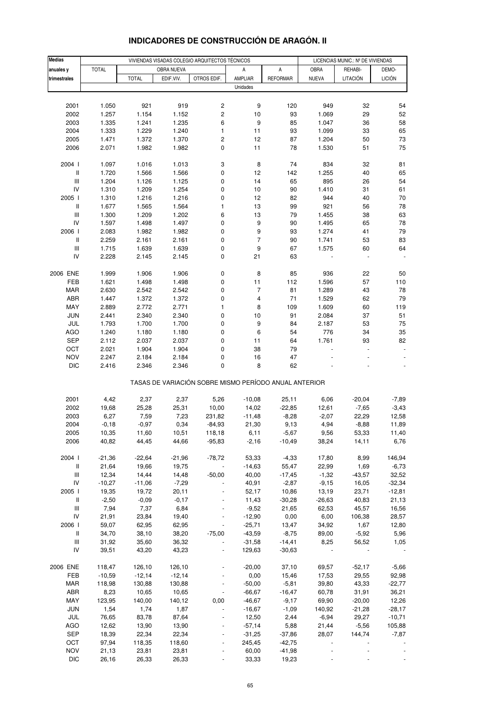| <b>Medias</b>                      |              |              |            | VIVIENDAS VISADAS COLEGIO ARQUITECTOS TÉCNICOS        |                |                 | LICENCIAS MUNIC.: Nº DE VIVIENDAS |          |                              |  |
|------------------------------------|--------------|--------------|------------|-------------------------------------------------------|----------------|-----------------|-----------------------------------|----------|------------------------------|--|
| anuales y                          | <b>TOTAL</b> |              | OBRA NUEVA |                                                       | Α              | А               | OBRA                              | REHABI-  | DEMO-                        |  |
| trimestrales                       |              | <b>TOTAL</b> | EDIF.VIV.  | OTROS EDIF.                                           | AMPLIAR        | <b>REFORMAR</b> | <b>NUEVA</b>                      | LITACIÓN | <b>LICIÓN</b>                |  |
|                                    |              |              |            |                                                       | Unidades       |                 |                                   |          |                              |  |
|                                    |              |              |            |                                                       |                |                 |                                   |          |                              |  |
| 2001                               | 1.050        | 921          | 919        | $\mathbf 2$                                           | 9              | 120             | 949                               | 32       | 54                           |  |
| 2002                               | 1.257        | 1.154        | 1.152      | $\boldsymbol{2}$                                      | $10$           | 93              | 1.069                             | 29       | 52                           |  |
| 2003                               | 1.335        | 1.241        | 1.235      | 6                                                     | 9              | 85              | 1.047                             | 36       | 58                           |  |
| 2004                               | 1.333        | 1.229        | 1.240      | $\mathbf{1}$                                          | 11             | 93              | 1.099                             | 33       | 65                           |  |
| 2005                               | 1.471        | 1.372        | 1.370      | 2                                                     | 12             | 87              | 1.204                             | 50       | 73                           |  |
| 2006                               | 2.071        | 1.982        | 1.982      | 0                                                     | 11             | 78              | 1.530                             | 51       | 75                           |  |
|                                    |              |              |            |                                                       |                |                 |                                   |          |                              |  |
| 2004 l                             | 1.097        | 1.016        | 1.013      | 3                                                     | $\bf8$         | 74              | 834                               | 32       | 81                           |  |
| $\mathbf{II}$                      | 1.720        | 1.566        | 1.566      | 0                                                     | 12             | 142             | 1.255                             | 40       | 65                           |  |
| $\ensuremath{\mathsf{III}}\xspace$ | 1.204        | 1.126        | 1.125      | 0                                                     | 14             | 65              | 895                               | 26       | 54                           |  |
| IV                                 | 1.310        | 1.209        | 1.254      | 0                                                     | $10$           | 90              | 1.410                             | 31       | 61                           |  |
| 2005 l                             | 1.310        | 1.216        | 1.216      | 0                                                     | 12             | 82              | 944                               | 40       | 70                           |  |
| $\, \parallel$                     | 1.677        | 1.565        | 1.564      | $\mathbf{1}$                                          | 13             | 99              | 921                               | 56       | 78                           |  |
| $\ensuremath{\mathsf{III}}\xspace$ | 1.300        | 1.209        | 1.202      | 6                                                     | 13             | 79              | 1.455                             | 38       | 63                           |  |
| IV                                 | 1.597        | 1.498        | 1.497      | 0                                                     | 9              | 90              | 1.495                             | 65       | 78                           |  |
| 2006                               | 2.083        | 1.982        | 1.982      | $\mathbf 0$                                           | 9              | 93              | 1.274                             | 41       | 79                           |  |
| $\, \parallel$                     | 2.259        | 2.161        | 2.161      | 0                                                     | $\overline{7}$ | 90              | 1.741                             | 53       | 83                           |  |
| $\ensuremath{\mathsf{III}}\xspace$ | 1.715        | 1.639        | 1.639      | 0                                                     | 9              | 67              | 1.575                             | 60       | 64                           |  |
| IV                                 | 2.228        | 2.145        | 2.145      | $\mathbf 0$                                           | 21             | 63              |                                   |          |                              |  |
| 2006 ENE                           | 1.999        | 1.906        | 1.906      | 0                                                     | 8              | 85              | 936                               | 22       | 50                           |  |
| FEB                                | 1.621        | 1.498        | 1.498      | $\pmb{0}$                                             | 11             | 112             | 1.596                             | 57       | 110                          |  |
| <b>MAR</b>                         | 2.630        | 2.542        | 2.542      | 0                                                     | $\overline{7}$ | 81              | 1.289                             | 43       | 78                           |  |
| ABR                                | 1.447        | 1.372        | 1.372      | $\pmb{0}$                                             | 4              | 71              | 1.529                             | 62       | 79                           |  |
| MAY                                | 2.889        | 2.772        | 2.771      | $\mathbf{1}$                                          | 8              | 109             | 1.609                             | 60       | 119                          |  |
| <b>JUN</b>                         | 2.441        | 2.340        | 2.340      | 0                                                     | $10$           | 91              | 2.084                             | 37       | 51                           |  |
| JUL                                | 1.793        | 1.700        | 1.700      | 0                                                     | 9              | 84              | 2.187                             | 53       | $75\,$                       |  |
| <b>AGO</b>                         | 1.240        | 1.180        | 1.180      | $\mathbf 0$                                           | 6              | 54              | 776                               | 34       | 35                           |  |
| <b>SEP</b>                         | 2.112        | 2.037        | 2.037      | 0                                                     | 11             | 64              | 1.761                             | 93       | 82                           |  |
| OCT                                | 2.021        | 1.904        | 1.904      | $\mathbf 0$                                           | 38             | 79              |                                   |          | $\qquad \qquad \blacksquare$ |  |
| <b>NOV</b>                         | 2.247        | 2.184        | 2.184      | $\pmb{0}$                                             | 16             | 47              |                                   |          |                              |  |
| <b>DIC</b>                         | 2.416        | 2.346        | 2.346      | $\pmb{0}$                                             | 8              | 62              |                                   |          |                              |  |
|                                    |              |              |            | TASAS DE VARIACIÓN SOBRE MISMO PERÍODO ANUAL ANTERIOR |                |                 |                                   |          |                              |  |
| 2001                               | 4,42         | 2,37         | 2,37       | 5,26                                                  | $-10,08$       | 25,11           | 6,06                              | $-20,04$ | $-7,89$                      |  |
| 2002                               | 19,68        | 25,28        | 25,31      | 10,00                                                 | 14,02          | $-22,85$        | 12,61                             | $-7,65$  | $-3,43$                      |  |
| 2003                               | 6,27         | 7,59         | 7,23       | 231,82                                                | $-11,48$       | $-8,28$         | $-2,07$                           | 22,29    | 12,58                        |  |
| 2004                               | $-0,18$      | $-0,97$      | 0,34       | $-84,93$                                              | 21,30          | 9,13            | 4,94                              | $-8,88$  | 11,89                        |  |
| 2005                               | 10,35        | 11,60        | 10,51      | 118,18                                                | 6,11           | $-5,67$         | 9,56                              | 53,33    | 11,40                        |  |
| 2006                               | 40,82        | 44,45        | 44,66      | $-95,83$                                              | $-2,16$        | $-10,49$        | 38,24                             | 14,11    | 6,76                         |  |
|                                    |              |              |            |                                                       |                |                 |                                   |          |                              |  |
| 2004 l                             | $-21,36$     | $-22,64$     | $-21,96$   | $-78,72$                                              | 53,33          | $-4,33$         | 17,80                             | 8,99     | 146,94                       |  |
| $\, \parallel$                     | 21,64        | 19,66        | 19,75      |                                                       | $-14,63$       | 55,47           | 22,99                             | 1,69     | $-6,73$                      |  |
| $\ensuremath{\mathsf{III}}\xspace$ | 12,34        | 14,44        | 14,48      | $-50,00$                                              | 40,00          | $-17,45$        | $-1,32$                           | $-43,57$ | 32,52                        |  |
| IV                                 | $-10,27$     | $-11,06$     | $-7,29$    |                                                       | 40,91          | $-2,87$         | $-9,15$                           | 16,05    | $-32,34$                     |  |
| 2005                               | 19,35        | 19,72        | 20,11      |                                                       | 52,17          | 10,86           | 13,19                             | 23,71    | $-12,81$                     |  |
| $\, \parallel$                     | $-2,50$      | $-0,09$      | $-0,17$    | $\frac{1}{2}$                                         | 11,43          | $-30,28$        | $-26,63$                          | 40,83    | 21,13                        |  |
| $\ensuremath{\mathsf{III}}\xspace$ | 7,94         | 7,37         | 6,84       |                                                       | $-9,52$        | 21,65           | 62,53                             | 45,57    | 16,56                        |  |
| IV                                 | 21,91        | 23,84        | 19,40      |                                                       | $-12,90$       | 0,00            | 6,00                              | 106,38   | 28,57                        |  |
| 2006                               | 59,07        | 62,95        | 62,95      | $\blacksquare$                                        | $-25,71$       | 13,47           | 34,92                             | 1,67     | 12,80                        |  |
| Ш                                  | 34,70        | 38,10        | 38,20      | $-75,00$                                              | $-43,59$       | $-8,75$         | 89,00                             | $-5,92$  | 5,96                         |  |
| $\ensuremath{\mathsf{III}}\xspace$ | 31,92        | 35,60        | 36,32      |                                                       | $-31,58$       | $-14,41$        | 8,25                              | 56,52    | 1,05                         |  |
| IV                                 | 39,51        | 43,20        | 43,23      | $\blacksquare$                                        | 129,63         | $-30,63$        | $\blacksquare$                    |          |                              |  |
| 2006 ENE                           | 118,47       | 126,10       | 126,10     |                                                       | $-20,00$       | 37,10           | 69,57                             | -52,17   | $-5,66$                      |  |
| FEB                                | $-10,59$     | $-12,14$     | $-12,14$   |                                                       | 0,00           | 15,46           | 17,53                             | 29,55    | 92,98                        |  |
| <b>MAR</b>                         | 118,98       | 130,88       | 130,88     |                                                       | $-50,00$       | $-5,81$         | 39,80                             | 43,33    | $-22,77$                     |  |
| ABR                                | 8,23         | 10,65        | 10,65      | ÷                                                     | $-66,67$       | $-16,47$        | 60,78                             | 31,91    | 36,21                        |  |
| MAY                                | 123,95       | 140,00       | 140,12     | 0,00                                                  | $-46,67$       | $-9,17$         | 69,90                             | $-20,00$ | 12,26                        |  |
| <b>JUN</b>                         | 1,54         | 1,74         | 1,87       |                                                       | $-16,67$       | $-1,09$         | 140,92                            | $-21,28$ | $-28,17$                     |  |
| JUL                                | 76,65        | 83,78        | 87,64      |                                                       | 12,50          | 2,44            | $-6,94$                           | 29,27    | $-10,71$                     |  |
| AGO                                | 12,62        | 13,90        | 13,90      |                                                       | $-57,14$       | 5,88            | 21,44                             | $-5,56$  | 105,88                       |  |
| <b>SEP</b>                         | 18,39        | 22,34        | 22,34      |                                                       | $-31,25$       | $-37,86$        | 28,07                             | 144,74   | $-7,87$                      |  |
| OCT                                | 97,94        | 118,35       | 118,60     |                                                       | 245,45         | $-42,75$        |                                   |          |                              |  |
| <b>NOV</b>                         | 21,13        | 23,81        | 23,81      |                                                       | 60,00          | $-41,98$        |                                   |          |                              |  |
| <b>DIC</b>                         | 26,16        | 26,33        | 26,33      |                                                       | 33,33          | 19,23           |                                   |          |                              |  |

# **INDICADORES DE CONSTRUCCIÓN DE ARAGÓN. II**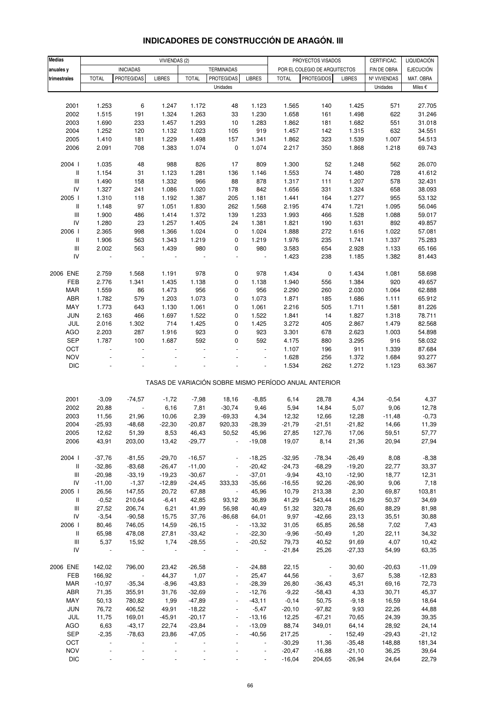| <b>Medias</b>                      |              |                   |               |              |                                                       |               |              |                               |               | CERTIFICAC.  | LIQUIDACIÓN      |
|------------------------------------|--------------|-------------------|---------------|--------------|-------------------------------------------------------|---------------|--------------|-------------------------------|---------------|--------------|------------------|
|                                    |              |                   | VIVIENDAS (2) |              |                                                       |               |              | PROYECTOS VISADOS             |               |              |                  |
| anuales y                          |              | <b>INICIADAS</b>  |               |              | <b>TERMINADAS</b>                                     |               |              | POR EL COLEGIO DE ARQUITECTOS |               | FIN DE OBRA  | <b>EJECUCIÓN</b> |
| trimestrales                       | <b>TOTAL</b> | <b>PROTEGIDAS</b> | <b>LIBRES</b> | <b>TOTAL</b> | <b>PROTEGIDAS</b>                                     | <b>LIBRES</b> | <b>TOTAL</b> | <b>PROTEGIDOS</b>             | <b>LIBRES</b> | Nº VIVIENDAS | MAT. OBRA        |
|                                    |              |                   |               |              | Unidades                                              |               |              |                               |               | Unidades     | Miles €          |
|                                    |              |                   |               |              |                                                       |               |              |                               |               |              |                  |
| 2001                               | 1.253        | 6                 | 1.247         | 1.172        | 48                                                    | 1.123         | 1.565        | 140                           | 1.425         | 571          | 27.705           |
| 2002                               | 1.515        | 191               | 1.324         | 1.263        | 33                                                    | 1.230         | 1.658        | 161                           | 1.498         | 622          | 31.246           |
| 2003                               | 1.690        | 233               | 1.457         | 1.293        | 10                                                    | 1.283         | 1.862        | 181                           | 1.682         | 551          | 31.018           |
| 2004                               | 1.252        | 120               | 1.132         | 1.023        | 105                                                   | 919           | 1.457        | 142                           | 1.315         | 632          | 34.551           |
| 2005                               | 1.410        | 181               | 1.229         | 1.498        | 157                                                   | 1.341         | 1.862        | 323                           | 1.539         | 1.007        | 54.513           |
| 2006                               | 2.091        | 708               | 1.383         | 1.074        | $\pmb{0}$                                             | 1.074         | 2.217        | 350                           | 1.868         | 1.218        | 69.743           |
|                                    |              |                   |               |              |                                                       |               |              |                               |               |              |                  |
| 2004 l                             | 1.035        | 48                | 988           | 826          | 17                                                    | 809           | 1.300        | 52                            | 1.248         | 562          | 26.070           |
| $\,$ $\,$ $\,$                     | 1.154        | 31                | 1.123         | 1.281        | 136                                                   | 1.146         | 1.553        | 74                            | 1.480         | 728          | 41.612           |
| $\ensuremath{\mathsf{III}}\xspace$ | 1.490        | 158               | 1.332         | 966          | 88                                                    | 878           | 1.317        | 111                           | 1.207         | 578          | 32.431           |
| IV                                 | 1.327        | 241               | 1.086         | 1.020        | 178                                                   | 842           | 1.656        | 331                           | 1.324         | 658          | 38.093           |
| 2005 l                             | 1.310        | 118               | 1.192         | 1.387        | 205                                                   | 1.181         | 1.441        | 164                           | 1.277         | 955          | 53.132           |
| $\,$ $\,$ $\,$                     | 1.148        | 97                | 1.051         | 1.830        | 262                                                   | 1.568         | 2.195        | 474                           | 1.721         | 1.095        | 56.046           |
|                                    |              |                   |               |              |                                                       |               |              |                               |               |              |                  |
| $\mathbf{III}$                     | 1.900        | 486               | 1.414         | 1.372        | 139                                                   | 1.233         | 1.993        | 466                           | 1.528         | 1.088        | 59.017           |
| IV                                 | 1.280        | 23                | 1.257         | 1.405        | 24                                                    | 1.381         | 1.821        | 190                           | 1.631         | 892          | 49.857           |
| 2006                               | 2.365        | 998               | 1.366         | 1.024        | 0                                                     | 1.024         | 1.888        | 272                           | 1.616         | 1.022        | 57.081           |
| Ш                                  | 1.906        | 563               | 1.343         | 1.219        | 0                                                     | 1.219         | 1.976        | 235                           | 1.741         | 1.337        | 75.283           |
| $\ensuremath{\mathsf{III}}\xspace$ | 2.002        | 563               | 1.439         | 980          | 0                                                     | 980           | 3.583        | 654                           | 2.928         | 1.133        | 65.166           |
| IV                                 |              |                   |               |              | $\blacksquare$                                        | $\Box$        | 1.423        | 238                           | 1.185         | 1.382        | 81.443           |
|                                    |              |                   |               |              |                                                       |               |              |                               |               |              |                  |
| 2006 ENE                           | 2.759        | 1.568             | 1.191         | 978          | 0                                                     | 978           | 1.434        | $\pmb{0}$                     | 1.434         | 1.081        | 58.698           |
| FEB                                | 2.776        | 1.341             | 1.435         | 1.138        | 0                                                     | 1.138         | 1.940        | 556                           | 1.384         | 920          | 49.657           |
| MAR                                | 1.559        | 86                | 1.473         | 956          | 0                                                     | 956           | 2.290        | 260                           | 2.030         | 1.064        | 62.888           |
| ABR                                | 1.782        | 579               | 1.203         | 1.073        | 0                                                     | 1.073         | 1.871        | 185                           | 1.686         | 1.111        | 65.912           |
| MAY                                | 1.773        | 643               | 1.130         | 1.061        | 0                                                     | 1.061         | 2.216        | 505                           | 1.711         | 1.581        | 81.226           |
| JUN                                | 2.163        | 466               | 1.697         | 1.522        | 0                                                     | 1.522         | 1.841        | 14                            | 1.827         | 1.318        | 78.711           |
|                                    |              |                   |               |              |                                                       |               |              |                               |               |              |                  |
| JUL                                | 2.016        | 1.302             | 714           | 1.425        | 0                                                     | 1.425         | 3.272        | 405                           | 2.867         | 1.479        | 82.568           |
| <b>AGO</b>                         | 2.203        | 287               | 1.916         | 923          | 0                                                     | 923           | 3.301        | 678                           | 2.623         | 1.003        | 54.898           |
| SEP                                | 1.787        | 100               | 1.687         | 592          | 0                                                     | 592           | 4.175        | 880                           | 3.295         | 916          | 58.032           |
| OCT                                |              |                   |               |              |                                                       | ÷,            | 1.107        | 196                           | 911           | 1.339        | 87.684           |
| <b>NOV</b>                         |              |                   |               |              |                                                       | ÷,            | 1.628        | 256                           | 1.372         | 1.684        | 93.277           |
| <b>DIC</b>                         |              |                   |               |              |                                                       |               | 1.534        | 262                           | 1.272         | 1.123        | 63.367           |
|                                    |              |                   |               |              | TASAS DE VARIACIÓN SOBRE MISMO PERÍODO ANUAL ANTERIOR |               |              |                               |               |              |                  |
|                                    |              |                   |               |              |                                                       |               |              |                               |               |              |                  |
| 2001                               | $-3,09$      | $-74,57$          | $-1,72$       | $-7,98$      | 18,16                                                 | $-8,85$       | 6,14         | 28,78                         | 4,34          | $-0,54$      | 4,37             |
| 2002                               | 20,88        | $\blacksquare$    | 6,16          | 7,81         | $-30,74$                                              | 9,46          | 5,94         | 14,84                         | 5,07          | 9,06         | 12,78            |
| 2003                               | 11,56        | 21,96             | 10,06         | 2,39         | $-69,33$                                              | 4,34          | 12,32        | 12,66                         | 12,28         | $-11,48$     | $-0,73$          |
| 2004                               | $-25,93$     | $-48,68$          | $-22,30$      | $-20,87$     | 920,33                                                | $-28,39$      | $-21,79$     | $-21,51$                      | $-21,82$      | 14,66        | 11,39            |
| 2005                               | 12,62        | 51,39             | 8,53          | 46,43        | 50,52                                                 | 45,96         | 27,85        | 127,76                        | 17,06         | 59,51        | 57,77            |
| 2006                               | 43,91        | 203,00            | 13,42         | $-29,77$     |                                                       | $-19,08$      | 19,07        | 8,14                          | 21,36         | 20,94        | 27,94            |
|                                    |              |                   |               |              |                                                       |               |              |                               |               |              |                  |
| 2004 l                             | $-37,76$     | $-81,55$          | $-29,70$      | $-16,57$     | $\blacksquare$                                        | $-18,25$      | $-32,95$     | $-78,34$                      | $-26,49$      | 8,08         | $-8,38$          |
| Ш                                  | $-32,86$     |                   | $-26,47$      |              |                                                       |               | $-24,73$     | $-68,29$                      |               | 22,77        |                  |
| Ш                                  |              | $-83,68$          |               | $-11,00$     | $\overline{\phantom{a}}$                              | $-20,42$      |              |                               | $-19,20$      |              | 33,37            |
|                                    | $-20,98$     | $-33,19$          | $-19,23$      | $-30,67$     | $\blacksquare$                                        | $-37,01$      | $-9,94$      | 43,10                         | $-12,90$      | 18,77        | 12,31            |
| IV                                 | $-11,00$     | $-1,37$           | $-12,89$      | $-24,45$     | 333,33                                                | $-35,66$      | $-16,55$     | 92,26                         | $-26,90$      | 9,06         | 7,18             |
| 2005                               | 26,56        | 147,55            | 20,72         | 67,88        | $\overline{\phantom{a}}$                              | 45,96         | 10,79        | 213,38                        | 2,30          | 69,87        | 103,81           |
| Ш                                  | $-0,52$      | 210,64            | $-6,41$       | 42,85        | 93,12                                                 | 36,89         | 41,29        | 543,44                        | 16,29         | 50,37        | 34,69            |
| Ш                                  | 27,52        | 206,74            | 6,21          | 41,99        | 56,98                                                 | 40,49         | 51,32        | 320,78                        | 26,60         | 88,29        | 81,98            |
| IV                                 | $-3,54$      | $-90,58$          | 15,75         | 37,76        | $-86,68$                                              | 64,01         | 9,97         | $-42,66$                      | 23,13         | 35,51        | 30,88            |
| 2006                               | 80,46        | 746,05            | 14,59         | $-26,15$     | $\ddot{\phantom{1}}$                                  | $-13,32$      | 31,05        | 65,85                         | 26,58         | 7,02         | 7,43             |
| Ш                                  | 65,98        | 478,08            | 27,81         | $-33,42$     | $\blacksquare$                                        | $-22,30$      | $-9,96$      | $-50,49$                      | 1,20          | 22,11        | 34,32            |
| $\ensuremath{\mathsf{III}}\xspace$ | 5,37         | 15,92             | 1,74          | $-28,55$     | ÷                                                     | $-20,52$      | 79,73        | 40,52                         | 91,69         | 4,07         | 10,42            |
| IV                                 |              |                   |               |              | $\blacksquare$                                        | $\sim$        | $-21,84$     | 25,26                         | $-27,33$      | 54,99        | 63,35            |
|                                    |              |                   |               |              |                                                       |               |              |                               |               |              |                  |
| 2006 ENE                           | 142,02       | 796,00            | 23,42         | $-26,58$     | $\qquad \qquad \blacksquare$                          | $-24,88$      | 22,15        | $\overline{\phantom{a}}$      | 30,60         | $-20,63$     | $-11,09$         |
| FEB                                | 166,92       | $\blacksquare$    | 44,37         | 1,07         | $\blacksquare$                                        | 25,47         | 44,56        | $\overline{\phantom{a}}$      | 3,67          | 5,38         | $-12,83$         |
| <b>MAR</b>                         | $-10,97$     | $-35,34$          | $-8,96$       | $-43,83$     | $\blacksquare$                                        | $-28,39$      | 26,80        | $-36,43$                      | 45,31         | 69,16        | 72,73            |
| ABR                                | 71,35        | 355,91            | 31,76         | $-32,69$     | $\qquad \qquad \blacksquare$                          | $-12,76$      | $-9,22$      | $-58,43$                      | 4,33          | 30,71        | 45,37            |
| MAY                                | 50,13        | 780,82            | 1,99          | $-47,89$     | $\qquad \qquad \blacksquare$                          | $-43,11$      | $-0,14$      | 50,75                         | $-9,18$       | 16,59        | 18,64            |
| JUN                                | 76,72        | 406,52            | 49,91         | $-18,22$     | $\overline{\phantom{a}}$                              | $-5,47$       | $-20,10$     | $-97,82$                      | 9,93          | 22,26        | 44,88            |
| JUL                                | 11,75        | 169,01            | $-45,91$      | $-20,17$     |                                                       | $-13,16$      | 12,25        | $-67,21$                      | 70,65         | 24,39        | 39,35            |
| AGO                                | 6,63         | $-43,17$          | 22,74         | $-23,84$     | $\blacksquare$                                        | $-13,09$      | 88,74        | 349,01                        | 64,14         | 28,92        | 24,14            |
| SEP                                | $-2,35$      | $-78,63$          | 23,86         | $-47,05$     | $\blacksquare$                                        | $-40,56$      | 217,25       | $\sim$ $-$                    | 152,49        | $-29,43$     | $-21,12$         |
| OCT                                |              |                   |               |              |                                                       | ÷,            |              |                               |               |              |                  |
|                                    |              |                   |               |              |                                                       |               | $-30,29$     | 11,36                         | $-35,48$      | 148,88       | 181,34           |
| <b>NOV</b>                         |              |                   |               |              |                                                       |               | $-20,47$     | $-16,88$                      | $-21,10$      | 36,25        | 39,64            |
| DIC                                |              |                   |               |              |                                                       |               | $-16,04$     | 204,65                        | $-26,94$      | 24,64        | 22,79            |

# **INDICADORES DE CONSTRUCCIÓN DE ARAGÓN. III**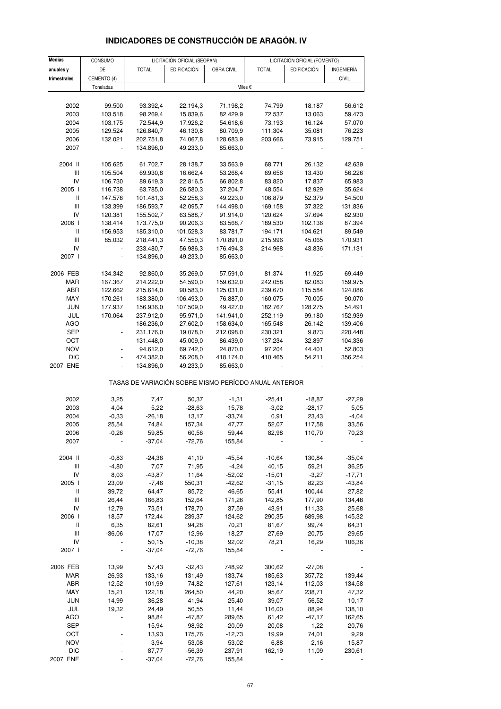| <b>Medias</b>                      | CONSUMO         |                                                       | LICITACIÓN OFICIAL (SEOPAN) |                   |                 | LICITACIÓN OFICIAL (FOMENTO) |                  |
|------------------------------------|-----------------|-------------------------------------------------------|-----------------------------|-------------------|-----------------|------------------------------|------------------|
| anuales y                          | DE              | <b>TOTAL</b>                                          | <b>EDIFICACIÓN</b>          | OBRA CIVIL        | <b>TOTAL</b>    | <b>EDIFICACIÓN</b>           | INGENIERÍA       |
| trimestrales                       | CEMENTO (4)     |                                                       |                             |                   |                 |                              | <b>CIVIL</b>     |
|                                    | Toneladas       |                                                       |                             |                   | Miles €         |                              |                  |
|                                    |                 |                                                       |                             |                   |                 |                              |                  |
| 2002                               | 99.500          | 93.392,4                                              | 22.194,3                    | 71.198,2          | 74.799          | 18.187                       | 56.612           |
| 2003                               | 103.518         | 98.269,4                                              | 15.839,6                    | 82.429,9          | 72.537          | 13.063                       | 59.473           |
| 2004                               | 103.175         | 72.544,9                                              | 17.926,2                    | 54.618,6          | 73.193          | 16.124                       | 57.070           |
| 2005                               | 129.524         | 126.840,7                                             | 46.130,8                    | 80.709,9          | 111.304         | 35.081                       | 76.223           |
| 2006                               | 132.021         | 202.751,8                                             | 74.067,8                    | 128.683,9         | 203.666         | 73.915                       | 129.751          |
| 2007                               |                 | 134.896,0                                             | 49.233,0                    | 85.663,0          |                 |                              |                  |
|                                    |                 |                                                       |                             |                   |                 |                              |                  |
| 2004 II                            | 105.625         | 61.702,7                                              | 28.138,7                    | 33.563,9          | 68.771          | 26.132                       | 42.639           |
| Ш                                  | 105.504         | 69.930,8                                              | 16.662,4                    | 53.268,4          | 69.656          | 13.430                       | 56.226           |
| IV                                 | 106.730         | 89.619,3                                              | 22.816,5                    | 66.802,8          | 83.820          | 17.837                       | 65.983           |
| 2005 l                             | 116.738         | 63.785,0                                              | 26.580,3                    | 37.204,7          | 48.554          | 12.929                       | 35.624           |
| $\,$ $\,$ $\,$ $\,$                | 147.578         | 101.481,3                                             | 52.258,3                    | 49.223,0          | 106.879         | 52.379                       | 54.500           |
| Ш                                  | 133.399         | 186.593,7                                             | 42.095,7                    | 144.498,0         | 169.158         | 37.322                       | 131.836          |
| IV                                 | 120.381         | 155.502,7                                             | 63.588,7                    | 91.914,0          | 120.624         | 37.694                       | 82.930           |
| 2006                               | 138.414         | 173.775,0                                             | 90.206,3                    | 83.568,7          | 189.530         | 102.136                      | 87.394           |
| Ш                                  | 156.953         | 185.310,0                                             | 101.528,3                   | 83.781,7          | 194.171         | 104.621                      | 89.549           |
| $\ensuremath{\mathsf{III}}\xspace$ | 85.032          | 218.441,3                                             | 47.550,3                    | 170.891,0         | 215.996         | 45.065                       | 170.931          |
| IV                                 | ÷.              | 233.480,7                                             | 56.986,3                    | 176.494,3         | 214.968         | 43.836                       | 171.131          |
| 2007                               |                 | 134.896,0                                             | 49.233,0                    | 85.663,0          |                 |                              |                  |
|                                    |                 |                                                       |                             |                   |                 |                              |                  |
| 2006 FEB                           | 134.342         | 92.860,0                                              | 35.269,0                    | 57.591,0          | 81.374          | 11.925                       | 69.449           |
| MAR                                | 167.367         | 214.222,0                                             | 54.590,0                    | 159.632,0         | 242.058         | 82.083                       | 159.975          |
| ABR                                | 122.662         | 215.614,0                                             | 90.583,0                    | 125.031,0         | 239.670         | 115.584                      | 124.086          |
| MAY                                | 170.261         | 183.380,0                                             | 106.493,0                   | 76.887,0          | 160.075         | 70.005                       | 90.070           |
| <b>JUN</b>                         | 177.937         | 156.936,0                                             | 107.509,0                   | 49.427,0          | 182.767         | 128.275                      | 54.491           |
| JUL                                | 170.064         | 237.912,0                                             | 95.971,0                    | 141.941,0         | 252.119         | 99.180                       | 152.939          |
| <b>AGO</b>                         | ä,              | 186.236,0                                             | 27.602,0                    | 158.634,0         | 165.548         | 26.142                       | 139.406          |
| <b>SEP</b>                         |                 | 231.176,0                                             | 19.078,0                    | 212.098,0         | 230.321         | 9.873                        | 220.448          |
| OCT                                |                 | 131.448,0                                             | 45.009,0                    | 86.439,0          | 137.234         | 32.897                       | 104.336          |
| <b>NOV</b>                         | $\blacksquare$  | 94.612,0                                              | 69.742,0                    | 24.870,0          | 97.204          | 44.401                       | 52.803           |
| <b>DIC</b>                         |                 | 474.382,0                                             | 56.208,0                    | 418.174,0         | 410.465         | 54.211                       | 356.254          |
| 2007 ENE                           |                 | 134.896,0                                             | 49.233,0                    | 85.663,0          |                 |                              |                  |
|                                    |                 | TASAS DE VARIACIÓN SOBRE MISMO PERÍODO ANUAL ANTERIOR |                             |                   |                 |                              |                  |
|                                    |                 |                                                       |                             |                   |                 |                              |                  |
| 2002                               | 3,25            | 7,47                                                  | 50,37                       | $-1,31$           | $-25,41$        | $-18,87$                     | $-27,29$<br>5,05 |
| 2003<br>2004                       | 4,04<br>$-0,33$ | 5,22                                                  | $-28,63$<br>13,17           | 15,78<br>$-33,74$ | $-3,02$<br>0,91 | $-28,17$<br>23,43            | $-4,04$          |
| 2005                               | 25,54           | $-26,18$<br>74,84                                     | 157,34                      | 47,77             | 52,07           | 117,58                       | 33,56            |
|                                    |                 |                                                       |                             | 59,44             |                 |                              |                  |
| 2006<br>2007                       | -0,26           | 59,85<br>$-37,04$                                     | 60,56<br>$-72,76$           | 155,84            | 82,98           | 110,70                       | 70,23            |
|                                    |                 |                                                       |                             |                   |                 |                              |                  |
| 2004 II                            | $-0,83$         | $-24,36$                                              | 41,10                       | $-45,54$          | $-10,64$        | 130,84                       | $-35,04$         |
| Ш                                  | $-4,80$         | 7,07                                                  | 71,95                       | $-4,24$           | 40,15           | 59,21                        | 36,25            |
| IV                                 | 8,03            | $-43,87$                                              | 11,64                       | $-52,02$          | $-15,01$        | $-3,27$                      | $-17,71$         |
| 2005                               | 23,09           | $-7,46$                                               | 550,31                      | $-42,62$          | $-31,15$        | 82,23                        | $-43,84$         |
| Ш                                  | 39,72           | 64,47                                                 | 85,72                       | 46,65             | 55,41           | 100,44                       | 27,82            |
| $\ensuremath{\mathsf{III}}\xspace$ | 26,44           | 166,83                                                | 152,64                      | 171,26            | 142,85          | 177,90                       | 134,48           |
| IV                                 | 12,79           | 73,51                                                 | 178,70                      | 37,59             | 43,91           | 111,33                       | 25,68            |
| 2006                               | 18,57           | 172,44                                                | 239,37                      | 124,62            | 290,35          | 689,98                       | 145,32           |
| Ш                                  | 6,35            | 82,61                                                 | 94,28                       | 70,21             | 81,67           | 99,74                        | 64,31            |
| Ш                                  | $-36,06$        | 17,07                                                 | 12,96                       | 18,27             | 27,69           | 20,75                        | 29,65            |
| IV                                 |                 | 50,15                                                 | $-10,38$                    | 92,02             | 78,21           | 16,29                        | 106,36           |
| 2007 l                             |                 | $-37,04$                                              | $-72,76$                    | 155,84            |                 |                              |                  |
| 2006 FEB                           | 13,99           | 57,43                                                 | $-32,43$                    | 748,92            | 300,62          | $-27,08$                     |                  |
| MAR                                | 26,93           | 133,16                                                | 131,49                      | 133,74            | 185,63          | 357,72                       | 139,44           |
| ABR                                | $-12,52$        | 101,99                                                | 74,82                       | 127,61            | 123,14          | 112,03                       | 134,58           |
| MAY                                | 15,21           | 122,18                                                | 264,50                      | 44,20             | 95,67           | 238,71                       | 47,32            |
| <b>JUN</b>                         | 14,99           | 36,28                                                 | 41,94                       | 25,40             | 39,07           | 56,52                        | 10,17            |
| JUL                                | 19,32           | 24,49                                                 | 50,55                       | 11,44             | 116,00          | 88,94                        | 138,10           |
| <b>AGO</b>                         |                 | 98,84                                                 | $-47,87$                    | 289,65            | 61,42           | $-47,17$                     | 162,65           |
| <b>SEP</b>                         |                 | $-15,94$                                              | 98,92                       | $-20,09$          | $-20,08$        | $-1,22$                      | $-20,76$         |
| OCT                                |                 | 13,93                                                 | 175,76                      | $-12,73$          | 19,99           | 74,01                        | 9,29             |
| <b>NOV</b>                         |                 | $-3,94$                                               | 53,08                       | $-53,02$          | 6,88            | $-2,16$                      | 15,87            |
| <b>DIC</b>                         |                 | 87,77                                                 | $-56,39$                    | 237,91            | 162,19          | 11,09                        | 230,61           |

## **INDICADORES DE CONSTRUCCIÓN DE ARAGÓN. IV**

2007 ENE - -37,04 -72,76 155,84 - - -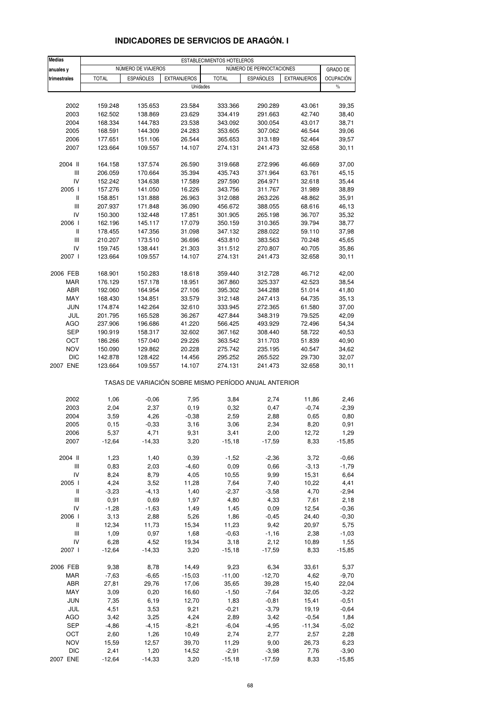| <b>Medias</b>                      |              |                    |                                                       | ESTABLECIMIENTOS HOTELEROS |                          |                    |                  |
|------------------------------------|--------------|--------------------|-------------------------------------------------------|----------------------------|--------------------------|--------------------|------------------|
| anuales y                          |              | NÚMERO DE VIAJEROS |                                                       |                            | NÚMERO DE PERNOCTACIONES |                    | <b>GRADO DE</b>  |
| trimestrales                       | <b>TOTAL</b> | <b>ESPAÑOLES</b>   | <b>EXTRANJEROS</b>                                    | <b>TOTAL</b>               | <b>ESPAÑOLES</b>         | <b>EXTRANJEROS</b> | <b>OCUPACIÓN</b> |
|                                    |              |                    | Unidades                                              |                            |                          |                    | $\%$             |
|                                    |              |                    |                                                       |                            |                          |                    |                  |
| 2002                               | 159.248      | 135.653            | 23.584                                                | 333.366                    | 290.289                  | 43.061             | 39,35            |
| 2003                               | 162.502      | 138.869            | 23.629                                                | 334.419                    | 291.663                  | 42.740             | 38,40            |
| 2004                               | 168.334      | 144.783            | 23.538                                                | 343.092                    | 300.054                  | 43.017             | 38,71            |
| 2005                               | 168.591      | 144.309            | 24.283                                                | 353.605                    | 307.062                  | 46.544             | 39,06            |
| 2006                               | 177.651      | 151.106            | 26.544                                                | 365.653                    | 313.189                  | 52.464             | 39,57            |
| 2007                               | 123.664      | 109.557            | 14.107                                                | 274.131                    | 241.473                  | 32.658             | 30,11            |
| 2004 II                            | 164.158      | 137.574            | 26.590                                                | 319.668                    | 272.996                  | 46.669             | 37,00            |
| $\ensuremath{\mathsf{III}}\xspace$ | 206.059      | 170.664            | 35.394                                                | 435.743                    | 371.964                  | 63.761             | 45,15            |
| IV                                 | 152.242      | 134.638            | 17.589                                                | 297.590                    | 264.971                  | 32.618             | 35,44            |
| 2005 l                             | 157.276      | 141.050            | 16.226                                                | 343.756                    | 311.767                  | 31.989             | 38,89            |
| $\,$ $\,$ $\,$ $\,$                | 158.851      | 131.888            | 26.963                                                | 312.088                    | 263.226                  | 48.862             | 35,91            |
| Ш                                  | 207.937      | 171.848            | 36.090                                                | 456.672                    | 388.055                  | 68.616             | 46,13            |
| IV                                 | 150.300      | 132.448            | 17.851                                                | 301.905                    | 265.198                  | 36.707             | 35,32            |
| 2006                               | 162.196      | 145.117            | 17.079                                                | 350.159                    | 310.365                  | 39.794             | 38,77            |
| Ш                                  | 178.455      | 147.356            | 31.098                                                | 347.132                    | 288.022                  | 59.110             | 37,98            |
| $\mathsf{III}$                     | 210.207      | 173.510            | 36.696                                                | 453.810                    | 383.563                  | 70.248             | 45,65            |
| IV                                 | 159.745      | 138.441            | 21.303                                                | 311.512                    | 270.807                  | 40.705             | 35,86            |
| 2007 l                             | 123.664      | 109.557            | 14.107                                                | 274.131                    | 241.473                  | 32.658             | 30,11            |
| 2006 FEB                           | 168.901      | 150.283            | 18.618                                                | 359.440                    | 312.728                  | 46.712             | 42,00            |
| <b>MAR</b>                         | 176.129      | 157.178            | 18.951                                                | 367.860                    | 325.337                  | 42.523             | 38,54            |
| ABR                                | 192.060      | 164.954            | 27.106                                                | 395.302                    | 344.288                  | 51.014             | 41,80            |
| MAY                                | 168.430      | 134.851            | 33.579                                                | 312.148                    | 247.413                  | 64.735             | 35,13            |
| <b>JUN</b>                         | 174.874      | 142.264            | 32.610                                                | 333.945                    | 272.365                  | 61.580             | 37,00            |
| JUL                                | 201.795      | 165.528            | 36.267                                                | 427.844                    | 348.319                  | 79.525             | 42,09            |
| <b>AGO</b>                         | 237.906      | 196.686            | 41.220                                                | 566.425                    | 493.929                  | 72.496             | 54,34            |
| <b>SEP</b>                         | 190.919      | 158.317            | 32.602                                                | 367.162                    | 308.440                  | 58.722             | 40,53            |
| OCT                                | 186.266      | 157.040            | 29.226                                                | 363.542                    | 311.703                  | 51.839             | 40,90            |
| <b>NOV</b>                         | 150.090      | 129.862            | 20.228                                                | 275.742                    | 235.195                  | 40.547             | 34,62            |
| <b>DIC</b>                         | 142.878      | 128.422            | 14.456                                                | 295.252                    | 265.522                  | 29.730             | 32,07            |
| 2007 ENE                           | 123.664      | 109.557            | 14.107                                                | 274.131                    | 241.473                  | 32.658             | 30, 11           |
|                                    |              |                    | TASAS DE VARIACIÓN SOBRE MISMO PERÍODO ANUAL ANTERIOR |                            |                          |                    |                  |
| 2002                               | 1,06         | $-0,06$            | 7,95                                                  | 3,84                       | 2,74                     | 11,86              | 2,46             |
| 2003                               | 2,04         | 2,37               | 0, 19                                                 | 0,32                       | 0,47                     | $-0,74$            | $-2,39$          |
| 2004                               | 3,59         | 4,26               | $-0,38$                                               | 2,59                       | 2,88                     | 0,65               | 0,80             |
| 2005                               | 0,15         | $-0,33$            | 3,16                                                  | 3,06                       | 2,34                     | 8,20               | 0,91             |
| 2006                               | 5,37         | 4,71               | 9,31                                                  | 3,41                       | 2,00                     | 12,72              | 1,29             |
| 2007                               | $-12,64$     | $-14,33$           | 3,20                                                  | $-15,18$                   | $-17,59$                 | 8,33               | $-15,85$         |
| 2004 II                            | 1,23         | 1,40               | 0,39                                                  | $-1,52$                    | $-2,36$                  | 3,72               | $-0,66$          |
| $\ensuremath{\mathsf{III}}\xspace$ | 0,83         | 2,03               | $-4,60$                                               | 0,09                       | 0,66                     | $-3,13$            | $-1,79$          |
| IV                                 | 8,24         | 8,79               | 4,05                                                  | 10,55                      | 9,99                     | 15,31              | 6,64             |
| 2005 l                             | 4,24         | 3,52               | 11,28                                                 | 7,64                       | 7,40                     | 10,22              | 4,41             |
| Ш                                  | $-3,23$      | $-4, 13$           | 1,40                                                  | $-2,37$                    | $-3,58$                  | 4,70               | $-2,94$          |
| $\ensuremath{\mathsf{III}}\xspace$ | 0,91         | 0,69               | 1,97                                                  | 4,80                       | 4,33                     | 7,61               | 2,18             |
| IV                                 | $-1,28$      | $-1,63$            | 1,49                                                  | 1,45                       | 0,09                     | 12,54              | $-0,36$          |
| 2006 l                             | 3,13         | 2,88               | 5,26                                                  | 1,86                       | $-0,45$                  | 24,40              | $-0,30$          |
| Ш                                  | 12,34        | 11,73              | 15,34                                                 | 11,23                      | 9,42                     | 20,97              | 5,75             |
| Ш                                  | 1,09         | 0,97               | 1,68                                                  | $-0,63$                    | $-1,16$                  | 2,38               | $-1,03$          |
| IV                                 | 6,28         | 4,52               | 19,34                                                 | 3,18                       | 2,12                     | 10,89              | 1,55             |
| 2007 l                             | $-12,64$     | $-14,33$           | 3,20                                                  | $-15,18$                   | $-17,59$                 | 8,33               | $-15,85$         |
| 2006 FEB                           | 9,38         | 8,78               | 14,49                                                 | 9,23                       | 6,34                     | 33,61              | 5,37             |
| <b>MAR</b>                         | $-7,63$      | $-6,65$            | $-15,03$                                              | $-11,00$                   | $-12,70$                 | 4,62               | $-9,70$          |
| ABR                                | 27,81        | 29,76              | 17,06                                                 | 35,65                      | 39,28                    | 15,40              | 22,04            |
| MAY                                | 3,09         | 0,20               | 16,60                                                 | $-1,50$                    | $-7,64$                  | 32,05              | $-3,22$          |
| <b>JUN</b>                         | 7,35         | 6,19               | 12,70                                                 | 1,83                       | $-0,81$                  | 15,41              | $-0,51$          |
| JUL                                | 4,51         | 3,53               | 9,21                                                  | $-0,21$                    | $-3,79$                  | 19,19              | $-0,64$          |
| <b>AGO</b>                         | 3,42         | 3,25               | 4,24                                                  | 2,89                       | 3,42                     | $-0,54$            | 1,84             |
| <b>SEP</b>                         | $-4,86$      | $-4, 15$           | $-8,21$                                               | $-6,04$                    | $-4,95$                  | $-11,34$           | $-5,02$          |
| OCT                                | 2,60         | 1,26               | 10,49                                                 | 2,74                       | 2,77                     | 2,57               | 2,28             |
| <b>NOV</b>                         | 15,59        | 12,57              | 39,70                                                 | 11,29                      | 9,00                     | 26,73              | 6,23             |
| <b>DIC</b>                         | 2,41         | 1,20               | 14,52                                                 | $-2,91$                    | $-3,98$                  | 7,76               | $-3,90$          |
| 2007 ENE                           | $-12,64$     | $-14,33$           | 3,20                                                  | $-15,18$                   | $-17,59$                 | 8,33               | $-15,85$         |

#### **INDICADORES DE SERVICIOS DE ARAGÓN. I**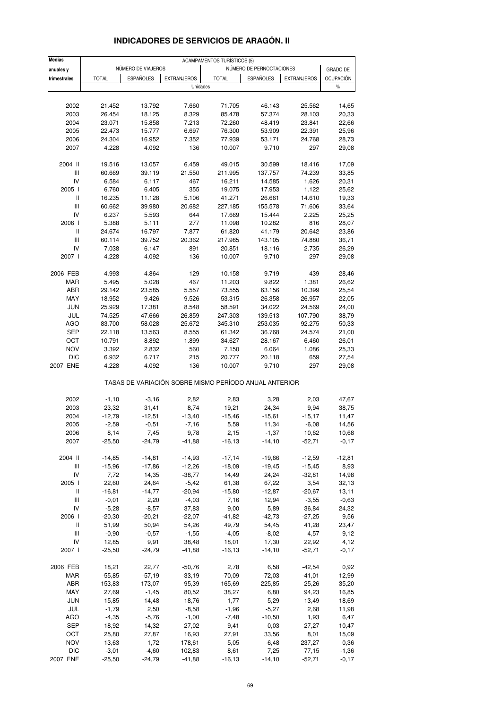| <b>Medias</b>                      |              |                    |                                                       | <b>ACAMPAMENTOS TURÍSTICOS (5)</b> |                          |                    |                  |
|------------------------------------|--------------|--------------------|-------------------------------------------------------|------------------------------------|--------------------------|--------------------|------------------|
| anuales y                          |              | NÚMERO DE VIAJEROS |                                                       |                                    | NÚMERO DE PERNOCTACIONES |                    | <b>GRADO DE</b>  |
| trimestrales                       | <b>TOTAL</b> | <b>ESPAÑOLES</b>   | <b>EXTRANJEROS</b>                                    | <b>TOTAL</b>                       | <b>ESPAÑOLES</b>         | <b>EXTRANJEROS</b> | <b>OCUPACIÓN</b> |
|                                    |              |                    | Unidades                                              |                                    |                          |                    | $\%$             |
|                                    |              |                    |                                                       |                                    |                          |                    |                  |
| 2002                               | 21.452       | 13.792             | 7.660                                                 | 71.705                             | 46.143                   | 25.562             | 14,65            |
| 2003                               | 26.454       | 18.125             | 8.329                                                 | 85.478                             | 57.374                   | 28.103             | 20,33            |
| 2004                               | 23.071       | 15.858             | 7.213                                                 | 72.260                             | 48.419                   | 23.841             | 22,66            |
| 2005                               | 22.473       | 15.777             | 6.697                                                 | 76.300                             | 53.909                   | 22.391             | 25,96            |
| 2006                               | 24.304       | 16.952             | 7.352                                                 | 77.939                             | 53.171                   | 24.768             | 28,73            |
| 2007                               | 4.228        | 4.092              | 136                                                   | 10.007                             | 9.710                    | 297                | 29,08            |
| 2004 II                            | 19.516       | 13.057             | 6.459                                                 | 49.015                             | 30.599                   | 18.416             | 17,09            |
| Ш                                  | 60.669       | 39.119             | 21.550                                                | 211.995                            | 137.757                  | 74.239             | 33,85            |
| IV                                 | 6.584        | 6.117              | 467                                                   | 16.211                             | 14.585                   | 1.626              | 20,31            |
| 2005 l                             | 6.760        | 6.405              | 355                                                   | 19.075                             | 17.953                   | 1.122              | 25,62            |
| Ш                                  | 16.235       | 11.128             | 5.106                                                 | 41.271                             | 26.661                   | 14.610             | 19,33            |
| $\mathsf{III}$                     | 60.662       | 39.980             | 20.682                                                | 227.185                            | 155.578                  | 71.606             | 33,64            |
| IV                                 | 6.237        | 5.593              | 644                                                   | 17.669                             | 15.444                   | 2.225              | 25,25            |
| 2006                               | 5.388        | 5.111              | 277                                                   | 11.098                             | 10.282                   | 816                | 28,07            |
| Ш                                  | 24.674       | 16.797             | 7.877                                                 | 61.820                             | 41.179                   | 20.642             | 23,86            |
| Ш                                  | 60.114       | 39.752             | 20.362                                                | 217.985                            | 143.105                  | 74.880             | 36,71            |
| IV                                 | 7.038        | 6.147              | 891                                                   | 20.851                             | 18.116                   | 2.735              | 26,29            |
| 2007 l                             | 4.228        | 4.092              | 136                                                   | 10.007                             | 9.710                    | 297                | 29,08            |
| 2006 FEB                           | 4.993        | 4.864              | 129                                                   | 10.158                             | 9.719                    | 439                | 28,46            |
| <b>MAR</b>                         | 5.495        | 5.028              | 467                                                   | 11.203                             | 9.822                    | 1.381              | 26,62            |
| ABR                                | 29.142       | 23.585             | 5.557                                                 | 73.555                             | 63.156                   | 10.399             | 25,54            |
| MAY                                | 18.952       | 9.426              | 9.526                                                 | 53.315                             | 26.358                   | 26.957             | 22,05            |
| <b>JUN</b>                         | 25.929       | 17.381             | 8.548                                                 | 58.591                             | 34.022                   | 24.569             | 24,00            |
| JUL                                | 74.525       | 47.666             | 26.859                                                | 247.303                            | 139.513                  | 107.790            | 38,79            |
| <b>AGO</b>                         | 83.700       | 58.028             | 25.672                                                | 345.310                            | 253.035                  | 92.275             | 50,33            |
| <b>SEP</b>                         | 22.118       | 13.563             | 8.555                                                 | 61.342                             | 36.768                   | 24.574             | 21,00            |
| ОСТ                                | 10.791       | 8.892              | 1.899                                                 | 34.627                             | 28.167                   | 6.460              | 26,01            |
| <b>NOV</b>                         | 3.392        | 2.832              | 560                                                   | 7.150                              | 6.064                    | 1.086              | 25,33            |
| <b>DIC</b>                         | 6.932        | 6.717              | 215                                                   | 20.777                             | 20.118                   | 659                | 27,54            |
| 2007 ENE                           | 4.228        | 4.092              | 136                                                   | 10.007                             | 9.710                    | 297                | 29,08            |
|                                    |              |                    | TASAS DE VARIACIÓN SOBRE MISMO PERÍODO ANUAL ANTERIOR |                                    |                          |                    |                  |
| 2002                               | $-1,10$      | $-3,16$            | 2,82                                                  | 2,83                               | 3,28                     | 2,03               | 47,67            |
| 2003                               | 23,32        | 31,41              | 8,74                                                  | 19,21                              | 24,34                    | 9,94               | 38,75            |
| 2004                               | $-12,79$     | $-12,51$           | $-13,40$                                              | $-15,46$                           | -15,61                   | $-15,17$           | 11,47            |
| 2005                               | $-2,59$      | $-0,51$            | $-7,16$                                               | 5,59                               | 11,34                    | $-6,08$            | 14,56            |
| 2006                               | 8,14         | 7,45               | 9,78                                                  | 2,15                               | $-1,37$                  | 10,62              | 10,68            |
| 2007                               | $-25,50$     | $-24,79$           | $-41,88$                                              | $-16, 13$                          | $-14,10$                 | $-52,71$           | $-0,17$          |
| 2004 II                            | $-14,85$     | $-14,81$           | $-14,93$                                              | $-17,14$                           | $-19,66$                 | $-12,59$           | $-12,81$         |
| $\ensuremath{\mathsf{III}}\xspace$ | $-15,96$     | $-17,86$           | $-12,26$                                              | $-18,09$                           | $-19,45$                 | $-15,45$           | 8,93             |
| IV                                 | 7,72         | 14,35              | $-38,77$                                              | 14,49                              | 24,24                    | $-32,81$           | 14,98            |
| 2005 l                             | 22,60        | 24,64              | $-5,42$                                               | 61,38                              | 67,22                    | 3,54               | 32,13            |
| Ш                                  | $-16,81$     | $-14,77$           | $-20,94$                                              | $-15,80$                           | $-12,87$                 | $-20,67$           | 13,11            |
| Ш                                  | $-0,01$      | 2,20               | $-4,03$                                               | 7,16                               | 12,94                    | $-3,55$            | $-0,63$          |
| IV                                 | $-5,28$      | $-8,57$            | 37,83                                                 | 9,00                               | 5,89                     | 36,84              | 24,32            |
| 2006                               | $-20,30$     | $-20,21$           | $-22,07$                                              | $-41,82$                           | $-42,73$                 | $-27,25$           | 9,56             |
| Ш                                  | 51,99        | 50,94              | 54,26                                                 | 49,79                              | 54,45                    | 41,28              | 23,47            |
| Ш                                  | $-0,90$      | $-0,57$            | $-1,55$                                               | $-4,05$                            | $-8,02$                  | 4,57               | 9,12             |
| IV                                 | 12,85        | 9,91               | 38,48                                                 | 18,01                              | 17,30                    | 22,92              | 4,12             |
| 2007 l                             | $-25,50$     | $-24,79$           | $-41,88$                                              | $-16, 13$                          | $-14,10$                 | $-52,71$           | $-0,17$          |
| 2006 FEB                           | 18,21        | 22,77              | $-50,76$                                              | 2,78                               | 6,58                     | $-42,54$           | 0,92             |
| MAR                                | $-55,85$     | $-57,19$           | $-33,19$                                              | $-70,09$                           | $-72,03$                 | $-41,01$           | 12,99            |
| ABR                                | 153,83       | 173,07             | 95,39                                                 | 165,69                             | 225,85                   | 25,26              | 35,20            |
| MAY                                | 27,69        | $-1,45$            | 80,52                                                 | 38,27                              | 6,80                     | 94,23              | 16,85            |
| <b>JUN</b>                         | 15,85        | 14,48              | 18,76                                                 | 1,77                               | $-5,29$                  | 13,49              | 18,69            |
| JUL                                | $-1,79$      | 2,50               | $-8,58$                                               | $-1,96$                            | $-5,27$                  | 2,68               | 11,98            |
| AGO                                | $-4,35$      | $-5,76$            | $-1,00$                                               | $-7,48$                            | $-10,50$                 | 1,93               | 6,47             |
| <b>SEP</b>                         | 18,92        | 14,32              | 27,02                                                 | 9,41                               | 0,03                     | 27,27              | 10,47            |
| OCT                                | 25,80        | 27,87              | 16,93                                                 | 27,91                              | 33,56                    | 8,01               | 15,09            |
| NOV                                | 13,63        | 1,72               | 178,61                                                | 5,05                               | $-6,48$                  | 237,27             | 0,36             |
| <b>DIC</b>                         | $-3,01$      | $-4,60$            | 102,83                                                | 8,61                               | 7,25                     | 77,15              | $-1,36$          |
| 2007 ENE                           | $-25,50$     | $-24,79$           | $-41,88$                                              | $-16, 13$                          | $-14,10$                 | $-52,71$           | $-0,17$          |

# **INDICADORES DE SERVICIOS DE ARAGÓN. II**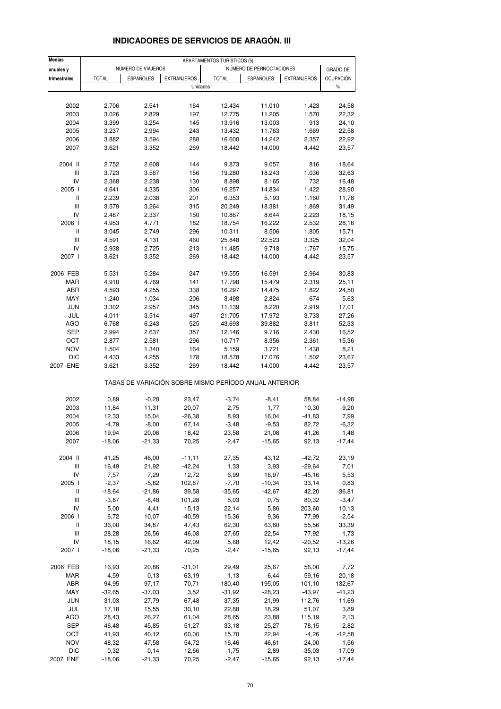| <b>Medias</b>                      |              |                                                |                                                       | APARTAMENTOS TURÍSTICOS (5) |                  |                    |                              |  |  |
|------------------------------------|--------------|------------------------------------------------|-------------------------------------------------------|-----------------------------|------------------|--------------------|------------------------------|--|--|
| anuales y                          |              | NÚMERO DE PERNOCTACIONES<br>NÚMERO DE VIAJEROS |                                                       |                             |                  |                    |                              |  |  |
| trimestrales                       | <b>TOTAL</b> | <b>ESPAÑOLES</b>                               | <b>EXTRANJEROS</b>                                    | <b>TOTAL</b>                | <b>ESPAÑOLES</b> | <b>EXTRANJEROS</b> | GRADO DE<br><b>OCUPACIÓN</b> |  |  |
|                                    |              |                                                | Unidades                                              |                             |                  |                    | $\%$                         |  |  |
|                                    |              |                                                |                                                       |                             |                  |                    |                              |  |  |
| 2002                               | 2.706        | 2.541                                          | 164                                                   | 12.434                      | 11.010           | 1.423              | 24,58                        |  |  |
| 2003                               | 3.026        | 2.829                                          | 197                                                   | 12.775                      | 11.205           | 1.570              | 22,32                        |  |  |
| 2004                               | 3.399        | 3.254                                          | 145                                                   | 13.916                      | 13.003           | 913                | 24,10                        |  |  |
| 2005                               | 3.237        | 2.994                                          | 243                                                   | 13.432                      | 11.763           | 1.669              | 22,58                        |  |  |
| 2006                               | 3.882        | 3.594                                          | 288                                                   | 16.600                      | 14.242           | 2.357              | 22,92                        |  |  |
| 2007                               | 3.621        | 3.352                                          | 269                                                   | 18.442                      | 14.000           | 4.442              | 23,57                        |  |  |
| 2004 II                            | 2.752        | 2.608                                          | 144                                                   | 9.873                       | 9.057            | 816                | 18,64                        |  |  |
| Ш                                  | 3.723        | 3.567                                          | 156                                                   | 19.280                      | 18.243           | 1.036              | 32,63                        |  |  |
| IV                                 | 2.368        | 2.238                                          | 130                                                   | 8.898                       | 8.165            | 732                | 16,48                        |  |  |
| 2005 l                             | 4.641        | 4.335                                          | 306                                                   | 16.257                      | 14.834           | 1.422              | 28,90                        |  |  |
| Ш                                  | 2.239        | 2.038                                          | 201                                                   | 6.353                       | 5.193            | 1.160              | 11,78                        |  |  |
| Ш                                  | 3.579        | 3.264                                          | 315                                                   | 20.249                      | 18.381           | 1.869              | 31,49                        |  |  |
| IV                                 | 2.487        | 2.337                                          | 150                                                   | 10.867                      | 8.644            | 2.223              | 18,15                        |  |  |
| 2006                               | 4.953        | 4.771                                          | 182                                                   | 18.754                      | 16.222           | 2.532              | 28,16                        |  |  |
| Ш                                  | 3.045        | 2.749                                          | 296                                                   | 10.311                      | 8.506            | 1.805              | 15,71                        |  |  |
| Ш                                  | 4.591        | 4.131                                          | 460                                                   | 25.848                      | 22.523           | 3.325              | 32,04                        |  |  |
| IV                                 | 2.938        | 2.725                                          | 213                                                   | 11.485                      | 9.718            | 1.767              | 15,75                        |  |  |
| 2007 l                             | 3.621        | 3.352                                          | 269                                                   | 18.442                      | 14.000           | 4.442              | 23,57                        |  |  |
|                                    |              |                                                |                                                       |                             |                  |                    |                              |  |  |
| 2006 FEB                           | 5.531        | 5.284                                          | 247                                                   | 19.555                      | 16.591           | 2.964              | 30,83                        |  |  |
| <b>MAR</b>                         | 4.910        | 4.769                                          | 141                                                   | 17.798                      | 15.479           | 2.319              | 25,11                        |  |  |
| ABR                                | 4.593        | 4.255                                          | 338                                                   | 16.297                      | 14.475           | 1.822              | 24,50                        |  |  |
| MAY                                | 1.240        | 1.034                                          | 206                                                   | 3.498                       | 2.824            | 674                | 5,63                         |  |  |
| <b>JUN</b>                         | 3.302        | 2.957                                          | 345                                                   | 11.139                      | 8.220            | 2.919              | 17,01                        |  |  |
| JUL                                | 4.011        | 3.514                                          | 497                                                   | 21.705                      | 17.972           | 3.733              | 27,26                        |  |  |
| <b>AGO</b>                         | 6.768        | 6.243                                          | 525                                                   | 43.693                      | 39.882           | 3.811              | 52,33                        |  |  |
| <b>SEP</b>                         | 2.994        | 2.637                                          | 357                                                   | 12.146                      | 9.716            | 2.430              | 16,52                        |  |  |
| ОСТ                                | 2.877        | 2.581                                          | 296                                                   | 10.717                      | 8.356            | 2.361              | 15,36                        |  |  |
| <b>NOV</b>                         | 1.504        | 1.340                                          | 164                                                   | 5.159                       | 3.721            | 1.438              | 8,21                         |  |  |
| <b>DIC</b>                         | 4.433        | 4.255                                          | 178                                                   | 18.578                      | 17.076           | 1.502              | 23,67                        |  |  |
| 2007 ENE                           | 3.621        | 3.352                                          | 269                                                   | 18.442                      | 14.000           | 4.442              | 23,57                        |  |  |
|                                    |              |                                                | TASAS DE VARIACIÓN SOBRE MISMO PERÍODO ANUAL ANTERIOR |                             |                  |                    |                              |  |  |
| 2002                               | 0,89         | $-0,28$                                        | 23,47                                                 | $-3,74$                     | $-8,41$          | 58,84              | $-14,96$                     |  |  |
| 2003                               | 11,84        | 11,31                                          | 20,07                                                 | 2,75                        | 1,77             | 10,30              | $-9,20$                      |  |  |
| 2004                               | 12,33        | 15,04                                          | $-26,38$                                              | 8,93                        | 16,04            | -41,83             | 7,99                         |  |  |
| 2005                               | $-4,79$      | $-8,00$                                        | 67,14                                                 | $-3,48$                     | $-9,53$          | 82,72              | $-6,32$                      |  |  |
| 2006                               | 19,94        | 20,06                                          | 18,42                                                 | 23,58                       | 21,08            | 41,26              | 1,48                         |  |  |
| 2007                               | $-18,06$     | $-21,33$                                       | 70,25                                                 | $-2,47$                     | $-15,65$         | 92,13              | $-17,44$                     |  |  |
| 2004 II                            | 41,25        | 46,00                                          | $-11,11$                                              | 27,35                       | 43,12            | $-42,72$           | 23,19                        |  |  |
| $\ensuremath{\mathsf{III}}\xspace$ | 16,49        | 21,92                                          | $-42,24$                                              | 1,33                        | 3,93             | $-29,64$           | 7,01                         |  |  |
| IV                                 | 7,57         | 7,29                                           | 12,72                                                 | 6,99                        | 16,97            | $-45,16$           | 5,53                         |  |  |
| 2005 l                             | $-2,37$      | $-5,82$                                        | 102,87                                                | $-7,70$                     | $-10,34$         | 33,14              | 0,83                         |  |  |
| Ш                                  | $-18,64$     | $-21,86$                                       | 39,58                                                 | $-35,65$                    | $-42,67$         | 42,20              | $-36,81$                     |  |  |
| Ш                                  | $-3,87$      | $-8,48$                                        | 101,28                                                | 5,03                        | 0,75             | 80,32              | $-3,47$                      |  |  |
| IV                                 | 5,00         | 4,41                                           | 15,13                                                 | 22,14                       | 5,86             | 203,60             | 10,13                        |  |  |
| 2006                               | 6,72         | 10,07                                          | $-40,59$                                              | 15,36                       | 9,36             | 77,99              | $-2,54$                      |  |  |
| Ш                                  | 36,00        | 34,87                                          | 47,43                                                 | 62,30                       | 63,80            | 55,56              | 33,39                        |  |  |
| Ш                                  | 28,28        | 26,56                                          | 46,08                                                 | 27,65                       | 22,54            | 77,92              | 1,73                         |  |  |
| IV                                 | 18,15        | 16,62                                          | 42,09                                                 | 5,68                        | 12,42            | $-20,52$           | $-13,26$                     |  |  |
| 2007 l                             | $-18,06$     | -21,33                                         | 70,25                                                 | $-2,47$                     | $-15,65$         | 92,13              | $-17,44$                     |  |  |
|                                    |              |                                                |                                                       |                             |                  |                    |                              |  |  |
| 2006 FEB                           | 16,93        | 20,86                                          | $-31,01$                                              | 29,49                       | 25,67            | 56,00              | 7,72                         |  |  |
| MAR                                | $-4,59$      | 0, 13                                          | $-63,19$                                              | $-1, 13$                    | $-6,44$          | 59,16              | $-20,18$                     |  |  |
| ABR                                | 94,95        | 97,17                                          | 70,71                                                 | 180,40                      | 195,05           | 101,10             | 132,67                       |  |  |
| MAY                                | $-32,65$     | $-37,03$                                       | 3,52                                                  | $-31,92$                    | $-28,23$         | $-43,97$           | -41,23                       |  |  |
| <b>JUN</b>                         | 31,03        | 27,79                                          | 67,48                                                 | 37,35                       | 21,99            | 112,76             | 11,69                        |  |  |
| JUL                                | 17,18        | 15,55                                          | 30, 10                                                | 22,88                       | 18,29            | 51,07              | 3,89                         |  |  |
| <b>AGO</b>                         | 28,43        | 26,27                                          | 61,04                                                 | 28,65                       | 23,88            | 115,19             | 2,13                         |  |  |
| <b>SEP</b>                         | 46,48        | 45,85                                          | 51,27                                                 | 33,18                       | 25,27            | 78,15              | $-2,82$                      |  |  |
| OCT                                | 41,93        | 40,12                                          | 60,00                                                 | 15,70                       | 22,94            | $-4,26$            | $-12,58$                     |  |  |
| <b>NOV</b>                         | 48,32        | 47,58                                          | 54,72                                                 | 16,46                       | 46,61            | $-24,00$           | $-1,56$                      |  |  |
| DIC                                | 0,32         | $-0,14$                                        | 12,66                                                 | $-1,75$                     | 2,89             | $-35,03$           | $-17,09$                     |  |  |
| 2007 ENE                           | $-18,06$     | $-21,33$                                       | 70,25                                                 | $-2,47$                     | $-15,65$         | 92,13              | $-17,44$                     |  |  |

#### **INDICADORES DE SERVICIOS DE ARAGÓN. III**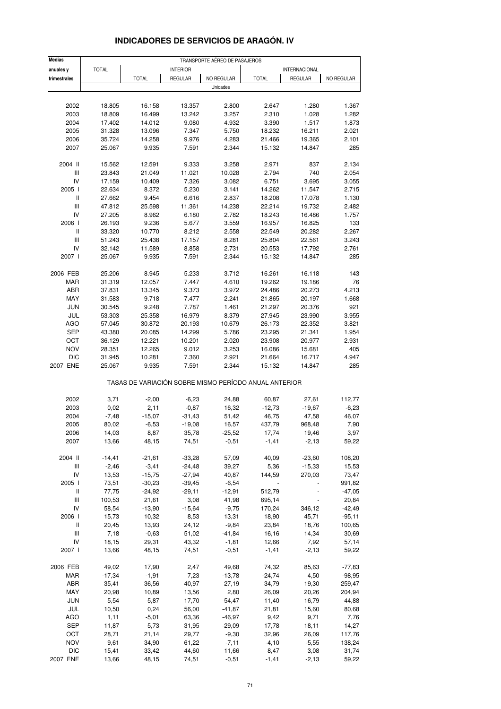| <b>Medias</b>                      | TRANSPORTE AÉREO DE PASAJEROS |                                                       |                  |                      |                  |                  |                      |  |
|------------------------------------|-------------------------------|-------------------------------------------------------|------------------|----------------------|------------------|------------------|----------------------|--|
| anuales y                          | <b>TOTAL</b>                  |                                                       | <b>INTERIOR</b>  |                      |                  | INTERNACIONAL    |                      |  |
| trimestrales                       |                               | <b>TOTAL</b>                                          | <b>REGULAR</b>   | NO REGULAR           | <b>TOTAL</b>     | <b>REGULAR</b>   | NO REGULAR           |  |
|                                    |                               |                                                       |                  | Unidades             |                  |                  |                      |  |
|                                    |                               |                                                       |                  |                      |                  |                  |                      |  |
| 2002                               | 18.805                        | 16.158                                                | 13.357           | 2.800                | 2.647            | 1.280            | 1.367                |  |
| 2003                               | 18.809                        | 16.499                                                | 13.242           | 3.257                | 2.310            | 1.028            | 1.282                |  |
| 2004                               | 17.402                        | 14.012                                                | 9.080            | 4.932                | 3.390            | 1.517            | 1.873                |  |
| 2005                               | 31.328                        | 13.096                                                | 7.347            | 5.750                | 18.232           | 16.211           | 2.021                |  |
| 2006                               | 35.724                        | 14.258                                                | 9.976            | 4.283                | 21.466<br>15.132 | 19.365           | 2.101<br>285         |  |
| 2007                               | 25.067                        | 9.935                                                 | 7.591            | 2.344                |                  | 14.847           |                      |  |
| 2004 II                            | 15.562                        | 12.591                                                | 9.333            | 3.258                | 2.971            | 837              | 2.134                |  |
| Ш                                  | 23.843                        | 21.049                                                | 11.021           | 10.028               | 2.794            | 740              | 2.054                |  |
| IV                                 | 17.159                        | 10.409                                                | 7.326            | 3.082                | 6.751            | 3.695            | 3.055                |  |
| 2005 l                             | 22.634                        | 8.372                                                 | 5.230            | 3.141                | 14.262           | 11.547           | 2.715                |  |
| $\,$ $\,$ $\,$ $\,$                | 27.662                        | 9.454                                                 | 6.616            | 2.837                | 18.208           | 17.078           | 1.130                |  |
| Ш                                  | 47.812                        | 25.598                                                | 11.361           | 14.238               | 22.214           | 19.732           | 2.482                |  |
| IV<br>2006                         | 27.205                        | 8.962<br>9.236                                        | 6.180<br>5.677   | 2.782<br>3.559       | 18.243           | 16.486<br>16.825 | 1.757<br>133         |  |
| Ш                                  | 26.193<br>33.320              | 10.770                                                | 8.212            | 2.558                | 16.957<br>22.549 | 20.282           | 2.267                |  |
| $\ensuremath{\mathsf{III}}\xspace$ | 51.243                        | 25.438                                                | 17.157           | 8.281                | 25.804           | 22.561           | 3.243                |  |
| IV                                 | 32.142                        | 11.589                                                | 8.858            | 2.731                | 20.553           | 17.792           | 2.761                |  |
| 2007 l                             | 25.067                        | 9.935                                                 | 7.591            | 2.344                | 15.132           | 14.847           | 285                  |  |
|                                    |                               |                                                       |                  |                      |                  |                  |                      |  |
| 2006 FEB                           | 25.206                        | 8.945                                                 | 5.233            | 3.712                | 16.261           | 16.118           | 143                  |  |
| MAR                                | 31.319                        | 12.057                                                | 7.447            | 4.610                | 19.262           | 19.186           | 76                   |  |
| ABR<br>MAY                         | 37.831                        | 13.345<br>9.718                                       | 9.373<br>7.477   | 3.972<br>2.241       | 24.486           | 20.273           | 4.213                |  |
| <b>JUN</b>                         | 31.583<br>30.545              | 9.248                                                 | 7.787            | 1.461                | 21.865<br>21.297 | 20.197<br>20.376 | 1.668<br>921         |  |
| JUL                                | 53.303                        | 25.358                                                | 16.979           | 8.379                | 27.945           | 23.990           | 3.955                |  |
| AGO                                | 57.045                        | 30.872                                                | 20.193           | 10.679               | 26.173           | 22.352           | 3.821                |  |
| <b>SEP</b>                         | 43.380                        | 20.085                                                | 14.299           | 5.786                | 23.295           | 21.341           | 1.954                |  |
| OCT                                | 36.129                        | 12.221                                                | 10.201           | 2.020                | 23.908           | 20.977           | 2.931                |  |
| <b>NOV</b>                         | 28.351                        | 12.265                                                | 9.012            | 3.253                | 16.086           | 15.681           | 405                  |  |
| <b>DIC</b>                         | 31.945                        | 10.281                                                | 7.360            | 2.921                | 21.664           | 16.717           | 4.947                |  |
| 2007 ENE                           | 25.067                        | 9.935                                                 | 7.591            | 2.344                | 15.132           | 14.847           | 285                  |  |
|                                    |                               | TASAS DE VARIACIÓN SOBRE MISMO PERÍODO ANUAL ANTERIOR |                  |                      |                  |                  |                      |  |
| 2002                               | 3,71                          | $-2,00$                                               | $-6,23$          | 24,88                | 60,87            | 27,61            | 112,77               |  |
| 2003                               | 0,02                          | 2,11                                                  | $-0,87$          | 16,32                | $-12,73$         | $-19,67$         | $-6,23$              |  |
| 2004                               | $-7,48$                       | $-15,07$                                              | $-31,43$         | 51,42                | 46,75            | 47,58            | 46,07                |  |
| 2005                               | 80,02                         | $-6,53$                                               | $-19,08$         | 16,57                | 437,79           | 968,48           | 7,90                 |  |
| 2006                               | 14,03                         | 8,87                                                  | 35,78            | $-25,52$             | 17,74            | 19,46            | 3,97                 |  |
| 2007                               | 13,66                         | 48,15                                                 | 74,51            | $-0,51$              | $-1,41$          | $-2,13$          | 59,22                |  |
| 2004 II                            | $-14,41$                      | $-21,61$                                              | $-33,28$         | 57,09                | 40,09            | $-23,60$         | 108,20               |  |
| Ш                                  | $-2,46$                       | $-3,41$                                               | $-24,48$         | 39,27                | 5,36             | $-15,33$         | 15,53                |  |
| IV                                 | 13,53                         | $-15,75$                                              | $-27,94$         | 40,87                | 144,59           | 270,03           | 73,47                |  |
| 2005 l                             | 73,51                         | $-30,23$                                              | $-39,45$         | $-6,54$              |                  |                  | 991,82               |  |
| Ш                                  | 77,75                         | $-24,92$                                              | $-29,11$         | $-12,91$             | 512,79           |                  | $-47,05$             |  |
| Ш<br>IV                            | 100,53                        | 21,61                                                 | 3,08             | 41,98                | 695,14           | 346,12           | 20,84                |  |
| 2006                               | 58,54<br>15,73                | $-13,90$<br>10,32                                     | $-15,64$<br>8,53 | $-9,75$<br>13,31     | 170,24<br>18,90  | 45,71            | $-42,49$<br>$-95,11$ |  |
| Ш                                  | 20,45                         | 13,93                                                 | 24,12            | $-9,84$              | 23,84            | 18,76            | 100,65               |  |
| Ш                                  | 7,18                          | $-0,63$                                               | 51,02            | $-41,84$             | 16,16            | 14,34            | 30,69                |  |
| IV                                 | 18,15                         | 29,31                                                 | 43,32            | $-1,81$              | 12,66            | 7,92             | 57,14                |  |
| 2007 l                             | 13,66                         | 48,15                                                 | 74,51            | $-0,51$              | $-1,41$          | $-2,13$          | 59,22                |  |
| 2006 FEB                           | 49,02                         | 17,90                                                 | 2,47             | 49,68                | 74,32            | 85,63            | $-77,83$             |  |
| MAR                                | $-17,34$                      | $-1,91$                                               | 7,23             | $-13,78$             | $-24,74$         | 4,50             | $-98,95$             |  |
| ABR                                | 35,41                         | 36,56                                                 | 40,97            | 27,19                | 34,79            | 19,30            | 259,47               |  |
| MAY                                | 20,98                         | 10,89                                                 | 13,56            | 2,80                 | 26,09            | 20,26            | 204,94               |  |
| <b>JUN</b>                         | 5,54                          | $-5,87$                                               | 17,70            | $-54,47$             | 11,40            | 16,79            | $-44,88$             |  |
| JUL<br><b>AGO</b>                  | 10,50<br>1,11                 | 0,24<br>$-5,01$                                       | 56,00<br>63,36   | $-41,87$<br>$-46,97$ | 21,81<br>9,42    | 15,60<br>9,71    | 80,68<br>7,76        |  |
| <b>SEP</b>                         | 11,87                         | 5,73                                                  | 31,95            | $-29,09$             | 17,78            | 18,11            | 14,27                |  |
| OCT                                | 28,71                         | 21,14                                                 | 29,77            | $-9,30$              | 32,96            | 26,09            | 117,76               |  |
| <b>NOV</b>                         | 9,61                          | 34,90                                                 | 61,22            | $-7,11$              | $-4,10$          | $-5,55$          | 138,24               |  |
| <b>DIC</b>                         | 15,41                         | 33,42                                                 | 44,60            | 11,66                | 8,47             | 3,08             | 31,74                |  |
| 2007 ENE                           | 13,66                         | 48,15                                                 | 74,51            | $-0,51$              | $-1,41$          | $-2,13$          | 59,22                |  |

### **INDICADORES DE SERVICIOS DE ARAGÓN. IV**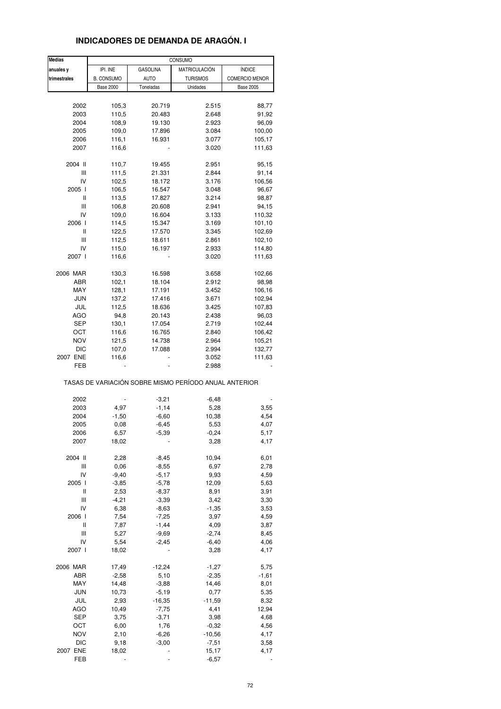#### **Medias anuales v IPI. INE GASOLINA MATRICULACIÓN MEXICALES trimestrales** B. CONSUMO AUTO TURISMOS COMERCIO MENOR Base 2000 Toneladas Unidades Base 2005 2002 105,3 20.719 2.515 88,77 2003 110,5 20.483 2.648 91,92 2004 108,9 19.130 2.923 96,09 2005 109,0 17.896 3.084 100,00 2006 116,1 16.931 3.077 105,17 2007 116,6 - 3.020 111,63 2004 II 110,7 19.455 2.951 95,15 III 111,5 21.331 2.844 91,14 IV 102,5 18.172 3.176 106,56 2005 I 106,5 16.547 3.048 96,67 II 113,5 17.827 3.214 98,87 III 106,8 20.608 2.941 94,15 IV 109,0 16.604 3.133 110,32 2006 I 114,5 15.347 3.169 101,10 II 122,5 17.570 3.345 102,69 III 112,5 18.611 2.861 102,10 IV 115,0 16.197 2.933 114,80 2007 I 116,6 - 3.020 111,63 2006 MAR 130,3 16.598 3.658 102,66 ABR 102,1 18.104 2.912 98,98 MAY 128,1 17.191 3.452 106,16 JUN 137,2 17.416 3.671 102,94 JUL 112,5 18.636 3.425 107,83 AGO 94,8 20.143 2.438 96,03 SEP 130,1 17.054 2.719 102,44 OCT 116,6 16.765 2.840 106,42 NOV 121,5 14.738 2.964 105,21 DIC 107,0 17.088 2.994 132,77 2007 ENE 116,6 - 3.052 111,63 FEB - - 2.988 - TASAS DE VARIACIÓN SOBRE MISMO PERÍODO ANUAL ANTERIOR 2002 - - -3,21 - -6,48 -2003 4,97 -1,14 5,28 3,55 2004 -1,50 -6,60 10,38 4,54 2005 0,08 -6,45 5,53 4,07 2006 6,57 -5,39 -0,24 5,17 2007 18,02 - 3,28 4,17 2004 II 2,28 -8,45 10,94 6,01 III 0,06 -8,55 6,97 2,78 IV -9,40 -5,17 9,93 4,59 2005 I -3,85 -5,78 12,09 5,63 II 2,53 -8,37 8,91 3,91 III -4,21 -3,39 -3,42 -3,30 IV 6,38 -8,63 -1,35 3,53 2006 I 7,54 -7,25 3,97 4,59 II 7,87 -1,44 4,09 3,87 III 5,27 -9,69 -2,74 8,45 IV 5,54 -2,45 -6,40 -6,40 2007 I 18,02 - 3,28 4,17 2006 MAR 17,49 -12,24 -1,27 5,75 ABR -2,58 5,10 -2,35 -1,61 MAY 14,48 -3,88 14,46 8,01 JUN 10,73 -5,19 0,77 5,35 JUL 2,93 -16,35 -11,59 8,32 AGO 10,49 -7,75 4,41 12,94 SEP 3,75 -3,71 3,98 4,68 OCT 6,00 1,76 -0,32 4,56 NOV 2,10 -6,26 -10,56 4,17 DIC 9,18 -3,00 -7,51 3,58 2007 ENE 18,02 - 15,17 4,17 CONSUMO

FEB - - -6,57 -

#### **INDICADORES DE DEMANDA DE ARAGÓN. I**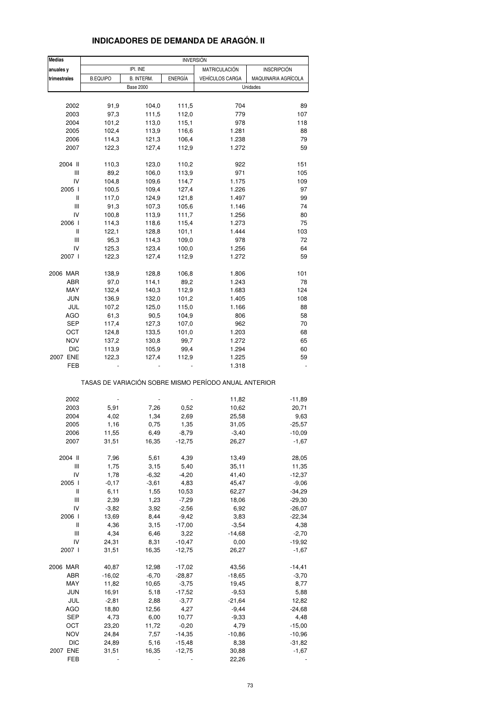# **INDICADORES DE DEMANDA DE ARAGÓN. II**

| <b>Medias</b> |                 |                  |          | <b>INVERSIÓN</b>                                      |                     |  |  |  |
|---------------|-----------------|------------------|----------|-------------------------------------------------------|---------------------|--|--|--|
| anuales y     |                 | IPI. INE         |          | MATRICULACIÓN                                         | <b>INSCRIPCIÓN</b>  |  |  |  |
| trimestrales  | <b>B.EQUIPO</b> | B. INTERM.       | ENERGÍA  | <b>VEHÍCULOS CARGA</b>                                | MAQUINARIA AGRÍCOLA |  |  |  |
|               |                 | <b>Base 2000</b> |          |                                                       | Unidades            |  |  |  |
|               |                 |                  |          |                                                       |                     |  |  |  |
|               |                 |                  |          |                                                       |                     |  |  |  |
| 2002          | 91,9            | 104,0            | 111,5    | 704                                                   | 89                  |  |  |  |
| 2003          | 97,3            | 111,5            | 112,0    | 779                                                   | 107                 |  |  |  |
| 2004          | 101,2           | 113,0            | 115,1    | 978                                                   | 118                 |  |  |  |
| 2005          | 102,4           | 113,9            | 116,6    | 1.281                                                 | 88                  |  |  |  |
| 2006          | 114,3           | 121,3            | 106,4    | 1.238                                                 | 79                  |  |  |  |
| 2007          | 122,3           | 127,4            | 112,9    | 1.272                                                 | 59                  |  |  |  |
|               |                 |                  |          |                                                       |                     |  |  |  |
| 2004 II       | 110,3           | 123,0            | 110,2    | 922                                                   | 151                 |  |  |  |
| Ш             | 89,2            | 106,0            | 113,9    | 971                                                   | 105                 |  |  |  |
| IV            | 104,8           | 109,6            | 114,7    | 1.175                                                 | 109                 |  |  |  |
| 2005 l        | 100,5           | 109,4            | 127,4    | 1.226                                                 | 97                  |  |  |  |
| Ш             |                 |                  |          |                                                       | 99                  |  |  |  |
|               | 117,0           | 124,9            | 121,8    | 1.497                                                 |                     |  |  |  |
| Ш             | 91,3            | 107,3            | 105,6    | 1.146                                                 | 74                  |  |  |  |
| IV            | 100,8           | 113,9            | 111,7    | 1.256                                                 | 80                  |  |  |  |
| 2006          | 114,3           | 118,6            | 115,4    | 1.273                                                 | 75                  |  |  |  |
| Ш             | 122,1           | 128,8            | 101,1    | 1.444                                                 | 103                 |  |  |  |
| Ш             | 95,3            | 114,3            | 109,0    | 978                                                   | 72                  |  |  |  |
| IV            | 125,3           | 123,4            | 100,0    | 1.256                                                 | 64                  |  |  |  |
| 2007 l        | 122,3           | 127,4            | 112,9    | 1.272                                                 | 59                  |  |  |  |
|               |                 |                  |          |                                                       |                     |  |  |  |
| 2006 MAR      | 138,9           | 128,8            | 106,8    | 1.806                                                 | 101                 |  |  |  |
| ABR           | 97,0            | 114,1            | 89,2     | 1.243                                                 | 78                  |  |  |  |
| MAY           | 132,4           | 140,3            | 112,9    | 1.683                                                 | 124                 |  |  |  |
|               |                 |                  |          |                                                       |                     |  |  |  |
| <b>JUN</b>    | 136,9           | 132,0            | 101,2    | 1.405                                                 | 108                 |  |  |  |
| JUL           | 107,2           | 125,0            | 115,0    | 1.166                                                 | 88                  |  |  |  |
| <b>AGO</b>    | 61,3            | 90,5             | 104,9    | 806                                                   | 58                  |  |  |  |
| SEP           | 117,4           | 127,3            | 107,0    | 962                                                   | 70                  |  |  |  |
| OCT           | 124,8           | 133,5            | 101,0    | 1.203                                                 | 68                  |  |  |  |
| NOV           | 137,2           | 130,8            | 99,7     | 1.272                                                 | 65                  |  |  |  |
| <b>DIC</b>    | 113,9           | 105,9            | 99,4     | 1.294                                                 | 60                  |  |  |  |
| 2007 ENE      | 122,3           | 127,4            | 112,9    | 1.225                                                 | 59                  |  |  |  |
| FEB           |                 |                  |          | 1.318                                                 |                     |  |  |  |
|               |                 |                  |          | TASAS DE VARIACIÓN SOBRE MISMO PERÍODO ANUAL ANTERIOR |                     |  |  |  |
| 2002          |                 |                  |          | 11,82                                                 | $-11,89$            |  |  |  |
| 2003          | 5,91            | 7,26             | 0,52     | 10,62                                                 | 20,71               |  |  |  |
| 2004          | 4,02            | 1,34             | 2,69     | 25,58                                                 | 9,63                |  |  |  |
| 2005          |                 |                  | 1,35     |                                                       | $-25,57$            |  |  |  |
|               | 1,16            | 0,75             |          | 31,05                                                 |                     |  |  |  |
| 2006          | 11,55           | 6,49             | $-8,79$  | $-3,40$                                               | $-10,09$            |  |  |  |
| 2007          | 31,51           | 16,35            | $-12,75$ | 26,27                                                 | $-1,67$             |  |  |  |
|               |                 |                  |          |                                                       |                     |  |  |  |
| 2004 II       | 7,96            | 5,61             | 4,39     | 13,49                                                 | 28,05               |  |  |  |
| Ш             | 1,75            | 3,15             | 5,40     | 35,11                                                 | 11,35               |  |  |  |
| IV            | 1,78            | $-6,32$          | $-4,20$  | 41,40                                                 | $-12,37$            |  |  |  |
| 2005 l        | $-0,17$         | $-3,61$          | 4,83     | 45,47                                                 | $-9,06$             |  |  |  |
| Ш             | 6,11            | 1,55             | 10,53    | 62,27                                                 | $-34,29$            |  |  |  |
| Ш             | 2,39            | 1,23             | $-7,29$  | 18,06                                                 | $-29,30$            |  |  |  |
| IV            | $-3,82$         | 3,92             | $-2,56$  | 6,92                                                  | $-26,07$            |  |  |  |
| 2006          | 13,69           | 8,44             | $-9,42$  | 3,83                                                  | $-22,34$            |  |  |  |
| Ш             | 4,36            | 3,15             | $-17,00$ | $-3,54$                                               | 4,38                |  |  |  |
| Ш             | 4,34            | 6,46             | 3,22     | $-14,68$                                              | $-2,70$             |  |  |  |
|               |                 |                  |          |                                                       |                     |  |  |  |
| IV            | 24,31           | 8,31             | $-10,47$ | 0,00                                                  | $-19,92$            |  |  |  |
| 2007 l        | 31,51           | 16,35            | $-12,75$ | 26,27                                                 | $-1,67$             |  |  |  |
|               |                 |                  |          |                                                       |                     |  |  |  |
| 2006 MAR      | 40,87           | 12,98            | $-17,02$ | 43,56                                                 | $-14,41$            |  |  |  |
| ABR           | $-16,02$        | $-6,70$          | $-28,87$ | $-18,65$                                              | $-3,70$             |  |  |  |
| MAY           | 11,82           | 10,65            | $-3,75$  | 19,45                                                 | 8,77                |  |  |  |
| <b>JUN</b>    | 16,91           | 5,18             | $-17,52$ | $-9,53$                                               | 5,88                |  |  |  |
| JUL           | $-2,81$         | 2,88             | $-3,77$  | -21,64                                                | 12,82               |  |  |  |
| <b>AGO</b>    | 18,80           | 12,56            | 4,27     | $-9,44$                                               | $-24,68$            |  |  |  |
| <b>SEP</b>    | 4,73            | 6,00             | 10,77    | $-9,33$                                               | 4,48                |  |  |  |
| OCT           | 23,20           | 11,72            | $-0,20$  | 4,79                                                  | $-15,00$            |  |  |  |
| NOV           | 24,84           | 7,57             |          | $-10,86$                                              |                     |  |  |  |
|               |                 |                  | $-14,35$ |                                                       | $-10,96$            |  |  |  |
| <b>DIC</b>    | 24,89           | 5,16             | $-15,48$ | 8,38                                                  | $-31,82$            |  |  |  |
| 2007 ENE      | 31,51           | 16,35            | $-12,75$ | 30,88                                                 | $-1,67$             |  |  |  |
| FEB           |                 |                  |          | 22,26                                                 |                     |  |  |  |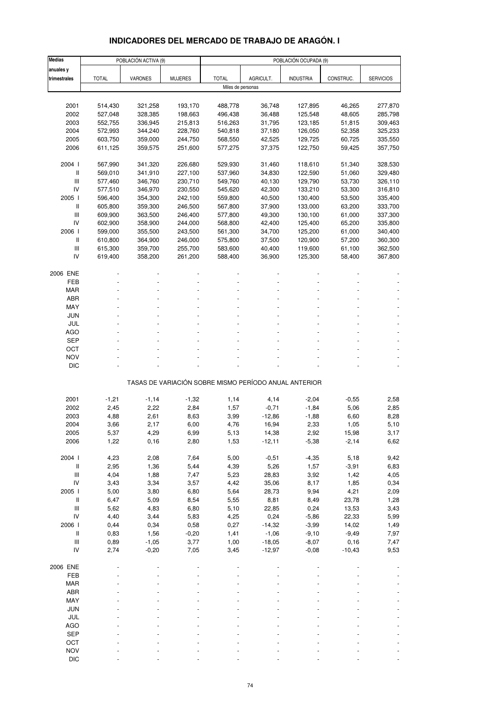# **INDICADORES DEL MERCADO DE TRABAJO DE ARAGÓN. I**

| <b>Medias</b>                                        |              | POBLACIÓN ACTIVA (9) |                | POBLACIÓN OCUPADA (9) |                |                                                       |              |                  |  |  |  |
|------------------------------------------------------|--------------|----------------------|----------------|-----------------------|----------------|-------------------------------------------------------|--------------|------------------|--|--|--|
| anuales y                                            |              |                      |                |                       |                |                                                       |              |                  |  |  |  |
| trimestrales                                         | <b>TOTAL</b> | VARONES              | <b>MUJERES</b> | <b>TOTAL</b>          | AGRICULT.      | <b>INDUSTRIA</b>                                      | CONSTRUC.    | <b>SERVICIOS</b> |  |  |  |
|                                                      |              |                      |                | Miles de personas     |                |                                                       |              |                  |  |  |  |
|                                                      |              |                      |                |                       |                |                                                       |              |                  |  |  |  |
| 2001                                                 | 514,430      | 321,258              | 193,170        | 488,778               | 36,748         | 127,895                                               | 46,265       | 277,870          |  |  |  |
| 2002                                                 | 527,048      | 328,385              | 198,663        | 496,438               | 36,488         | 125,548                                               | 48,605       | 285,798          |  |  |  |
| 2003                                                 | 552,755      | 336,945              | 215,813        | 516,263               | 31,795         | 123,185                                               | 51,815       | 309,463          |  |  |  |
| 2004                                                 | 572,993      | 344,240              | 228,760        | 540,818               | 37,180         | 126,050                                               | 52,358       | 325,233          |  |  |  |
| 2005                                                 | 603,750      | 359,000              | 244,750        | 568,550               | 42,525         | 129,725                                               | 60,725       | 335,550          |  |  |  |
| 2006                                                 | 611,125      | 359,575              | 251,600        | 577,275               | 37,375         | 122,750                                               | 59,425       | 357,750          |  |  |  |
| 2004 l                                               | 567,990      | 341,320              | 226,680        | 529,930               | 31,460         | 118,610                                               | 51,340       | 328,530          |  |  |  |
| $\mathsf{I}$                                         | 569,010      | 341,910              | 227,100        | 537,960               | 34,830         | 122,590                                               | 51,060       | 329,480          |  |  |  |
| $\mathsf{III}$                                       | 577,460      | 346,760              | 230,710        | 549,760               | 40,130         | 129,790                                               | 53,730       | 326,110          |  |  |  |
| IV                                                   | 577,510      | 346,970              | 230,550        | 545,620               | 42,300         | 133,210                                               | 53,300       | 316,810          |  |  |  |
| 2005 l                                               | 596,400      | 354,300              | 242,100        | 559,800               | 40,500         | 130,400                                               | 53,500       | 335,400          |  |  |  |
| $\mathsf{I}$                                         | 605,800      | 359,300              | 246,500        | 567,800               | 37,900         | 133,000                                               | 63,200       | 333,700          |  |  |  |
| $\mathsf{III}$                                       | 609,900      | 363,500              | 246,400        | 577,800               | 49,300         | 130,100                                               | 61,000       | 337,300          |  |  |  |
| IV                                                   | 602,900      | 358,900              | 244,000        | 568,800               | 42,400         | 125,400                                               | 65,200       | 335,800          |  |  |  |
| 2006                                                 | 599,000      | 355,500              | 243,500        | 561,300               | 34,700         | 125,200                                               | 61,000       | 340,400          |  |  |  |
| $\mathsf{I}$                                         | 610,800      | 364,900              | 246,000        | 575,800               | 37,500         | 120,900                                               | 57,200       | 360,300          |  |  |  |
| $\mathsf{III}$                                       | 615,300      | 359,700              | 255,700        | 583,600               | 40,400         | 119,600                                               | 61,100       | 362,500          |  |  |  |
| IV                                                   | 619,400      | 358,200              | 261,200        | 588,400               | 36,900         | 125,300                                               | 58,400       | 367,800          |  |  |  |
|                                                      |              |                      |                |                       |                |                                                       |              |                  |  |  |  |
| 2006 ENE<br>FEB                                      |              |                      |                |                       |                |                                                       |              |                  |  |  |  |
| <b>MAR</b>                                           |              |                      |                |                       |                |                                                       |              |                  |  |  |  |
| <b>ABR</b>                                           |              |                      |                |                       |                |                                                       |              |                  |  |  |  |
| MAY                                                  |              |                      |                |                       |                |                                                       |              |                  |  |  |  |
| <b>JUN</b>                                           |              |                      |                |                       |                |                                                       |              |                  |  |  |  |
| JUL                                                  |              |                      |                |                       |                |                                                       |              |                  |  |  |  |
| AGO                                                  |              |                      |                |                       |                |                                                       |              |                  |  |  |  |
| <b>SEP</b>                                           |              |                      |                |                       |                |                                                       |              |                  |  |  |  |
| OCT                                                  |              |                      |                |                       |                |                                                       |              |                  |  |  |  |
| <b>NOV</b>                                           |              |                      |                |                       |                |                                                       |              |                  |  |  |  |
| <b>DIC</b>                                           |              |                      |                |                       |                |                                                       |              |                  |  |  |  |
|                                                      |              |                      |                |                       |                | TASAS DE VARIACIÓN SOBRE MISMO PERÍODO ANUAL ANTERIOR |              |                  |  |  |  |
|                                                      |              |                      |                |                       |                |                                                       |              |                  |  |  |  |
| 2001                                                 | $-1,21$      | $-1,14$              | $-1,32$        | 1,14                  | 4,14           | $-2,04$                                               | $-0,55$      | 2,58             |  |  |  |
| 2002                                                 | 2,45         | 2,22                 | 2,84           | 1,57                  | $-0,71$        | $-1,84$                                               | 5,06         | 2,85             |  |  |  |
| 2003                                                 | 4,88         | 2,61                 | 8,63           | 3,99                  | $-12,86$       | $-1,88$                                               | 6,60         | 8,28             |  |  |  |
| 2004                                                 | 3,66         | 2,17                 | 6,00           | 4,76                  | 16,94          | 2,33                                                  | 1,05         | 5,10             |  |  |  |
| 2005                                                 | 5,37         | 4,29                 | 6,99           | 5,13                  | 14,38          | 2,92                                                  | 15,98        | 3,17             |  |  |  |
| 2006                                                 | 1,22         | 0, 16                | 2,80           | 1,53                  | $-12,11$       | $-5,38$                                               | $-2,14$      | 6,62             |  |  |  |
|                                                      |              |                      |                |                       |                |                                                       |              |                  |  |  |  |
| 2004 l                                               | 4,23         | 2,08                 | 7,64           | 5,00                  | $-0,51$        | $-4,35$                                               | 5,18         | 9,42             |  |  |  |
| $\, \parallel$<br>$\ensuremath{\mathsf{III}}\xspace$ | 2,95         | 1,36                 | 5,44           | 4,39                  | 5,26           | 1,57                                                  | $-3,91$      | 6,83             |  |  |  |
| ${\sf IV}$                                           | 4,04<br>3,43 | 1,88<br>3,34         | 7,47<br>3,57   | 5,23<br>4,42          | 28,83<br>35,06 | 3,92<br>8,17                                          | 1,42<br>1,85 | 4,05<br>0,34     |  |  |  |
| 2005 l                                               | 5,00         | 3,80                 | 6,80           | 5,64                  | 28,73          | 9,94                                                  | 4,21         | 2,09             |  |  |  |
| $\, \parallel$                                       | 6,47         | 5,09                 | 8,54           | 5,55                  | 8,81           | 8,49                                                  | 23,78        | 1,28             |  |  |  |
| $\ensuremath{\mathsf{III}}\xspace$                   | 5,62         | 4,83                 | 6,80           | 5,10                  | 22,85          | 0,24                                                  | 13,53        | 3,43             |  |  |  |
| IV                                                   | 4,40         | 3,44                 | 5,83           | 4,25                  | 0,24           | $-5,86$                                               | 22,33        | 5,99             |  |  |  |
| 2006                                                 | 0,44         | 0,34                 | 0,58           | 0,27                  | $-14,32$       | $-3,99$                                               | 14,02        | 1,49             |  |  |  |
| $\, \parallel$                                       | 0,83         | 1,56                 | $-0,20$        | 1,41                  | $-1,06$        | $-9,10$                                               | $-9,49$      | 7,97             |  |  |  |
| III                                                  | 0,89         | $-1,05$              | 3,77           | 1,00                  | $-18,05$       | $-8,07$                                               | 0, 16        | 7,47             |  |  |  |
| IV                                                   | 2,74         | $-0,20$              | 7,05           | 3,45                  | $-12,97$       | $-0,08$                                               | $-10,43$     | 9,53             |  |  |  |
|                                                      |              |                      |                |                       |                |                                                       |              |                  |  |  |  |
| 2006 ENE                                             |              |                      |                |                       |                |                                                       |              |                  |  |  |  |
| FEB                                                  |              |                      |                |                       |                |                                                       |              |                  |  |  |  |
| MAR                                                  |              |                      |                |                       |                |                                                       |              |                  |  |  |  |
| ABR                                                  |              |                      |                |                       |                |                                                       |              |                  |  |  |  |
| MAY<br><b>JUN</b>                                    |              |                      |                |                       |                |                                                       |              |                  |  |  |  |
| JUL                                                  |              |                      |                |                       |                |                                                       |              |                  |  |  |  |
| <b>AGO</b>                                           |              |                      |                |                       |                |                                                       |              |                  |  |  |  |
| <b>SEP</b>                                           |              |                      |                |                       |                |                                                       |              |                  |  |  |  |
| OCT                                                  |              |                      |                |                       |                |                                                       |              |                  |  |  |  |
| <b>NOV</b>                                           |              |                      |                |                       |                |                                                       |              |                  |  |  |  |
| <b>DIC</b>                                           |              |                      |                |                       |                |                                                       |              |                  |  |  |  |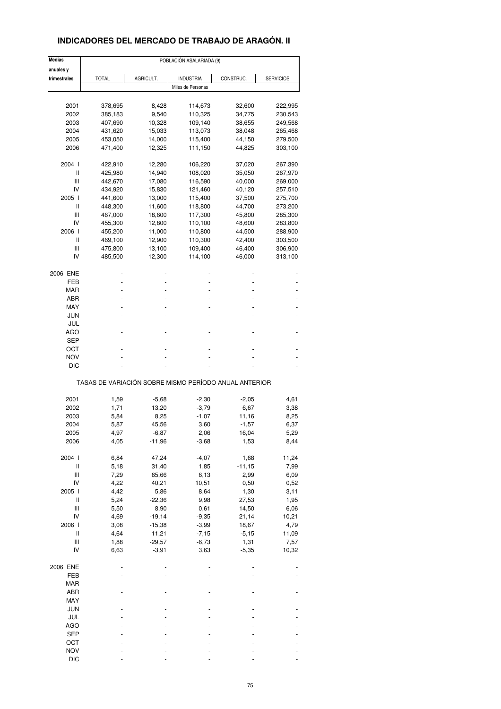# **INDICADORES DEL MERCADO DE TRABAJO DE ARAGÓN. II**

| <b>Medias</b>                      | POBLACIÓN ASALARIADA (9)                              |           |                   |           |                  |  |  |  |  |
|------------------------------------|-------------------------------------------------------|-----------|-------------------|-----------|------------------|--|--|--|--|
| anuales y                          |                                                       |           |                   |           |                  |  |  |  |  |
| trimestrales                       | <b>TOTAL</b>                                          | AGRICULT. | <b>INDUSTRIA</b>  | CONSTRUC. | <b>SERVICIOS</b> |  |  |  |  |
|                                    |                                                       |           | Miles de Personas |           |                  |  |  |  |  |
|                                    |                                                       |           |                   |           |                  |  |  |  |  |
| 2001                               | 378,695                                               | 8,428     | 114,673           | 32,600    | 222,995          |  |  |  |  |
| 2002                               | 385,183                                               | 9,540     | 110,325           | 34,775    | 230,543          |  |  |  |  |
| 2003                               | 407,690                                               | 10,328    | 109,140           | 38,655    | 249,568          |  |  |  |  |
| 2004                               | 431,620                                               | 15,033    | 113,073           | 38,048    | 265,468          |  |  |  |  |
| 2005                               | 453,050                                               | 14,000    | 115,400           | 44,150    | 279,500          |  |  |  |  |
| 2006                               | 471,400                                               | 12,325    | 111,150           | 44,825    | 303,100          |  |  |  |  |
|                                    |                                                       |           |                   |           |                  |  |  |  |  |
| 2004 l                             | 422,910                                               | 12,280    | 106,220           | 37,020    | 267,390          |  |  |  |  |
| Ш                                  | 425,980                                               | 14,940    | 108,020           | 35,050    | 267,970          |  |  |  |  |
| Ш                                  | 442,670                                               | 17,080    | 116,590           | 40,000    | 269,000          |  |  |  |  |
| IV                                 | 434,920                                               | 15,830    | 121,460           | 40,120    | 257,510          |  |  |  |  |
| 2005 l                             | 441,600                                               | 13,000    | 115,400           | 37,500    | 275,700          |  |  |  |  |
| Ш                                  |                                                       | 11,600    |                   | 44,700    |                  |  |  |  |  |
|                                    | 448,300                                               |           | 118,800           |           | 273,200          |  |  |  |  |
| Ш                                  | 467,000                                               | 18,600    | 117,300           | 45,800    | 285,300          |  |  |  |  |
| IV                                 | 455,300                                               | 12,800    | 110,100           | 48,600    | 283,800          |  |  |  |  |
| 2006 l                             | 455,200                                               | 11,000    | 110,800           | 44,500    | 288,900          |  |  |  |  |
| Ш                                  | 469,100                                               | 12,900    | 110,300           | 42,400    | 303,500          |  |  |  |  |
| Ш                                  | 475,800                                               | 13,100    | 109,400           | 46,400    | 306,900          |  |  |  |  |
| IV                                 | 485,500                                               | 12,300    | 114,100           | 46,000    | 313,100          |  |  |  |  |
|                                    |                                                       |           |                   |           |                  |  |  |  |  |
| 2006 ENE                           |                                                       |           |                   |           |                  |  |  |  |  |
| FEB                                |                                                       |           |                   |           |                  |  |  |  |  |
| MAR                                |                                                       |           |                   |           |                  |  |  |  |  |
| ABR                                |                                                       |           |                   |           |                  |  |  |  |  |
| MAY                                |                                                       |           |                   |           |                  |  |  |  |  |
| JUN                                |                                                       |           |                   |           |                  |  |  |  |  |
| JUL                                |                                                       |           |                   |           |                  |  |  |  |  |
| AGO                                |                                                       |           |                   |           |                  |  |  |  |  |
| SEP                                |                                                       |           |                   |           |                  |  |  |  |  |
| ост                                |                                                       |           |                   |           |                  |  |  |  |  |
| <b>NOV</b>                         |                                                       |           |                   |           |                  |  |  |  |  |
| DIC                                |                                                       |           |                   |           |                  |  |  |  |  |
|                                    |                                                       |           |                   |           |                  |  |  |  |  |
|                                    | TASAS DE VARIACIÓN SOBRE MISMO PERÍODO ANUAL ANTERIOR |           |                   |           |                  |  |  |  |  |
|                                    |                                                       |           |                   |           |                  |  |  |  |  |
| 2001                               | 1,59                                                  | $-5,68$   | $-2,30$           | $-2,05$   | 4,61             |  |  |  |  |
| 2002                               | 1,71                                                  | 13,20     | $-3,79$           | 6,67      | 3,38             |  |  |  |  |
| 2003                               | 5,84                                                  | 8,25      | $-1,07$           | 11,16     | 8,25             |  |  |  |  |
| 2004                               | 5,87                                                  | 45,56     | 3,60              | $-1,57$   | 6,37             |  |  |  |  |
| 2005                               | 4,97                                                  | -6,87     | 2,06              | 16,04     | 5,29             |  |  |  |  |
| 2006                               | 4,05                                                  | $-11,96$  | $-3,68$           | 1,53      | 8,44             |  |  |  |  |
|                                    |                                                       |           |                   |           |                  |  |  |  |  |
| 2004 l                             | 6,84                                                  | 47,24     | $-4,07$           | 1,68      | 11,24            |  |  |  |  |
| $\sf II$                           | 5,18                                                  | 31,40     | 1,85              | $-11,15$  | 7,99             |  |  |  |  |
| Ш                                  | 7,29                                                  | 65,66     | 6,13              | 2,99      | 6,09             |  |  |  |  |
| IV                                 | 4,22                                                  | 40,21     | 10,51             | 0,50      | 0,52             |  |  |  |  |
| 2005 l                             | 4,42                                                  | 5,86      | 8,64              | 1,30      | 3,11             |  |  |  |  |
| Ш                                  | 5,24                                                  | $-22,36$  | 9,98              | 27,53     | 1,95             |  |  |  |  |
| $\ensuremath{\mathsf{III}}\xspace$ |                                                       |           |                   | 14,50     |                  |  |  |  |  |
|                                    | 5,50                                                  | 8,90      | 0,61              |           | 6,06             |  |  |  |  |
| IV                                 | 4,69                                                  | $-19,14$  | $-9,35$           | 21,14     | 10,21            |  |  |  |  |
| 2006                               | 3,08                                                  | $-15,38$  | $-3,99$           | 18,67     | 4,79             |  |  |  |  |
| $\, \parallel$                     | 4,64                                                  | 11,21     | $-7,15$           | $-5,15$   | 11,09            |  |  |  |  |
| $\ensuremath{\mathsf{III}}\xspace$ | 1,88                                                  | $-29,57$  | $-6,73$           | 1,31      | 7,57             |  |  |  |  |
| IV                                 | 6,63                                                  | $-3,91$   | 3,63              | $-5,35$   | 10,32            |  |  |  |  |
|                                    |                                                       |           |                   |           |                  |  |  |  |  |
| 2006 ENE                           |                                                       |           |                   |           |                  |  |  |  |  |
| FEB                                |                                                       |           |                   |           |                  |  |  |  |  |
| MAR                                |                                                       |           |                   |           |                  |  |  |  |  |
| ABR                                |                                                       |           |                   |           |                  |  |  |  |  |
| MAY                                |                                                       |           |                   |           |                  |  |  |  |  |
| <b>JUN</b>                         |                                                       |           |                   |           |                  |  |  |  |  |
| JUL                                |                                                       |           |                   |           |                  |  |  |  |  |
| <b>AGO</b>                         |                                                       |           |                   |           |                  |  |  |  |  |
|                                    |                                                       |           |                   |           |                  |  |  |  |  |
| <b>SEP</b>                         |                                                       |           |                   |           |                  |  |  |  |  |
| OCT                                |                                                       |           |                   |           |                  |  |  |  |  |
| <b>NOV</b>                         |                                                       |           |                   |           |                  |  |  |  |  |
| <b>DIC</b>                         |                                                       |           |                   |           |                  |  |  |  |  |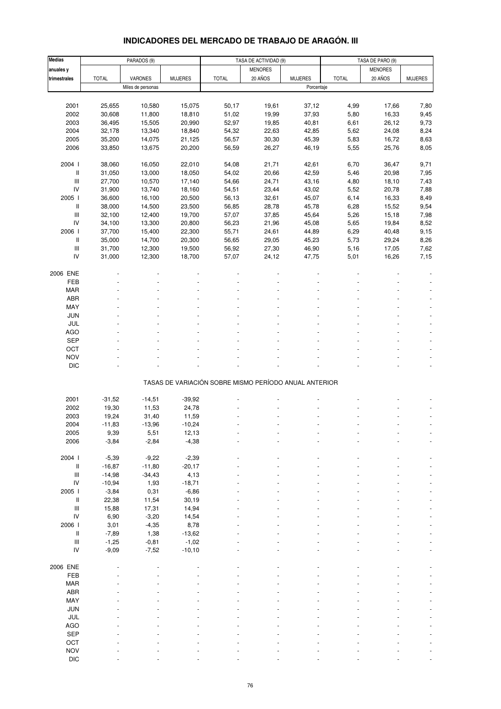# **INDICADORES DEL MERCADO DE TRABAJO DE ARAGÓN. III**

| <b>Medias</b>                      |              | PARADOS (9)       |                |                                                       | TASA DE ACTIVIDAD (9) |                |              | TASA DE PARO (9) |                |  |
|------------------------------------|--------------|-------------------|----------------|-------------------------------------------------------|-----------------------|----------------|--------------|------------------|----------------|--|
| anuales y                          |              |                   |                |                                                       | <b>MENORES</b>        |                |              | <b>MENORES</b>   |                |  |
| trimestrales                       | <b>TOTAL</b> | VARONES           | <b>MUJERES</b> | <b>TOTAL</b>                                          | 20 AÑOS               | <b>MUJERES</b> | <b>TOTAL</b> | 20 AÑOS          | <b>MUJERES</b> |  |
|                                    |              | Miles de personas |                |                                                       |                       | Porcentaje     |              |                  |                |  |
|                                    |              |                   |                |                                                       |                       |                |              |                  |                |  |
| 2001                               | 25,655       | 10,580            | 15,075         | 50,17                                                 | 19,61                 | 37,12          | 4,99         | 17,66            | 7,80           |  |
| 2002                               | 30,608       | 11,800            | 18,810         | 51,02                                                 | 19,99                 | 37,93          | 5,80         | 16,33            | 9,45           |  |
| 2003                               | 36,495       | 15,505            | 20,990         | 52,97                                                 | 19,85                 | 40,81          | 6,61         | 26,12            | 9,73           |  |
| 2004                               | 32,178       | 13,340            | 18,840         | 54,32                                                 | 22,63                 | 42,85          | 5,62         | 24,08            | 8,24           |  |
| 2005                               | 35,200       | 14,075            | 21,125         | 56,57                                                 | 30,30                 | 45,39          | 5,83         | 16,72            | 8,63           |  |
| 2006                               | 33,850       | 13,675            | 20,200         | 56,59                                                 | 26,27                 | 46,19          | 5,55         | 25,76            | 8,05           |  |
|                                    |              |                   |                |                                                       |                       |                |              |                  |                |  |
| 2004 l                             | 38,060       | 16,050            | 22,010         | 54,08                                                 | 21,71                 | 42,61          | 6,70         | 36,47            | 9,71           |  |
| Ш                                  | 31,050       | 13,000            | 18,050         | 54,02                                                 | 20,66                 | 42,59          | 5,46         | 20,98            | 7,95           |  |
| $\mathbf{III}$                     | 27,700       | 10,570            | 17,140         | 54,66                                                 | 24,71                 | 43,16          | 4,80         | 18,10            | 7,43           |  |
| IV                                 | 31,900       | 13,740            | 18,160         | 54,51                                                 | 23,44                 | 43,02          | 5,52         | 20,78            | 7,88           |  |
| 2005 l                             | 36,600       | 16,100            | 20,500         | 56,13                                                 | 32,61                 | 45,07          | 6,14         | 16,33            | 8,49           |  |
| Ш                                  | 38,000       | 14,500            | 23,500         | 56,85                                                 | 28,78                 | 45,78          | 6,28         | 15,52            | 9,54           |  |
| $\ensuremath{\mathsf{III}}\xspace$ | 32,100       | 12,400            | 19,700         | 57,07                                                 | 37,85                 | 45,64          | 5,26         | 15,18            | 7,98           |  |
| IV                                 | 34,100       | 13,300            | 20,800         | 56,23                                                 | 21,96                 | 45,08          | 5,65         | 19,84            | 8,52           |  |
| 2006                               | 37,700       | 15,400            | 22,300         | 55,71                                                 | 24,61                 | 44,89          | 6,29         | 40,48            | 9,15           |  |
| Ш                                  | 35,000       | 14,700            | 20,300         | 56,65                                                 | 29,05                 | 45,23          | 5,73         | 29,24            | 8,26           |  |
| $\ensuremath{\mathsf{III}}\xspace$ | 31,700       | 12,300            | 19,500         | 56,92                                                 | 27,30                 | 46,90          | 5,16         | 17,05            | 7,62           |  |
| IV                                 |              |                   | 18,700         |                                                       |                       |                |              |                  |                |  |
|                                    | 31,000       | 12,300            |                | 57,07                                                 | 24,12                 | 47,75          | 5,01         | 16,26            | 7,15           |  |
| 2006 ENE                           |              |                   |                |                                                       |                       |                |              |                  |                |  |
| FEB                                |              |                   |                |                                                       |                       |                |              |                  |                |  |
| <b>MAR</b>                         |              |                   |                |                                                       |                       |                |              |                  |                |  |
| <b>ABR</b>                         |              |                   |                |                                                       |                       |                |              |                  |                |  |
| MAY                                |              |                   |                |                                                       |                       |                |              |                  |                |  |
| <b>JUN</b>                         |              |                   |                |                                                       |                       |                |              |                  |                |  |
| JUL                                |              |                   |                |                                                       |                       |                |              |                  |                |  |
|                                    |              |                   |                |                                                       |                       |                |              |                  |                |  |
| <b>AGO</b>                         |              |                   |                |                                                       |                       |                |              |                  |                |  |
| <b>SEP</b>                         |              |                   |                |                                                       |                       |                |              |                  |                |  |
| OCT<br><b>NOV</b>                  |              |                   |                |                                                       |                       |                |              |                  |                |  |
| <b>DIC</b>                         |              |                   |                |                                                       |                       |                |              |                  | $\overline{a}$ |  |
|                                    |              |                   |                |                                                       |                       |                |              |                  |                |  |
|                                    |              |                   |                | TASAS DE VARIACIÓN SOBRE MISMO PERÍODO ANUAL ANTERIOR |                       |                |              |                  |                |  |
|                                    |              |                   |                |                                                       |                       |                |              |                  |                |  |
| 2001                               | $-31,52$     | $-14,51$          | $-39,92$       |                                                       |                       |                |              |                  |                |  |
| 2002                               | 19,30        | 11,53             | 24,78          |                                                       |                       |                |              |                  |                |  |
| 2003                               | 19,24        | 31,40             | 11,59          |                                                       |                       |                |              |                  |                |  |
| 2004                               | $-11,83$     | $-13,96$          | $-10,24$       |                                                       |                       |                |              |                  |                |  |
| 2005                               | 9,39         | 5,51              | 12,13          |                                                       |                       |                |              |                  |                |  |
| 2006                               | $-3,84$      | $-2,84$           | $-4,38$        |                                                       |                       |                |              |                  |                |  |
|                                    |              |                   |                |                                                       |                       |                |              |                  |                |  |
| 2004 l                             | $-5,39$      | $-9,22$           | $-2,39$        |                                                       |                       |                |              |                  |                |  |
| $\sf II$                           | $-16,87$     | $-11,80$          | $-20,17$       |                                                       |                       |                |              |                  |                |  |
| $\ensuremath{\mathsf{III}}\xspace$ | $-14,98$     | $-34,43$          | 4,13           |                                                       |                       |                |              |                  |                |  |
| IV                                 | $-10,94$     | 1,93              | $-18,71$       |                                                       |                       |                |              |                  |                |  |
| 2005 l                             | $-3,84$      | 0,31              | $-6,86$        |                                                       |                       |                |              |                  |                |  |
| $\,$ $\,$ $\,$                     | 22,38        | 11,54             | 30, 19         |                                                       |                       |                |              |                  |                |  |
| $\ensuremath{\mathsf{III}}\xspace$ | 15,88        | 17,31             | 14,94          |                                                       |                       |                |              |                  |                |  |
| IV                                 | 6,90         | $-3,20$           | 14,54          |                                                       |                       |                |              |                  |                |  |
| 2006                               | 3,01         | $-4,35$           | 8,78           |                                                       |                       |                |              |                  |                |  |
| $\, \parallel$                     | $-7,89$      | 1,38              | $-13,62$       |                                                       |                       |                |              |                  |                |  |
| $\ensuremath{\mathsf{III}}\xspace$ | $-1,25$      | $-0,81$           | $-1,02$        |                                                       |                       |                |              |                  |                |  |
| IV                                 | $-9,09$      | $-7,52$           | $-10, 10$      |                                                       |                       |                |              |                  |                |  |
|                                    |              |                   |                |                                                       |                       |                |              |                  |                |  |
| 2006 ENE                           |              |                   |                |                                                       |                       |                |              |                  |                |  |
| FEB                                |              |                   |                |                                                       |                       |                |              |                  |                |  |
| <b>MAR</b>                         |              |                   |                |                                                       |                       |                |              |                  |                |  |
| ABR                                |              |                   |                |                                                       |                       |                |              |                  |                |  |
| MAY                                |              |                   |                |                                                       |                       |                |              |                  |                |  |
| <b>JUN</b>                         |              |                   |                |                                                       |                       |                |              |                  |                |  |
| JUL                                |              |                   |                |                                                       |                       |                |              |                  |                |  |
| <b>AGO</b>                         |              |                   |                |                                                       |                       |                |              |                  |                |  |
| <b>SEP</b>                         |              |                   |                |                                                       |                       |                |              |                  |                |  |
| OCT                                |              |                   |                |                                                       |                       |                |              |                  |                |  |
| <b>NOV</b>                         |              |                   |                |                                                       |                       |                |              |                  |                |  |
| $DIC$                              |              |                   |                |                                                       |                       |                |              |                  |                |  |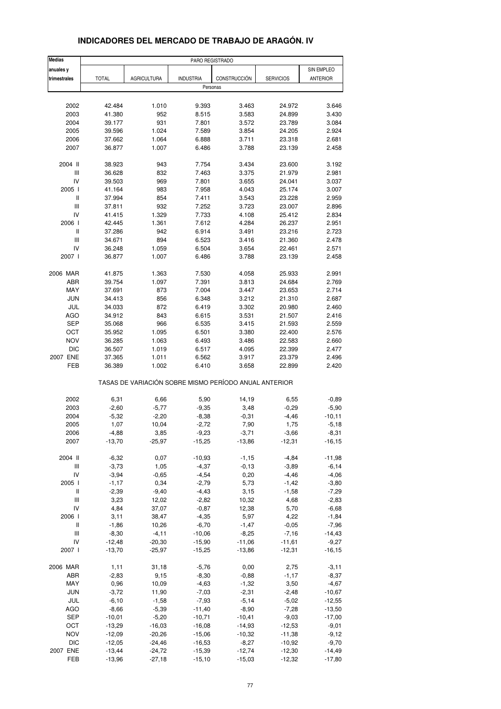| <b>Medias</b>                      | PARO REGISTRADO    |                    |                     |                                                       |                    |                     |
|------------------------------------|--------------------|--------------------|---------------------|-------------------------------------------------------|--------------------|---------------------|
| anuales y                          |                    |                    |                     |                                                       |                    | SIN EMPLEO          |
| trimestrales                       | <b>TOTAL</b>       | <b>AGRICULTURA</b> | <b>INDUSTRIA</b>    | CONSTRUCCIÓN                                          | <b>SERVICIOS</b>   | <b>ANTERIOR</b>     |
|                                    |                    |                    |                     | Personas                                              |                    |                     |
|                                    |                    |                    |                     |                                                       |                    |                     |
| 2002                               | 42.484             | 1.010              | 9.393               | 3.463                                                 | 24.972             | 3.646               |
| 2003                               | 41.380             | 952                | 8.515               | 3.583                                                 | 24.899             | 3.430               |
| 2004                               | 39.177             | 931                | 7.801               | 3.572                                                 | 23.789             | 3.084               |
| 2005                               | 39.596             | 1.024              | 7.589               | 3.854                                                 | 24.205             | 2.924               |
| 2006                               | 37.662             | 1.064              | 6.888               | 3.711                                                 | 23.318             | 2.681               |
| 2007                               | 36.877             | 1.007              | 6.486               | 3.788                                                 | 23.139             | 2.458               |
| 2004 II                            | 38.923             | 943                | 7.754               | 3.434                                                 | 23.600             | 3.192               |
| Ш                                  | 36.628             | 832                | 7.463               | 3.375                                                 | 21.979             | 2.981               |
| IV                                 | 39.503             | 969                | 7.801               | 3.655                                                 | 24.041             | 3.037               |
| 2005 l                             | 41.164             | 983                | 7.958               | 4.043                                                 | 25.174             | 3.007               |
| Ш<br>Ш                             | 37.994             | 854<br>932         | 7.411               | 3.543                                                 | 23.228             | 2.959<br>2.896      |
| IV                                 | 37.811<br>41.415   | 1.329              | 7.252<br>7.733      | 3.723<br>4.108                                        | 23.007<br>25.412   | 2.834               |
| 2006                               | 42.445             | 1.361              | 7.612               | 4.284                                                 | 26.237             | 2.951               |
| Ш                                  | 37.286             | 942                | 6.914               | 3.491                                                 | 23.216             | 2.723               |
| $\ensuremath{\mathsf{III}}\xspace$ | 34.671             | 894                | 6.523               | 3.416                                                 | 21.360             | 2.478               |
| IV                                 | 36.248             | 1.059              | 6.504               | 3.654                                                 | 22.461             | 2.571               |
| 2007 l                             | 36.877             | 1.007              | 6.486               | 3.788                                                 | 23.139             | 2.458               |
| 2006 MAR                           | 41.875             | 1.363              | 7.530               | 4.058                                                 | 25.933             | 2.991               |
| ABR                                | 39.754             | 1.097              | 7.391               | 3.813                                                 | 24.684             | 2.769               |
| MAY                                | 37.691             | 873                | 7.004               | 3.447                                                 | 23.653             | 2.714               |
| <b>JUN</b>                         | 34.413             | 856                | 6.348               | 3.212                                                 | 21.310             | 2.687               |
| JUL                                | 34.033             | 872                | 6.419               | 3.302                                                 | 20.980             | 2.460               |
| AGO                                | 34.912             | 843                | 6.615               | 3.531                                                 | 21.507             | 2.416               |
| <b>SEP</b>                         | 35.068             | 966                | 6.535               | 3.415                                                 | 21.593             | 2.559               |
| OCT                                | 35.952             | 1.095              | 6.501               | 3.380                                                 | 22.400             | 2.576               |
| <b>NOV</b>                         | 36.285             | 1.063              | 6.493               | 3.486                                                 | 22.583             | 2.660               |
| <b>DIC</b>                         | 36.507             | 1.019              | 6.517               | 4.095                                                 | 22.399             | 2.477               |
| 2007 ENE                           | 37.365             | 1.011              | 6.562               | 3.917                                                 | 23.379             | 2.496               |
| FEB                                | 36.389             | 1.002              | 6.410               | 3.658                                                 | 22.899             | 2.420               |
|                                    |                    |                    |                     | TASAS DE VARIACIÓN SOBRE MISMO PERÍODO ANUAL ANTERIOR |                    |                     |
| 2002                               | 6,31               | 6,66               | 5,90                | 14,19                                                 | 6,55               | $-0,89$             |
| 2003                               | $-2,60$            | $-5,77$            | $-9,35$             | 3,48                                                  | $-0,29$            | $-5,90$             |
| 2004                               | $-5,32$            | $-2,20$            | $-8,38$             | $-0,31$                                               | $-4,46$            | $-10, 11$           |
| 2005                               | 1,07               | 10,04              | $-2,72$             | 7,90                                                  | 1,75               | $-5,18$             |
| 2006                               | -4,88              | 3,85               | $-9,23$             | $-3,71$                                               | $-3,66$            | -8,31               |
| 2007                               | $-13,70$           | $-25,97$           | $-15,25$            | $-13,86$                                              | $-12,31$           | $-16, 15$           |
| 2004 II                            | $-6,32$            | 0,07               | $-10,93$            | $-1,15$                                               | $-4,84$            | $-11,98$            |
| $\ensuremath{\mathsf{III}}\xspace$ | $-3,73$            | 1,05               | $-4,37$             | $-0,13$                                               | $-3,89$            | $-6, 14$            |
| IV                                 | $-3,94$            | $-0,65$            | $-4,54$             | 0,20                                                  | $-4,46$            | $-4,06$             |
| 2005 l                             | $-1,17$            | 0,34               | $-2,79$             | 5,73                                                  | $-1,42$            | $-3,80$             |
| Ш                                  | $-2,39$            | $-9,40$            | $-4,43$             | 3,15                                                  | $-1,58$            | $-7,29$             |
| Ш                                  | 3,23               | 12,02              | $-2,82$             | 10,32                                                 | 4,68               | $-2,83$             |
| IV                                 | 4,84               | 37,07              | $-0,87$             | 12,38                                                 | 5,70               | $-6,68$             |
| 2006                               | 3,11               | 38,47              | $-4,35$             | 5,97                                                  | 4,22               | $-1,84$             |
| Ш<br>Ш                             | $-1,86$<br>$-8,30$ | 10,26<br>$-4, 11$  | $-6,70$<br>$-10,06$ | $-1,47$<br>$-8,25$                                    | $-0,05$<br>$-7,16$ | $-7,96$<br>$-14,43$ |
| IV                                 | $-12,48$           | $-20,30$           | $-15,90$            | $-11,06$                                              | $-11,61$           | $-9,27$             |
| 2007 l                             | $-13,70$           | $-25,97$           | $-15,25$            | $-13,86$                                              | $-12,31$           | $-16, 15$           |
| 2006 MAR                           | 1,11               | 31,18              | $-5,76$             | 0,00                                                  | 2,75               | $-3,11$             |
| ABR                                | $-2,83$            | 9,15               | $-8,30$             | $-0,88$                                               | $-1, 17$           | $-8,37$             |
| MAY                                | 0,96               | 10,09              | $-4,63$             | $-1,32$                                               | 3,50               | $-4,67$             |
| JUN                                | $-3,72$            | 11,90              | $-7,03$             | $-2,31$                                               | $-2,48$            | $-10,67$            |
| JUL                                | $-6, 10$           | $-1,58$            | $-7,93$             | $-5,14$                                               | $-5,02$            | $-12,55$            |
| AGO                                | $-8,66$            | $-5,39$            | $-11,40$            | $-8,90$                                               | $-7,28$            | $-13,50$            |
| <b>SEP</b>                         | $-10,01$           | $-5,20$            | $-10,71$            | $-10,41$                                              | $-9,03$            | $-17,00$            |
| OCT                                | $-13,29$           | $-16,03$           | $-16,08$            | $-14,93$                                              | $-12,53$           | $-9,01$             |
| <b>NOV</b>                         | $-12,09$           | $-20,26$           | $-15,06$            | $-10,32$                                              | $-11,38$           | $-9,12$             |
| <b>DIC</b>                         | $-12,05$           | $-24,46$           | $-16,53$            | $-8,27$                                               | $-10,92$           | $-9,70$             |
| 2007 ENE                           | $-13,44$           | $-24,72$           | $-15,39$            | $-12,74$                                              | $-12,30$           | $-14,49$            |
| FEB                                | $-13,96$           | $-27,18$           | $-15,10$            | $-15,03$                                              | $-12,32$           | $-17,80$            |

## **INDICADORES DEL MERCADO DE TRABAJO DE ARAGÓN. IV**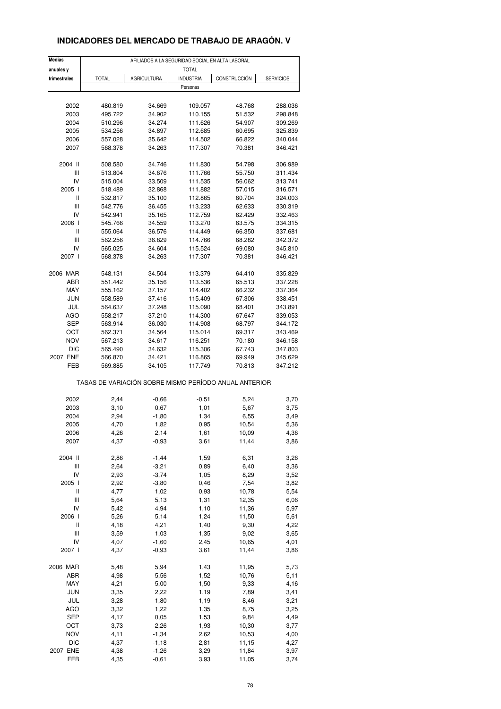# **INDICADORES DEL MERCADO DE TRABAJO DE ARAGÓN. V**

| <b>Medias</b> | AFILIADOS A LA SEGURIDAD SOCIAL EN ALTA LABORAL |                    |                  |                                                       |                  |  |  |  |
|---------------|-------------------------------------------------|--------------------|------------------|-------------------------------------------------------|------------------|--|--|--|
| anuales y     |                                                 |                    | <b>TOTAL</b>     |                                                       |                  |  |  |  |
| trimestrales  | <b>TOTAL</b>                                    | <b>AGRICULTURA</b> | <b>INDUSTRIA</b> | CONSTRUCCIÓN                                          | <b>SERVICIOS</b> |  |  |  |
|               |                                                 |                    | Personas         |                                                       |                  |  |  |  |
|               |                                                 |                    |                  |                                                       |                  |  |  |  |
| 2002          | 480.819                                         | 34.669             | 109.057          | 48.768                                                | 288.036          |  |  |  |
| 2003          | 495.722                                         | 34.902             | 110.155          | 51.532                                                | 298.848          |  |  |  |
| 2004          | 510.296                                         | 34.274             | 111.626          | 54.907                                                | 309.269          |  |  |  |
| 2005          | 534.256                                         | 34.897             | 112.685          | 60.695                                                | 325.839          |  |  |  |
| 2006          | 557.028                                         | 35.642             | 114.502          | 66.822                                                | 340.044          |  |  |  |
| 2007          | 568.378                                         | 34.263             | 117.307          | 70.381                                                | 346.421          |  |  |  |
|               |                                                 |                    |                  |                                                       |                  |  |  |  |
| 2004 II       | 508.580                                         | 34.746             | 111.830          | 54.798                                                | 306.989          |  |  |  |
| Ш             | 513.804                                         | 34.676             | 111.766          | 55.750                                                | 311.434          |  |  |  |
| IV            | 515.004                                         | 33.509             | 111.535          | 56.062                                                | 313.741          |  |  |  |
| 2005 l        | 518.489                                         | 32.868             | 111.882          | 57.015                                                | 316.571          |  |  |  |
| $\mathsf{I}$  | 532.817                                         | 35.100             | 112.865          | 60.704                                                | 324.003          |  |  |  |
| Ш             | 542.776                                         | 36.455             | 113.233          | 62.633                                                | 330.319          |  |  |  |
| IV            | 542.941                                         | 35.165             | 112.759          | 62.429                                                | 332.463          |  |  |  |
| 2006          | 545.766                                         | 34.559             | 113.270          | 63.575                                                | 334.315          |  |  |  |
| Ш             | 555.064                                         | 36.576             | 114.449          | 66.350                                                | 337.681          |  |  |  |
| Ш             | 562.256                                         | 36.829             | 114.766          | 68.282                                                | 342.372          |  |  |  |
| IV            | 565.025                                         | 34.604             | 115.524          | 69.080                                                | 345.810          |  |  |  |
| 2007 l        | 568.378                                         | 34.263             | 117.307          | 70.381                                                | 346.421          |  |  |  |
|               |                                                 |                    |                  |                                                       |                  |  |  |  |
| 2006 MAR      | 548.131                                         | 34.504             | 113.379          | 64.410                                                | 335.829          |  |  |  |
| ABR           | 551.442                                         | 35.156             | 113.536          | 65.513                                                | 337.228          |  |  |  |
| MAY           | 555.162                                         | 37.157             | 114.402          | 66.232                                                | 337.364          |  |  |  |
| <b>JUN</b>    | 558.589                                         | 37.416             | 115.409          | 67.306                                                | 338.451          |  |  |  |
| JUL           | 564.637                                         | 37.248             | 115.090          | 68.401                                                | 343.891          |  |  |  |
| AGO           | 558.217                                         | 37.210             | 114.300          | 67.647                                                | 339.053          |  |  |  |
| SEP           | 563.914                                         | 36.030             | 114.908          | 68.797                                                | 344.172          |  |  |  |
| OCT           | 562.371                                         | 34.564             | 115.014          | 69.317                                                | 343.469          |  |  |  |
| <b>NOV</b>    | 567.213                                         | 34.617             | 116.251          | 70.180                                                | 346.158          |  |  |  |
| <b>DIC</b>    | 565.490                                         | 34.632             | 115.306          | 67.743                                                | 347.803          |  |  |  |
| 2007 ENE      | 566.870                                         | 34.421             | 116.865          | 69.949                                                | 345.629          |  |  |  |
| FEB           | 569.885                                         | 34.105             | 117.749          | 70.813                                                | 347.212          |  |  |  |
|               |                                                 |                    |                  | TASAS DE VARIACIÓN SOBRE MISMO PERÍODO ANUAL ANTERIOR |                  |  |  |  |
|               |                                                 |                    |                  |                                                       |                  |  |  |  |
| 2002          | 2,44                                            | $-0,66$            | $-0,51$          | 5,24                                                  | 3,70             |  |  |  |
| 2003          | 3,10                                            | 0,67               | 1,01             | 5,67                                                  | 3,75             |  |  |  |
| 2004          | 2,94                                            | $-1,80$            | 1,34             | 6,55                                                  | 3,49             |  |  |  |
| 2005          | 4,70                                            | 1,82               | 0,95             | 10,54                                                 | 5,36             |  |  |  |
| 2006<br>2007  | 4,26<br>4,37                                    | 2,14<br>$-0,93$    | 1,61             | 10,09<br>11,44                                        | 4,36             |  |  |  |
|               |                                                 |                    | 3,61             |                                                       | 3,86             |  |  |  |
| 2004 II       | 2,86                                            | $-1,44$            | 1,59             | 6,31                                                  | 3,26             |  |  |  |
| Ш             | 2,64                                            | $-3,21$            | 0,89             | 6,40                                                  | 3,36             |  |  |  |
| IV            | 2,93                                            | $-3,74$            | 1,05             | 8,29                                                  | 3,52             |  |  |  |
| 2005 l        | 2,92                                            | $-3,80$            | 0,46             | 7,54                                                  | 3,82             |  |  |  |
| Ш             | 4,77                                            | 1,02               | 0,93             | 10,78                                                 | 5,54             |  |  |  |
| Ш             | 5,64                                            | 5,13               | 1,31             | 12,35                                                 | 6,06             |  |  |  |
| IV            | 5,42                                            | 4,94               | 1,10             | 11,36                                                 | 5,97             |  |  |  |
| 2006          | 5,26                                            | 5,14               | 1,24             | 11,50                                                 | 5,61             |  |  |  |
| Ш             | 4,18                                            | 4,21               | 1,40             | 9,30                                                  | 4,22             |  |  |  |
| Ш             | 3,59                                            | 1,03               | 1,35             | 9,02                                                  | 3,65             |  |  |  |
| IV            | 4,07                                            | $-1,60$            | 2,45             | 10,65                                                 | 4,01             |  |  |  |
| 2007 l        | 4,37                                            | $-0,93$            | 3,61             | 11,44                                                 | 3,86             |  |  |  |
|               |                                                 |                    |                  |                                                       |                  |  |  |  |
| 2006 MAR      | 5,48                                            | 5,94               | 1,43             | 11,95                                                 | 5,73             |  |  |  |
| ABR           | 4,98                                            | 5,56               | 1,52             | 10,76                                                 | 5,11             |  |  |  |
| MAY           | 4,21                                            | 5,00               | 1,50             | 9,33                                                  | 4,16             |  |  |  |
| <b>JUN</b>    | 3,35                                            | 2,22               | 1,19             | 7,89                                                  | 3,41             |  |  |  |
| JUL           | 3,28                                            | 1,80               | 1,19             | 8,46                                                  | 3,21             |  |  |  |
| AGO           | 3,32                                            | 1,22               | 1,35             | 8,75                                                  | 3,25             |  |  |  |
| <b>SEP</b>    | 4,17                                            | 0,05               | 1,53             | 9,84                                                  | 4,49             |  |  |  |
| OCT           | 3,73                                            | $-2,26$            | 1,93             | 10,30                                                 | 3,77             |  |  |  |
| <b>NOV</b>    | 4,11                                            | $-1,34$            | 2,62             | 10,53                                                 | 4,00             |  |  |  |
| <b>DIC</b>    | 4,37                                            | $-1,18$            | 2,81             | 11,15                                                 | 4,27             |  |  |  |
| 2007 ENE      | 4,38                                            | $-1,26$            | 3,29             | 11,84                                                 | 3,97             |  |  |  |
| FEB           | 4,35                                            | $-0,61$            | 3,93             | 11,05                                                 | 3,74             |  |  |  |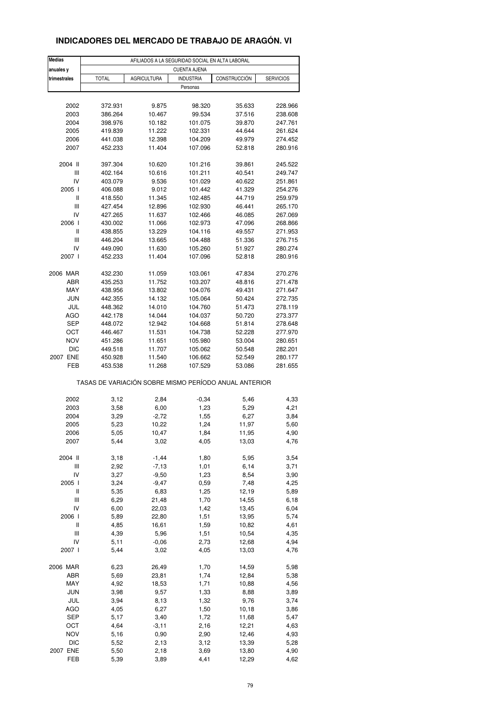## **INDICADORES DEL MERCADO DE TRABAJO DE ARAGÓN. VI**

| <b>Medias</b> | AFILIADOS A LA SEGURIDAD SOCIAL EN ALTA LABORAL       |                    |                  |                |                  |  |  |  |
|---------------|-------------------------------------------------------|--------------------|------------------|----------------|------------------|--|--|--|
| anuales y     | <b>CUENTA AJENA</b>                                   |                    |                  |                |                  |  |  |  |
| trimestrales  | <b>TOTAL</b>                                          | <b>AGRICULTURA</b> | <b>INDUSTRIA</b> | CONSTRUCCIÓN   | <b>SERVICIOS</b> |  |  |  |
|               |                                                       |                    | Personas         |                |                  |  |  |  |
|               |                                                       |                    |                  |                |                  |  |  |  |
| 2002          | 372.931                                               | 9.875              | 98.320           | 35.633         | 228.966          |  |  |  |
| 2003          | 386.264                                               | 10.467             | 99.534           | 37.516         | 238.608          |  |  |  |
| 2004          | 398.976                                               | 10.182             | 101.075          | 39.870         | 247.761          |  |  |  |
| 2005          | 419.839                                               | 11.222             | 102.331          | 44.644         | 261.624          |  |  |  |
| 2006          | 441.038                                               | 12.398             | 104.209          | 49.979         | 274.452          |  |  |  |
| 2007          | 452.233                                               | 11.404             | 107.096          | 52.818         | 280.916          |  |  |  |
|               |                                                       |                    |                  |                |                  |  |  |  |
| 2004 II       | 397.304                                               | 10.620             | 101.216          | 39.861         | 245.522          |  |  |  |
| Ш             | 402.164                                               | 10.616             | 101.211          | 40.541         | 249.747          |  |  |  |
| IV            | 403.079                                               | 9.536              | 101.029          | 40.622         | 251.861          |  |  |  |
| 2005 l        | 406.088                                               | 9.012              | 101.442          | 41.329         | 254.276          |  |  |  |
| $\mathbf{I}$  | 418.550                                               | 11.345             | 102.485          | 44.719         | 259.979          |  |  |  |
| Ш             | 427.454                                               | 12.896             | 102.930          | 46.441         | 265.170          |  |  |  |
| IV            | 427.265                                               | 11.637             | 102.466          | 46.085         | 267.069          |  |  |  |
| 2006 l        | 430.002                                               | 11.066             | 102.973          | 47.096         | 268.866          |  |  |  |
| Ш             | 438.855                                               | 13.229             | 104.116          | 49.557         | 271.953          |  |  |  |
| Ш             | 446.204                                               | 13.665             | 104.488          | 51.336         | 276.715          |  |  |  |
| IV            | 449.090                                               | 11.630             | 105.260          | 51.927         | 280.274          |  |  |  |
| 2007 l        | 452.233                                               | 11.404             | 107.096          | 52.818         | 280.916          |  |  |  |
|               |                                                       |                    |                  |                |                  |  |  |  |
| 2006 MAR      | 432.230                                               | 11.059             | 103.061          | 47.834         | 270.276          |  |  |  |
| ABR           | 435.253                                               | 11.752             | 103.207          | 48.816         | 271.478          |  |  |  |
| MAY           | 438.956                                               | 13.802             | 104.076          | 49.431         | 271.647          |  |  |  |
| <b>JUN</b>    | 442.355                                               | 14.132             | 105.064          | 50.424         | 272.735          |  |  |  |
| JUL           | 448.362                                               | 14.010             | 104.760          | 51.473         | 278.119          |  |  |  |
| AGO           | 442.178                                               | 14.044             | 104.037          | 50.720         | 273.377          |  |  |  |
| <b>SEP</b>    | 448.072                                               | 12.942             | 104.668          | 51.814         | 278.648          |  |  |  |
| OCT           | 446.467                                               | 11.531             | 104.738          | 52.228         | 277.970          |  |  |  |
| <b>NOV</b>    | 451.286                                               | 11.651             | 105.980          | 53.004         | 280.651          |  |  |  |
| <b>DIC</b>    | 449.518                                               | 11.707             | 105.062          | 50.548         | 282.201          |  |  |  |
| 2007 ENE      | 450.928                                               | 11.540             | 106.662          | 52.549         | 280.177          |  |  |  |
| FEB           | 453.538                                               | 11.268             | 107.529          | 53.086         | 281.655          |  |  |  |
|               | TASAS DE VARIACIÓN SOBRE MISMO PERÍODO ANUAL ANTERIOR |                    |                  |                |                  |  |  |  |
|               |                                                       |                    |                  |                |                  |  |  |  |
| 2002          | 3,12                                                  | 2,84               | $-0,34$          | 5,46           | 4,33             |  |  |  |
| 2003<br>2004  | 3,58                                                  | 6,00               | 1,23             | 5,29           | 4,21             |  |  |  |
|               | 3,29                                                  | $-2,72$            | 1,55             | 6,27           | 3,84             |  |  |  |
| 2005          | 5,23                                                  | 10,22              | 1,24             | 11,97          | 5,60             |  |  |  |
| 2006          | 5,05                                                  | 10,47              | 1,84             | 11,95<br>13,03 | 4,90             |  |  |  |
| 2007          | 5,44                                                  | 3,02               | 4,05             |                | 4,76             |  |  |  |
| 2004 II       |                                                       | $-1,44$            |                  | 5,95           | 3,54             |  |  |  |
| Ш             | 3,18<br>2,92                                          | $-7, 13$           | 1,80<br>1,01     | 6,14           | 3,71             |  |  |  |
| IV            | 3,27                                                  |                    | 1,23             |                | 3,90             |  |  |  |
|               |                                                       | $-9,50$            |                  | 8,54           |                  |  |  |  |
| 2005 l<br>Ш   | 3,24<br>5,35                                          | $-9,47$<br>6,83    | 0,59             | 7,48           | 4,25             |  |  |  |
|               |                                                       |                    | 1,25             | 12,19          | 5,89             |  |  |  |
| Ш<br>IV       | 6,29                                                  | 21,48              | 1,70             | 14,55          | 6,18             |  |  |  |
|               | 6,00                                                  | 22,03              | 1,42             | 13,45          | 6,04             |  |  |  |
| 2006          | 5,89                                                  | 22,80              | 1,51             | 13,95          | 5,74             |  |  |  |
| Ш             | 4,85                                                  | 16,61              | 1,59             | 10,82          | 4,61             |  |  |  |
| Ш             | 4,39                                                  | 5,96               | 1,51             | 10,54          | 4,35             |  |  |  |
| IV            | 5,11                                                  | $-0,06$            | 2,73             | 12,68          | 4,94             |  |  |  |
| 2007 l        | 5,44                                                  | 3,02               | 4,05             | 13,03          | 4,76             |  |  |  |
| 2006 MAR      | 6,23                                                  | 26,49              | 1,70             | 14,59          | 5,98             |  |  |  |
| ABR           | 5,69                                                  | 23,81              | 1,74             | 12,84          | 5,38             |  |  |  |
| MAY           | 4,92                                                  |                    |                  |                |                  |  |  |  |
| <b>JUN</b>    | 3,98                                                  | 18,53<br>9,57      | 1,71<br>1,33     | 10,88<br>8,88  | 4,56<br>3,89     |  |  |  |
| JUL           | 3,94                                                  |                    | 1,32             | 9,76           |                  |  |  |  |
| AGO           | 4,05                                                  | 8,13<br>6,27       | 1,50             | 10,18          | 3,74<br>3,86     |  |  |  |
| <b>SEP</b>    | 5,17                                                  | 3,40               | 1,72             | 11,68          | 5,47             |  |  |  |
|               |                                                       |                    |                  |                |                  |  |  |  |
| OCT           | 4,64                                                  | $-3,11$            | 2,16             | 12,21          | 4,63             |  |  |  |
| <b>NOV</b>    | 5,16                                                  | 0,90               | 2,90             | 12,46          | 4,93             |  |  |  |
| <b>DIC</b>    | 5,52                                                  | 2,13               | 3,12             | 13,39          | 5,28             |  |  |  |
| 2007 ENE      | 5,50                                                  | 2,18               | 3,69             | 13,80          | 4,90             |  |  |  |
| FEB           | 5,39                                                  | 3,89               | 4,41             | 12,29          | 4,62             |  |  |  |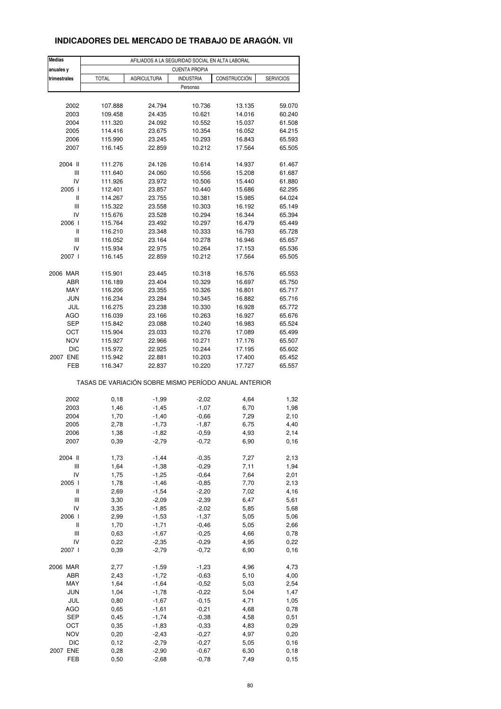## **INDICADORES DEL MERCADO DE TRABAJO DE ARAGÓN. VII**

| <b>Medias</b> | AFILIADOS A LA SEGURIDAD SOCIAL EN ALTA LABORAL |                    |                                                       |              |                  |  |  |  |
|---------------|-------------------------------------------------|--------------------|-------------------------------------------------------|--------------|------------------|--|--|--|
| anuales y     | <b>CUENTA PROPIA</b>                            |                    |                                                       |              |                  |  |  |  |
| trimestrales  | <b>TOTAL</b>                                    | <b>AGRICULTURA</b> | <b>INDUSTRIA</b>                                      | CONSTRUCCIÓN | <b>SERVICIOS</b> |  |  |  |
|               |                                                 |                    | Personas                                              |              |                  |  |  |  |
|               |                                                 |                    |                                                       |              |                  |  |  |  |
| 2002          | 107.888                                         | 24.794             | 10.736                                                | 13.135       | 59.070           |  |  |  |
| 2003          | 109.458                                         | 24.435             | 10.621                                                | 14.016       | 60.240           |  |  |  |
| 2004          | 111.320                                         | 24.092             | 10.552                                                | 15.037       | 61.508           |  |  |  |
| 2005          | 114.416                                         | 23.675             | 10.354                                                | 16.052       | 64.215           |  |  |  |
| 2006          | 115.990                                         | 23.245             | 10.293                                                | 16.843       | 65.593           |  |  |  |
| 2007          | 116.145                                         | 22.859             | 10.212                                                | 17.564       | 65.505           |  |  |  |
|               |                                                 |                    |                                                       |              |                  |  |  |  |
| 2004 II       | 111.276                                         | 24.126             | 10.614                                                | 14.937       | 61.467           |  |  |  |
| Ш             | 111.640                                         | 24.060             | 10.556                                                | 15.208       | 61.687           |  |  |  |
| IV            | 111.926                                         | 23.972             | 10.506                                                | 15.440       | 61.880           |  |  |  |
| 2005 l        | 112.401                                         | 23.857             | 10.440                                                | 15.686       | 62.295           |  |  |  |
| Ш             | 114.267                                         | 23.755             | 10.381                                                | 15.985       | 64.024           |  |  |  |
| Ш             | 115.322                                         | 23.558             | 10.303                                                | 16.192       | 65.149           |  |  |  |
| IV            | 115.676                                         | 23.528             | 10.294                                                | 16.344       | 65.394           |  |  |  |
| 2006 l        | 115.764                                         | 23.492             | 10.297                                                | 16.479       | 65.449           |  |  |  |
| Ш             | 116.210                                         | 23.348             | 10.333                                                | 16.793       | 65.728           |  |  |  |
| Ш             | 116.052                                         | 23.164             | 10.278                                                | 16.946       | 65.657           |  |  |  |
| IV            | 115.934                                         | 22.975             | 10.264                                                | 17.153       | 65.536           |  |  |  |
| 2007 l        | 116.145                                         | 22.859             | 10.212                                                | 17.564       | 65.505           |  |  |  |
|               |                                                 |                    |                                                       |              |                  |  |  |  |
| 2006 MAR      | 115.901                                         | 23.445             | 10.318                                                | 16.576       | 65.553           |  |  |  |
| ABR           | 116.189                                         | 23.404             | 10.329                                                | 16.697       | 65.750           |  |  |  |
| MAY           | 116.206                                         | 23.355             | 10.326                                                | 16.801       | 65.717           |  |  |  |
| <b>JUN</b>    | 116.234                                         | 23.284             | 10.345                                                | 16.882       | 65.716           |  |  |  |
| JUL           | 116.275                                         | 23.238             | 10.330                                                | 16.928       | 65.772           |  |  |  |
| AGO           | 116.039                                         | 23.166             | 10.263                                                | 16.927       | 65.676           |  |  |  |
| <b>SEP</b>    | 115.842                                         | 23.088             | 10.240                                                | 16.983       | 65.524           |  |  |  |
| OCT           | 115.904                                         | 23.033             | 10.276                                                | 17.089       | 65.499           |  |  |  |
| <b>NOV</b>    | 115.927                                         | 22.966             | 10.271                                                | 17.176       | 65.507           |  |  |  |
| <b>DIC</b>    | 115.972                                         | 22.925             | 10.244                                                | 17.195       | 65.602           |  |  |  |
| 2007 ENE      | 115.942                                         | 22.881             | 10.203                                                | 17.400       | 65.452           |  |  |  |
| FEB           | 116.347                                         | 22.837             | 10.220                                                | 17.727       | 65.557           |  |  |  |
|               |                                                 |                    | TASAS DE VARIACIÓN SOBRE MISMO PERÍODO ANUAL ANTERIOR |              |                  |  |  |  |
| 2002          | 0,18                                            | $-1,99$            | $-2,02$                                               | 4,64         | 1,32             |  |  |  |
| 2003          | 1,46                                            | $-1,45$            | $-1,07$                                               | 6,70         | 1,98             |  |  |  |
| 2004          | 1,70                                            | $-1,40$            | $-0,66$                                               | 7,29         | 2,10             |  |  |  |
| 2005          | 2,78                                            | $-1,73$            | $-1,87$                                               | 6,75         | 4,40             |  |  |  |
| 2006          | 1,38                                            | -1,82              | -0,59                                                 | 4,93         | 2,14             |  |  |  |
| 2007          | 0,39                                            | $-2,79$            | $-0,72$                                               | 6,90         | 0,16             |  |  |  |
|               |                                                 |                    |                                                       |              |                  |  |  |  |
| 2004 II       | 1,73                                            | $-1,44$            | $-0,35$                                               | 7,27         | 2,13             |  |  |  |
| Ш             | 1,64                                            | $-1,38$            | $-0,29$                                               | 7,11         | 1,94             |  |  |  |
| IV            | 1,75                                            | $-1,25$            | $-0,64$                                               | 7,64         | 2,01             |  |  |  |
| 2005 l        | 1,78                                            | $-1,46$            | $-0,85$                                               | 7,70         | 2,13             |  |  |  |
| Ш             | 2,69                                            | $-1,54$            | $-2,20$                                               | 7,02         | 4,16             |  |  |  |
| Ш             | 3,30                                            | $-2,09$            | $-2,39$                                               | 6,47         | 5,61             |  |  |  |
| IV            | 3,35                                            | $-1,85$            | $-2,02$                                               | 5,85         | 5,68             |  |  |  |
| 2006          | 2,99                                            | $-1,53$            | $-1,37$                                               | 5,05         | 5,06             |  |  |  |
| Ш             | 1,70                                            | $-1,71$            | $-0,46$                                               | 5,05         | 2,66             |  |  |  |
| Ш             | 0,63                                            | $-1,67$            | $-0,25$                                               | 4,66         | 0,78             |  |  |  |
| IV            | 0,22                                            | $-2,35$            | $-0,29$                                               | 4,95         | 0,22             |  |  |  |
| 2007 l        | 0,39                                            | $-2,79$            | $-0,72$                                               | 6,90         | 0, 16            |  |  |  |
|               |                                                 |                    |                                                       |              |                  |  |  |  |
| 2006 MAR      | 2,77                                            | $-1,59$            | -1,23                                                 | 4,96         | 4,73             |  |  |  |
| ABR           | 2,43                                            | $-1,72$            | $-0,63$                                               | 5,10         | 4,00             |  |  |  |
| MAY           | 1,64                                            | $-1,64$            | $-0,52$                                               | 5,03         | 2,54             |  |  |  |
| <b>JUN</b>    | 1,04                                            | $-1,78$            | $-0,22$                                               | 5,04         | 1,47             |  |  |  |
| JUL           | 0,80                                            | $-1,67$            | $-0,15$                                               | 4,71         | 1,05             |  |  |  |
| AGO           | 0,65                                            | $-1,61$            | $-0,21$                                               | 4,68         | 0,78             |  |  |  |
| <b>SEP</b>    | 0,45                                            | $-1,74$            | $-0,38$                                               | 4,58         | 0,51             |  |  |  |
| OCT           | 0,35                                            | $-1,83$            | $-0,33$                                               | 4,83         | 0,29             |  |  |  |
| <b>NOV</b>    | 0,20                                            | $-2,43$            | $-0,27$                                               | 4,97         | 0,20             |  |  |  |
| <b>DIC</b>    | 0,12                                            | $-2,79$            | $-0,27$                                               | 5,05         | 0, 16            |  |  |  |
| 2007 ENE      | 0,28                                            | $-2,90$            | $-0,67$                                               | 6,30         | 0, 18            |  |  |  |
| FEB           | 0,50                                            | $-2,68$            | $-0,78$                                               | 7,49         | 0, 15            |  |  |  |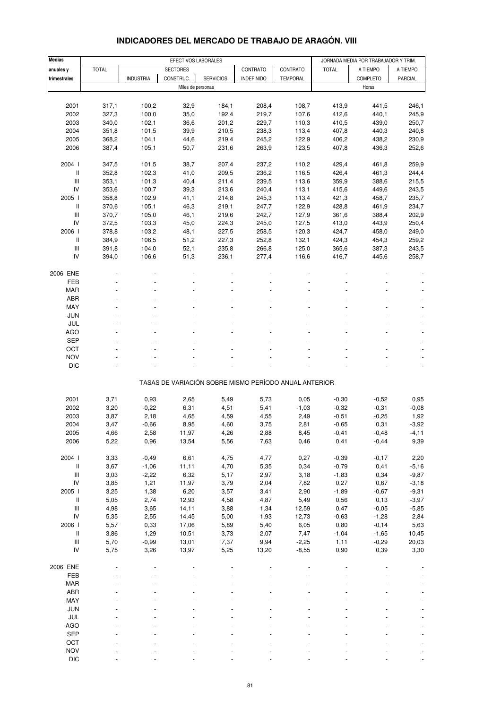| <b>Medias</b>                      | EFECTIVOS LABORALES |                  |                   |                  |                                                       |                 | JORNADA MEDIA POR TRABAJADOR Y TRIM. |          |                |
|------------------------------------|---------------------|------------------|-------------------|------------------|-------------------------------------------------------|-----------------|--------------------------------------|----------|----------------|
| anuales y                          | <b>TOTAL</b>        |                  | <b>SECTORES</b>   |                  | CONTRATO                                              | CONTRATO        | <b>TOTAL</b>                         | A TIEMPO | A TIEMPO       |
| trimestrales                       |                     | <b>INDUSTRIA</b> | CONSTRUC.         | <b>SERVICIOS</b> | <b>INDEFINIDO</b>                                     | <b>TEMPORAL</b> |                                      | COMPLETO | <b>PARCIAL</b> |
|                                    |                     |                  | Miles de personas |                  |                                                       |                 |                                      | Horas    |                |
|                                    |                     |                  |                   |                  |                                                       |                 |                                      |          |                |
| 2001                               | 317,1               | 100,2            | 32,9              | 184,1            | 208,4                                                 | 108,7           | 413,9                                | 441,5    | 246,1          |
| 2002                               | 327,3               | 100,0            | 35,0              | 192,4            | 219,7                                                 | 107,6           | 412,6                                | 440,1    | 245,9          |
| 2003                               | 340,0               | 102,1            | 36,6              | 201,2            | 229,7                                                 | 110,3           | 410,5                                | 439,0    | 250,7          |
| 2004                               | 351,8               | 101,5            | 39,9              | 210,5            | 238,3                                                 | 113,4           | 407,8                                | 440,3    | 240,8          |
| 2005                               | 368,2               | 104,1            | 44,6              | 219,4            | 245,2                                                 | 122,9           | 406,2                                | 438,2    | 230,9          |
| 2006                               | 387,4               | 105,1            | 50,7              | 231,6            | 263,9                                                 | 123,5           | 407,8                                | 436,3    | 252,6          |
|                                    |                     |                  |                   |                  |                                                       |                 |                                      |          |                |
| 2004 l                             | 347,5               | 101,5            | 38,7              | 207,4            | 237,2                                                 | 110,2           | 429,4                                | 461,8    | 259,9          |
| Ш                                  | 352,8               | 102,3            | 41,0              | 209,5            | 236,2                                                 | 116,5           | 426,4                                | 461,3    | 244,4          |
| Ш                                  | 353,1               | 101,3            | 40,4              | 211,4            | 239,5                                                 | 113,6           | 359,9                                | 388,6    | 215,5          |
| IV                                 | 353,6               | 100,7            | 39,3              | 213,6            | 240,4                                                 | 113,1           | 415,6                                | 449,6    | 243,5          |
| 2005 l                             | 358,8               | 102,9            | 41,1              | 214,8            | 245,3                                                 | 113,4           | 421,3                                | 458,7    | 235,7          |
| Ш                                  |                     |                  |                   |                  |                                                       | 122,9           |                                      |          |                |
|                                    | 370,6               | 105,1            | 46,3              | 219,1            | 247,7                                                 |                 | 428,8                                | 461,9    | 234,7          |
| $\mathsf{III}$                     | 370,7               | 105,0            | 46,1              | 219,6            | 242,7                                                 | 127,9           | 361,6                                | 388,4    | 202,9          |
| IV                                 | 372,5               | 103,3            | 45,0              | 224,3            | 245,0                                                 | 127,5           | 413,0                                | 443,9    | 250,4          |
| 2006                               | 378,8               | 103,2            | 48,1              | 227,5            | 258,5                                                 | 120,3           | 424,7                                | 458,0    | 249,0          |
| Ш                                  | 384,9               | 106,5            | 51,2              | 227,3            | 252,8                                                 | 132,1           | 424,3                                | 454,3    | 259,2          |
| $\ensuremath{\mathsf{III}}\xspace$ | 391,8               | 104,0            | 52,1              | 235,8            | 266,8                                                 | 125,0           | 365,6                                | 387,3    | 243,5          |
| IV                                 | 394,0               | 106,6            | 51,3              | 236,1            | 277,4                                                 | 116,6           | 416,7                                | 445,6    | 258,7          |
|                                    |                     |                  |                   |                  |                                                       |                 |                                      |          |                |
| 2006 ENE                           |                     |                  |                   |                  |                                                       |                 |                                      |          |                |
| FEB                                |                     |                  |                   |                  |                                                       |                 |                                      |          |                |
| <b>MAR</b>                         |                     |                  |                   |                  |                                                       |                 |                                      |          |                |
| ABR                                |                     |                  |                   |                  |                                                       |                 |                                      |          |                |
| MAY                                |                     |                  |                   |                  |                                                       |                 |                                      |          |                |
| <b>JUN</b>                         |                     |                  |                   |                  |                                                       |                 |                                      |          |                |
| JUL                                |                     |                  |                   |                  |                                                       |                 |                                      |          |                |
| AGO                                |                     |                  |                   |                  |                                                       |                 |                                      |          |                |
| <b>SEP</b>                         |                     |                  |                   |                  |                                                       |                 |                                      |          |                |
| OCT                                |                     |                  |                   |                  |                                                       |                 |                                      |          |                |
| <b>NOV</b>                         |                     |                  |                   |                  |                                                       |                 |                                      |          |                |
| <b>DIC</b>                         |                     |                  |                   |                  |                                                       |                 |                                      |          |                |
|                                    |                     |                  |                   |                  |                                                       |                 |                                      |          |                |
|                                    |                     |                  |                   |                  | TASAS DE VARIACIÓN SOBRE MISMO PERÍODO ANUAL ANTERIOR |                 |                                      |          |                |
|                                    |                     |                  |                   |                  |                                                       |                 |                                      |          |                |
| 2001                               | 3,71                | 0,93             | 2,65              | 5,49             | 5,73                                                  | 0,05            | $-0,30$                              | $-0,52$  | 0,95           |
| 2002                               | 3,20                | $-0,22$          | 6,31              | 4,51             | 5,41                                                  | $-1,03$         | $-0,32$                              | $-0,31$  | $-0,08$        |
| 2003                               | 3,87                | 2,18             | 4,65              | 4,59             | 4,55                                                  | 2,49            | $-0,51$                              | $-0,25$  | 1,92           |
| 2004                               | 3,47                | $-0,66$          | 8,95              | 4,60             | 3,75                                                  | 2,81            | $-0,65$                              | 0,31     | $-3,92$        |
| 2005                               | 4,66                | 2,58             | 11,97             | 4,26             | 2,88                                                  | 8,45            | $-0,41$                              | $-0,48$  | -4,11          |
| 2006                               | 5,22                | 0,96             | 13,54             | 5,56             | 7,63                                                  | 0,46            | 0,41                                 | $-0,44$  | 9,39           |
|                                    |                     |                  |                   |                  |                                                       |                 |                                      |          |                |
| 2004 l                             | 3,33                | $-0,49$          | 6,61              | 4,75             | 4,77                                                  | 0,27            | $-0,39$                              | $-0,17$  | 2,20           |
| Ш                                  | 3,67                | $-1,06$          | 11,11             | 4,70             | 5,35                                                  | 0,34            | $-0,79$                              | 0,41     | $-5,16$        |
| $\ensuremath{\mathsf{III}}\xspace$ | 3,03                | $-2,22$          | 6,32              | 5,17             | 2,97                                                  | 3,18            | $-1,83$                              | 0,34     | $-9,87$        |
| IV                                 | 3,85                | 1,21             | 11,97             | 3,79             | 2,04                                                  | 7,82            | 0,27                                 | 0,67     | $-3,18$        |
| 2005 l                             | 3,25                | 1,38             | 6,20              | 3,57             | 3,41                                                  | 2,90            | $-1,89$                              | $-0,67$  | $-9,31$        |
| Ш                                  | 5,05                | 2,74             | 12,93             | 4,58             | 4,87                                                  | 5,49            | 0,56                                 | 0, 13    | $-3,97$        |
| $\ensuremath{\mathsf{III}}\xspace$ | 4,98                | 3,65             | 14,11             | 3,88             | 1,34                                                  | 12,59           | 0,47                                 | $-0,05$  | $-5,85$        |
| IV                                 | 5,35                | 2,55             | 14,45             | 5,00             | 1,93                                                  | 12,73           | $-0,63$                              | $-1,28$  | 2,84           |
| 2006                               | 5,57                | 0,33             | 17,06             | 5,89             | 5,40                                                  | 6,05            | 0,80                                 | $-0,14$  | 5,63           |
| Ш                                  | 3,86                | 1,29             | 10,51             | 3,73             | 2,07                                                  | 7,47            | $-1,04$                              | $-1,65$  | 10,45          |
| $\ensuremath{\mathsf{III}}\xspace$ | 5,70                | $-0,99$          | 13,01             | 7,37             | 9,94                                                  | $-2,25$         | 1,11                                 | $-0,29$  | 20,03          |
| IV                                 | 5,75                | 3,26             | 13,97             | 5,25             | 13,20                                                 | $-8,55$         | 0,90                                 | 0,39     | 3,30           |
|                                    |                     |                  |                   |                  |                                                       |                 |                                      |          |                |
| 2006 ENE                           |                     |                  |                   |                  |                                                       |                 |                                      |          |                |
| FEB                                |                     |                  |                   |                  |                                                       |                 |                                      |          |                |
| <b>MAR</b>                         |                     |                  |                   |                  |                                                       |                 |                                      |          |                |
| ABR                                |                     |                  |                   |                  |                                                       |                 |                                      |          |                |
|                                    |                     |                  |                   |                  |                                                       |                 |                                      |          |                |
| MAY                                |                     |                  |                   |                  |                                                       |                 |                                      |          |                |
| JUN                                |                     |                  |                   |                  |                                                       |                 |                                      |          |                |
| JUL                                |                     |                  |                   |                  |                                                       |                 |                                      |          |                |
| AGO                                |                     |                  |                   |                  |                                                       |                 |                                      |          |                |
| SEP                                |                     |                  |                   |                  |                                                       |                 |                                      |          |                |
| OCT                                |                     |                  |                   |                  |                                                       |                 |                                      |          |                |

#### **INDICADORES DEL MERCADO DE TRABAJO DE ARAGÓN. VIII**

NOV - - - - - - - - - DIC - - - - - - - - -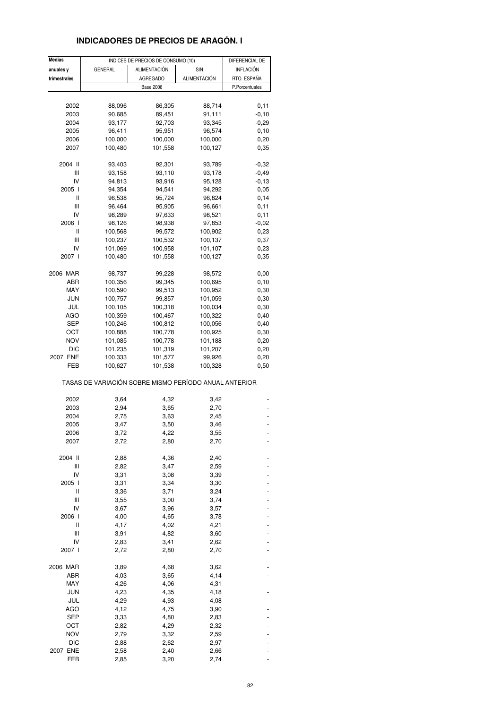# **INDICADORES DE PRECIOS DE ARAGÓN. I**

| <b>Medias</b> |                                                       | INDICES DE PRECIOS DE CONSUMO (10) |              | DIFERENCIAL DE   |
|---------------|-------------------------------------------------------|------------------------------------|--------------|------------------|
| anuales y     | <b>GENERAL</b>                                        | <b>ALIMENTACIÓN</b>                | SIN          | <b>INFLACIÓN</b> |
| trimestrales  |                                                       | <b>AGREGADO</b>                    | ALIMENTACIÓN | RTO. ESPAÑA      |
|               |                                                       | <b>Base 2006</b>                   |              | P.Porcentuales   |
|               |                                                       |                                    |              |                  |
| 2002          | 88,096                                                | 86,305                             | 88,714       | 0,11             |
| 2003          | 90,685                                                | 89,451                             | 91,111       | $-0,10$          |
| 2004          | 93,177                                                | 92,703                             | 93,345       | $-0,29$          |
| 2005          | 96,411                                                | 95,951                             | 96,574       | 0, 10            |
|               |                                                       |                                    | 100,000      | 0,20             |
| 2006          | 100,000                                               | 100,000                            |              |                  |
| 2007          | 100,480                                               | 101,558                            | 100,127      | 0,35             |
| 2004 II       | 93,403                                                | 92,301                             | 93,789       | $-0,32$          |
| Ш             | 93,158                                                | 93,110                             | 93,178       | $-0.49$          |
| IV            | 94,813                                                | 93,916                             | 95,128       | $-0,13$          |
| 2005 l        | 94,354                                                | 94,541                             | 94,292       | 0,05             |
| Ш             | 96,538                                                | 95,724                             | 96,824       | 0,14             |
| Ш             | 96,464                                                | 95,905                             | 96,661       | 0,11             |
| IV            |                                                       |                                    |              |                  |
|               | 98,289                                                | 97,633                             | 98,521       | 0,11             |
| 2006 l        | 98,126                                                | 98,938                             | 97,853       | $-0,02$          |
| Ш             | 100,568                                               | 99,572                             | 100,902      | 0,23             |
| Ш             | 100,237                                               | 100,532                            | 100,137      | 0,37             |
| IV            | 101,069                                               | 100,958                            | 101,107      | 0,23             |
| 2007 l        | 100,480                                               | 101,558                            | 100,127      | 0,35             |
| 2006 MAR      |                                                       |                                    |              |                  |
|               | 98,737                                                | 99,228                             | 98,572       | 0,00             |
| ABR           | 100,356                                               | 99,345                             | 100,695      | 0,10             |
| MAY           | 100,590                                               | 99,513                             | 100,952      | 0,30             |
| JUN           | 100,757                                               | 99,857                             | 101,059      | 0,30             |
| JUL           | 100,105                                               | 100,318                            | 100,034      | 0,30             |
| AGO           | 100,359                                               | 100,467                            | 100,322      | 0,40             |
| SEP           | 100,246                                               | 100,812                            | 100,056      | 0,40             |
| ОСТ           | 100,888                                               | 100,778                            | 100,925      | 0,30             |
| <b>NOV</b>    | 101,085                                               | 100,778                            | 101,188      | 0,20             |
| <b>DIC</b>    | 101,235                                               | 101,319                            | 101,207      | 0,20             |
| 2007 ENE      | 100,333                                               | 101,577                            | 99,926       | 0,20             |
| FEB           | 100,627                                               | 101,538                            | 100,328      | 0,50             |
|               | TASAS DE VARIACIÓN SOBRE MISMO PERÍODO ANUAL ANTERIOR |                                    |              |                  |
| 2002          | 3,64                                                  | 4,32                               | 3,42         |                  |
| 2003          | 2,94                                                  | 3,65                               | 2,70         |                  |
| 2004          | 2,75                                                  | 3,63                               | 2,45         |                  |
| 2005          | 3,47                                                  | 3,50                               | 3,46         |                  |
| 2006          | 3,72                                                  | 4,22                               | 3,55         |                  |
| 2007          | 2,72                                                  | 2,80                               | 2,70         |                  |
|               |                                                       |                                    |              |                  |
| 2004 II       | 2,88                                                  | 4,36                               | 2,40         |                  |
| Ш             | 2,82                                                  | 3,47                               | 2,59         |                  |
| IV            | 3,31                                                  | 3,08                               | 3,39         |                  |
| 2005 l        | 3,31                                                  | 3,34                               | 3,30         |                  |
| Ш             | 3,36                                                  | 3,71                               | 3,24         |                  |
| Ш             | 3,55                                                  | 3,00                               | 3,74         |                  |
| IV            | 3,67                                                  | 3,96                               | 3,57         |                  |
| 2006 l        | 4,00                                                  | 4,65                               | 3,78         |                  |
| Ш             | 4,17                                                  | 4,02                               | 4,21         |                  |
| Ш             | 3,91                                                  | 4,82                               | 3,60         |                  |
| IV            | 2,83                                                  | 3,41                               | 2,62         |                  |
| 2007 l        | 2,72                                                  | 2,80                               | 2,70         |                  |
|               |                                                       |                                    |              |                  |
| 2006 MAR      | 3,89                                                  | 4,68                               | 3,62         |                  |
| ABR           | 4,03                                                  | 3,65                               | 4,14         |                  |
| MAY           | 4,26                                                  | 4,06                               | 4,31         |                  |
| JUN           | 4,23                                                  | 4,35                               | 4,18         |                  |
| JUL           | 4,29                                                  | 4,93                               | 4,08         |                  |
| <b>AGO</b>    | 4,12                                                  | 4,75                               | 3,90         |                  |
| SEP           | 3,33                                                  | 4,80                               | 2,83         |                  |
| OCT           | 2,82                                                  | 4,29                               | 2,32         |                  |
| <b>NOV</b>    | 2,79                                                  | 3,32                               | 2,59         |                  |
| DIC           | 2,88                                                  | 2,62                               | 2,97         |                  |
| 2007 ENE      | 2,58                                                  | 2,40                               | 2,66         |                  |
| FEB           | 2,85                                                  | 3,20                               | 2,74         |                  |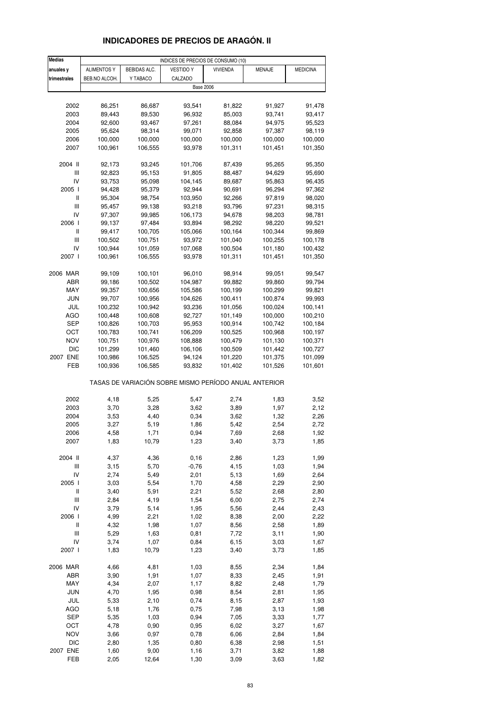# **INDICADORES DE PRECIOS DE ARAGÓN. II**

| <b>Medias</b>                      |                    |                     | INDICES DE PRECIOS DE CONSUMO (10)                    |                    |                    |                    |
|------------------------------------|--------------------|---------------------|-------------------------------------------------------|--------------------|--------------------|--------------------|
| anuales y                          | <b>ALIMENTOS Y</b> | <b>BEBIDAS ALC.</b> | <b>VESTIDO Y</b>                                      | <b>VIVIENDA</b>    | MENAJE             | <b>MEDICINA</b>    |
| trimestrales                       | BEB.NO ALCOH.      | Y TABACO            | CALZADO                                               |                    |                    |                    |
|                                    |                    |                     | <b>Base 2006</b>                                      |                    |                    |                    |
|                                    |                    |                     |                                                       |                    |                    |                    |
| 2002                               | 86,251             | 86,687              | 93,541                                                | 81,822             | 91,927             | 91,478             |
| 2003                               | 89,443             | 89,530              | 96,932                                                | 85,003             | 93,741             | 93,417             |
| 2004                               | 92,600             | 93,467              | 97,261                                                | 88,084             | 94,975             | 95,523             |
| 2005                               | 95,624             | 98,314              | 99,071                                                | 92,858             | 97,387             | 98,119             |
| 2006                               | 100,000            | 100,000             | 100,000                                               | 100,000            | 100,000            | 100,000            |
| 2007                               | 100,961            | 106,555             | 93,978                                                | 101,311            | 101,451            | 101,350            |
|                                    |                    |                     |                                                       |                    |                    |                    |
| 2004 II                            | 92,173             | 93,245              | 101,706                                               | 87,439             | 95,265             | 95,350             |
| Ш                                  | 92,823             | 95,153              | 91,805                                                | 88,487             | 94,629             | 95,690             |
| IV                                 | 93,753             | 95,098              | 104,145                                               | 89,687             | 95,863             | 96,435             |
| 2005 l                             | 94,428             | 95,379              | 92,944                                                | 90,691             | 96,294             | 97,362             |
| Ш                                  | 95,304             | 98,754              | 103,950                                               | 92,266             | 97,819             | 98,020             |
| $\mathsf{III}$                     | 95,457             | 99,138              | 93,218                                                | 93,796             | 97,231             | 98,315             |
| IV                                 | 97,307             | 99,985              | 106,173                                               | 94,678             | 98,203             | 98,781             |
| 2006                               | 99,137             | 97,484              | 93,894                                                | 98,292             | 98,220             | 99,521             |
| Ш                                  | 99,417             | 100,705             | 105,066                                               | 100,164            | 100,344            | 99,869             |
| $\mathsf{III}$                     | 100,502            | 100,751             | 93,972                                                | 101,040            | 100,255            | 100,178            |
| IV                                 | 100,944            | 101,059             | 107,068                                               | 100,504            | 101,180            | 100,432            |
| 2007 l                             | 100,961            | 106,555             | 93,978                                                | 101,311            | 101,451            | 101,350            |
|                                    |                    |                     |                                                       |                    |                    |                    |
| 2006 MAR<br>ABR                    | 99,109<br>99,186   | 100,101<br>100,502  | 96,010<br>104,987                                     | 98,914<br>99,882   | 99,051<br>99,860   | 99,547<br>99,794   |
|                                    |                    |                     |                                                       |                    |                    |                    |
| MAY<br>JUN                         | 99,357             | 100,656             | 105,586                                               | 100,199            | 100,299            | 99,821             |
| JUL                                | 99,707             | 100,956             | 104,626                                               | 100,411            | 100,874            | 99,993             |
| AGO                                | 100,232<br>100,448 | 100,942<br>100,608  | 93,236<br>92,727                                      | 101,056<br>101,149 | 100,024<br>100,000 | 100,141<br>100,210 |
| SEP                                | 100,826            | 100,703             | 95,953                                                | 100,914            | 100,742            | 100,184            |
| ост                                | 100,783            | 100,741             | 106,209                                               | 100,525            | 100,968            | 100,197            |
| NOV                                | 100,751            | 100,976             | 108,888                                               | 100,479            | 101,130            | 100,371            |
| DIC                                | 101,299            | 101,460             | 106,106                                               | 100,509            | 101,442            | 100,727            |
| 2007 ENE                           | 100,986            | 106,525             | 94,124                                                | 101,220            | 101,375            | 101,099            |
| FEB                                | 100,936            | 106,585             | 93,832                                                | 101,402            | 101,526            | 101,601            |
|                                    |                    |                     |                                                       |                    |                    |                    |
|                                    |                    |                     | TASAS DE VARIACIÓN SOBRE MISMO PERÍODO ANUAL ANTERIOR |                    |                    |                    |
| 2002                               | 4,18               | 5,25                | 5,47                                                  | 2,74               | 1,83               | 3,52               |
| 2003                               | 3,70               | 3,28                | 3,62                                                  | 3,89               | 1,97               | 2,12               |
| 2004                               | 3,53               | 4,40                | 0,34                                                  | 3,62               | 1,32               | 2,26               |
| 2005                               | 3,27               | 5,19                | 1,86                                                  | 5,42               | 2,54               | 2,72               |
| 2006                               | 4,58               | 1,71                | 0,94                                                  | 7,69               | 2,68               | 1,92               |
| 2007                               | 1,83               | 10,79               | 1,23                                                  | 3,40               | 3,73               | 1,85               |
|                                    |                    |                     |                                                       |                    |                    |                    |
| 2004 II                            | 4,37               | 4,36                | 0, 16                                                 | 2,86               | 1,23               | 1,99               |
| $\ensuremath{\mathsf{III}}\xspace$ | 3,15               | 5,70                | $-0,76$                                               | 4,15               | 1,03               | 1,94               |
| IV                                 | 2,74               | 5,49                | 2,01                                                  | 5,13               | 1,69               | 2,64               |
| 2005 l                             | 3,03               | 5,54                | 1,70                                                  | 4,58               | 2,29               | 2,90               |
| $\sf II$                           | 3,40               | 5,91                | 2,21                                                  | 5,52               | 2,68               | 2,80               |
| Ш                                  | 2,84               | 4,19                | 1,54                                                  | 6,00               | 2,75               | 2,74               |
| IV                                 | 3,79               | 5,14                | 1,95                                                  | 5,56               | 2,44               | 2,43               |
| 2006 l                             | 4,99               | 2,21                | 1,02                                                  | 8,38               | 2,00               | 2,22               |
| Ш                                  | 4,32               | 1,98                | 1,07                                                  | 8,56               | 2,58               | 1,89               |
| $\ensuremath{\mathsf{III}}\xspace$ | 5,29               | 1,63                | 0,81                                                  | 7,72               | 3,11               | 1,90               |
| IV                                 | 3,74               | 1,07                | 0,84                                                  | 6, 15              | 3,03               | 1,67               |
| 2007 l                             | 1,83               | 10,79               | 1,23                                                  | 3,40               | 3,73               | 1,85               |
| 2006 MAR                           | 4,66               | 4,81                | 1,03                                                  | 8,55               | 2,34               | 1,84               |
| ABR                                | 3,90               | 1,91                | 1,07                                                  | 8,33               | 2,45               | 1,91               |
| MAY                                | 4,34               | 2,07                | 1,17                                                  | 8,82               | 2,48               | 1,79               |
| JUN                                | 4,70               | 1,95                | 0,98                                                  | 8,54               | 2,81               | 1,95               |
| JUL                                | 5,33               | 2,10                | 0,74                                                  | 8,15               | 2,87               | 1,93               |
| <b>AGO</b>                         | 5,18               | 1,76                | 0,75                                                  | 7,98               | 3,13               | 1,98               |
| <b>SEP</b>                         | 5,35               | 1,03                | 0,94                                                  | 7,05               | 3,33               | 1,77               |
| OCT                                | 4,78               | 0,90                | 0,95                                                  | 6,02               | 3,27               | 1,67               |
| <b>NOV</b>                         | 3,66               | 0,97                | 0,78                                                  | 6,06               | 2,84               | 1,84               |
| <b>DIC</b>                         | 2,80               | 1,35                | 0,80                                                  | 6,38               | 2,98               | 1,51               |
| 2007 ENE                           | 1,60               | 9,00                | 1,16                                                  | 3,71               | 3,82               | 1,88               |
| FEB                                | 2,05               | 12,64               | 1,30                                                  | 3,09               | 3,63               | 1,82               |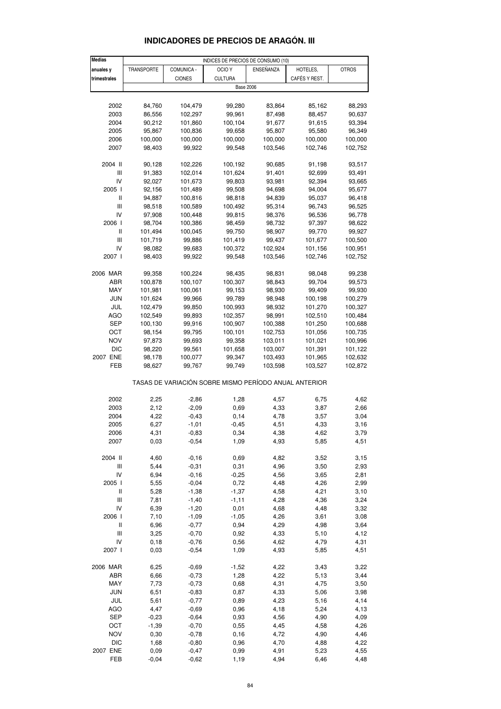| <b>Medias</b>  | INDICES DE PRECIOS DE CONSUMO (10) |                    |                                                       |              |               |              |  |
|----------------|------------------------------------|--------------------|-------------------------------------------------------|--------------|---------------|--------------|--|
| anuales y      | TRANSPORTE                         | COMUNICA -         | OCIO <sub>Y</sub>                                     | ENSEÑANZA    | HOTELES,      | <b>OTROS</b> |  |
| trimestrales   |                                    | <b>CIONES</b>      | <b>CULTURA</b>                                        |              | CAFÉS Y REST. |              |  |
|                |                                    |                    | <b>Base 2006</b>                                      |              |               |              |  |
|                |                                    |                    |                                                       |              |               |              |  |
| 2002           | 84,760                             | 104,479            | 99,280                                                | 83,864       | 85,162        | 88,293       |  |
| 2003           | 86,556                             | 102,297            | 99,961                                                | 87,498       | 88,457        | 90,637       |  |
| 2004           | 90,212                             | 101,860            | 100,104                                               | 91,677       | 91,615        | 93,394       |  |
|                |                                    |                    |                                                       |              |               |              |  |
| 2005           | 95,867                             | 100,836            | 99,658                                                | 95,807       | 95,580        | 96,349       |  |
| 2006           | 100,000                            | 100,000            | 100,000                                               | 100,000      | 100,000       | 100,000      |  |
| 2007           | 98,403                             | 99,922             | 99,548                                                | 103,546      | 102,746       | 102,752      |  |
| 2004 II        | 90,128                             | 102,226            | 100,192                                               | 90,685       | 91,198        | 93,517       |  |
| Ш              | 91,383                             | 102,014            | 101,624                                               | 91,401       | 92,699        | 93,491       |  |
| IV             |                                    |                    |                                                       |              |               |              |  |
|                | 92,027                             | 101,673            | 99,803                                                | 93,981       | 92,394        | 93,665       |  |
| 2005 l         | 92,156                             | 101,489            | 99,508                                                | 94,698       | 94,004        | 95,677       |  |
| Ш              | 94,887                             | 100,816            | 98,818                                                | 94,839       | 95,037        | 96,418       |  |
| $\mathbf{III}$ | 98,518                             | 100,589            | 100,492                                               | 95,314       | 96,743        | 96,525       |  |
| IV             | 97,908                             | 100,448            | 99,815                                                | 98,376       | 96,536        | 96,778       |  |
| 2006           | 98,704                             | 100,386            | 98,459                                                | 98,732       | 97,397        | 98,622       |  |
| Ш              | 101,494                            | 100,045            | 99,750                                                | 98,907       | 99,770        | 99,927       |  |
| $\mathbf{III}$ | 101,719                            | 99,886             | 101,419                                               | 99,437       | 101,677       | 100,500      |  |
| IV             | 98,082                             | 99,683             | 100,372                                               | 102,924      | 101,156       | 100,951      |  |
| 2007 l         | 98,403                             | 99,922             | 99,548                                                | 103,546      | 102,746       | 102,752      |  |
|                |                                    |                    |                                                       |              |               |              |  |
| 2006 MAR       | 99,358                             | 100,224            | 98,435                                                | 98,831       | 98,048        | 99,238       |  |
| ABR            | 100,878                            | 100,107            | 100,307                                               | 98,843       | 99,704        | 99,573       |  |
| MAY            | 101,981                            | 100,061            | 99,153                                                | 98,930       | 99,409        | 99,930       |  |
| <b>JUN</b>     | 101,624                            | 99,966             | 99,789                                                | 98,948       | 100,198       | 100,279      |  |
| JUL            | 102,479                            | 99,850             | 100,993                                               | 98,932       | 101,270       | 100,327      |  |
| <b>AGO</b>     | 102,549                            | 99,893             | 102,357                                               | 98,991       | 102,510       | 100,484      |  |
| <b>SEP</b>     |                                    |                    |                                                       |              |               |              |  |
|                | 100,130                            | 99,916             | 100,907                                               | 100,388      | 101,250       | 100,688      |  |
| ОСТ            | 98,154                             | 99,795             | 100,101                                               | 102,753      | 101,056       | 100,735      |  |
| NOV            | 97,873                             | 99,693             | 99,358                                                | 103,011      | 101,021       | 100,996      |  |
| <b>DIC</b>     | 98,220                             | 99,561             | 101,658                                               | 103,007      | 101,391       | 101,122      |  |
| 2007 ENE       | 98,178                             | 100,077            | 99,347                                                | 103,493      | 101,965       | 102,632      |  |
| FEB            | 98,627                             | 99,767             | 99,749                                                | 103,598      | 103,527       | 102,872      |  |
|                |                                    |                    | TASAS DE VARIACIÓN SOBRE MISMO PERÍODO ANUAL ANTERIOR |              |               |              |  |
|                |                                    |                    |                                                       |              |               |              |  |
| 2002           | 2,25                               | $-2,86$            | 1,28                                                  | 4,57         | 6,75          | 4,62         |  |
| 2003           | 2,12                               | $-2,09$            | 0,69                                                  | 4,33         | 3,87          | 2,66         |  |
| 2004           | 4,22                               | $-0,43$            | 0,14                                                  | 4,78         | 3,57          | 3,04         |  |
| 2005           | 6,27                               | $-1,01$            | $-0,45$                                               | 4,51         | 4,33          | 3,16         |  |
| 2006           | 4,31                               | $-0,83$            | 0,34                                                  | 4,38         | 4,62          | 3,79         |  |
| 2007           | 0,03                               | $-0,54$            | 1,09                                                  | 4,93         | 5,85          | 4,51         |  |
|                |                                    |                    |                                                       |              |               |              |  |
| 2004 II        | 4,60                               | $-0,16$            | 0,69                                                  | 4,82         | 3,52          | 3,15         |  |
| Ш              | 5,44                               | $-0,31$            | 0,31                                                  | 4,96         | 3,50          | 2,93         |  |
| IV             | 6,94                               | $-0,16$            | $-0,25$                                               | 4,56         | 3,65          | 2,81         |  |
| 2005 l         | 5,55                               | $-0,04$            | 0,72                                                  | 4,48         | 4,26          | 2,99         |  |
| Ш              | 5,28                               | $-1,38$            | $-1,37$                                               | 4,58         | 4,21          | 3,10         |  |
| $\mathsf{III}$ | 7,81                               | $-1,40$            | $-1, 11$                                              | 4,28         | 4,36          | 3,24         |  |
| IV             | 6,39                               | $-1,20$            | 0,01                                                  | 4,68         | 4,48          | 3,32         |  |
| 2006 l         | 7,10                               | $-1,09$            | $-1,05$                                               | 4,26         | 3,61          | 3,08         |  |
| Ш              | 6,96                               | $-0,77$            | 0,94                                                  | 4,29         | 4,98          | 3,64         |  |
| $\mathbf{III}$ | 3,25                               | $-0,70$            | 0,92                                                  | 4,33         | 5,10          | 4,12         |  |
| IV             |                                    |                    |                                                       |              |               |              |  |
| 2007 l         | 0, 18<br>0,03                      | $-0,76$<br>$-0,54$ | 0,56<br>1,09                                          | 4,62<br>4,93 | 4,79<br>5,85  | 4,31<br>4,51 |  |
|                |                                    |                    |                                                       |              |               |              |  |
| 2006 MAR       | 6,25                               | $-0,69$            | $-1,52$                                               | 4,22         | 3,43          | 3,22         |  |
| ABR            | 6,66                               | $-0,73$            | 1,28                                                  | 4,22         | 5,13          | 3,44         |  |
| MAY            | 7,73                               | $-0,73$            | 0,68                                                  | 4,31         | 4,75          | 3,50         |  |
| <b>JUN</b>     | 6,51                               | $-0,83$            | 0,87                                                  | 4,33         | 5,06          | 3,98         |  |
|                |                                    |                    |                                                       |              |               |              |  |
| JUL            | 5,61                               | $-0,77$            | 0,89                                                  | 4,23         | 5,16          | 4,14         |  |
| <b>AGO</b>     | 4,47                               | $-0,69$            | 0,96                                                  | 4,18         | 5,24          | 4,13         |  |
| SEP            | $-0,23$                            | $-0,64$            | 0,93                                                  | 4,56         | 4,90          | 4,09         |  |
| OCT            | $-1,39$                            | $-0,70$            | 0,55                                                  | 4,45         | 4,58          | 4,26         |  |
| <b>NOV</b>     | 0,30                               | $-0,78$            | 0, 16                                                 | 4,72         | 4,90          | 4,46         |  |
| <b>DIC</b>     | 1,68                               | $-0,80$            | 0,96                                                  | 4,70         | 4,88          | 4,22         |  |
| 2007 ENE       | 0,09                               | $-0,47$            | 0,99                                                  | 4,91         | 5,23          | 4,55         |  |

### **INDICADORES DE PRECIOS DE ARAGÓN. III**

FEB -0,04 -0,62 1,19 4,94 6,46 4,48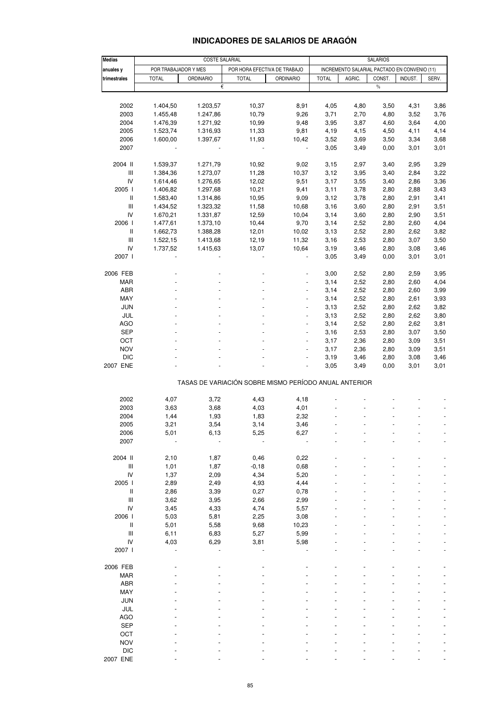# **INDICADORES DE SALARIOS DE ARAGÓN**

| Medias                             |              |                                                       | <b>SALARIOS</b>              |                          |              |                                              |        |         |       |
|------------------------------------|--------------|-------------------------------------------------------|------------------------------|--------------------------|--------------|----------------------------------------------|--------|---------|-------|
| anuales y                          |              | <b>COSTE SALARIAL</b><br>POR TRABAJADOR Y MES         | POR HORA EFECTIVA DE TRABAJO |                          |              | INCREMENTO SALARIAL PACTADO EN CONVENIO (11) |        |         |       |
| trimestrales                       | <b>TOTAL</b> | <b>ORDINARIO</b>                                      | <b>TOTAL</b>                 | <b>ORDINARIO</b>         | <b>TOTAL</b> | AGRIC.                                       | CONST. | INDUST. | SERV. |
|                                    |              | €                                                     |                              |                          |              |                                              | $\%$   |         |       |
|                                    |              |                                                       |                              |                          |              |                                              |        |         |       |
| 2002                               | 1.404,50     | 1.203,57                                              | 10,37                        | 8,91                     | 4,05         | 4,80                                         | 3,50   | 4,31    | 3,86  |
| 2003                               |              |                                                       | 10,79                        |                          |              |                                              |        |         |       |
|                                    | 1.455,48     | 1.247,86                                              |                              | 9,26                     | 3,71         | 2,70                                         | 4,80   | 3,52    | 3,76  |
| 2004                               | 1.476,39     | 1.271,92                                              | 10,99                        | 9,48                     | 3,95         | 3,87                                         | 4,60   | 3,64    | 4,00  |
| 2005                               | 1.523,74     | 1.316,93                                              | 11,33                        | 9,81                     | 4,19         | 4,15                                         | 4,50   | 4,11    | 4,14  |
| 2006                               | 1.600,00     | 1.397,67                                              | 11,93                        | 10,42                    | 3,52         | 3,69                                         | 3,50   | 3,34    | 3,68  |
| 2007                               |              |                                                       | $\blacksquare$               | $\overline{\phantom{a}}$ | 3,05         | 3,49                                         | 0,00   | 3,01    | 3,01  |
| 2004 II                            | 1.539,37     | 1.271,79                                              | 10,92                        | 9,02                     | 3,15         | 2,97                                         | 3,40   | 2,95    | 3,29  |
| $\ensuremath{\mathsf{III}}\xspace$ | 1.384,36     | 1.273,07                                              | 11,28                        | 10,37                    | 3,12         | 3,95                                         | 3,40   | 2,84    | 3,22  |
| IV                                 | 1.614,46     | 1.276,65                                              | 12,02                        | 9,51                     | 3,17         | 3,55                                         | 3,40   | 2,86    | 3,36  |
| 2005 l                             | 1.406,82     | 1.297,68                                              | 10,21                        | 9,41                     | 3,11         | 3,78                                         | 2,80   | 2,88    | 3,43  |
| Ш                                  | 1.583,40     | 1.314,86                                              | 10,95                        | 9,09                     | 3,12         | 3,78                                         |        | 2,91    | 3,41  |
|                                    |              |                                                       |                              |                          |              |                                              | 2,80   |         |       |
| $\ensuremath{\mathsf{III}}\xspace$ | 1.434,52     | 1.323,32                                              | 11,58                        | 10,68                    | 3,16         | 3,60                                         | 2,80   | 2,91    | 3,51  |
| IV                                 | 1.670,21     | 1.331,87                                              | 12,59                        | 10,04                    | 3,14         | 3,60                                         | 2,80   | 2,90    | 3,51  |
| 2006                               | 1.477,61     | 1.373,10                                              | 10,44                        | 9,70                     | 3,14         | 2,52                                         | 2,80   | 2,60    | 4,04  |
| Ш                                  | 1.662,73     | 1.388,28                                              | 12,01                        | 10,02                    | 3,13         | 2,52                                         | 2,80   | 2,62    | 3,82  |
| Ш                                  | 1.522,15     | 1.413,68                                              | 12,19                        | 11,32                    | 3,16         | 2,53                                         | 2,80   | 3,07    | 3,50  |
| IV                                 | 1.737,52     | 1.415,63                                              | 13,07                        | 10,64                    | 3,19         | 3,46                                         | 2,80   | 3,08    | 3,46  |
| 2007 l                             |              |                                                       |                              |                          | 3,05         | 3,49                                         | 0,00   | 3,01    | 3,01  |
|                                    |              |                                                       |                              |                          |              |                                              |        |         |       |
| 2006 FEB                           |              |                                                       |                              |                          | 3,00         | 2,52                                         | 2,80   | 2,59    | 3,95  |
| MAR                                |              |                                                       |                              |                          | 3,14         | 2,52                                         | 2,80   | 2,60    | 4,04  |
| ABR                                |              |                                                       |                              |                          | 3,14         | 2,52                                         | 2,80   | 2,60    | 3,99  |
| MAY                                |              |                                                       | L,                           | ä,                       | 3,14         | 2,52                                         | 2,80   | 2,61    | 3,93  |
| <b>JUN</b>                         |              |                                                       |                              | ä,                       | 3,13         | 2,52                                         | 2,80   | 2,62    | 3,82  |
| JUL                                |              |                                                       |                              | $\overline{a}$           | 3,13         | 2,52                                         | 2,80   | 2,62    | 3,80  |
| AGO                                |              |                                                       | ä,                           | $\blacksquare$           | 3,14         | 2,52                                         | 2,80   | 2,62    | 3,81  |
| <b>SEP</b>                         |              |                                                       |                              |                          | 3,16         | 2,53                                         | 2,80   | 3,07    | 3,50  |
| OCT                                |              |                                                       |                              | $\overline{a}$           | 3,17         | 2,36                                         | 2,80   | 3,09    | 3,51  |
| <b>NOV</b>                         |              |                                                       |                              | ä,                       | 3,17         | 2,36                                         | 2,80   | 3,09    | 3,51  |
| <b>DIC</b>                         |              |                                                       |                              |                          | 3,19         | 3,46                                         | 2,80   | 3,08    | 3,46  |
| 2007 ENE                           |              |                                                       |                              |                          | 3,05         | 3,49                                         | 0,00   | 3,01    | 3,01  |
|                                    |              | TASAS DE VARIACIÓN SOBRE MISMO PERÍODO ANUAL ANTERIOR |                              |                          |              |                                              |        |         |       |
|                                    |              |                                                       |                              |                          |              |                                              |        |         |       |
| 2002                               | 4,07         | 3,72                                                  | 4,43                         | 4,18                     |              |                                              |        |         |       |
| 2003                               | 3,63         | 3,68                                                  | 4,03                         | 4,01                     |              |                                              |        |         |       |
| 2004                               | 1,44         | 1,93                                                  | 1,83                         | 2,32                     |              |                                              |        |         |       |
| 2005                               | 3,21         | 3,54                                                  | 3,14                         | 3,46                     |              |                                              |        |         |       |
| 2006                               | 5,01         | 6,13                                                  | 5,25                         | 6,27                     |              |                                              |        |         |       |
| 2007                               |              |                                                       |                              |                          |              |                                              |        |         |       |
|                                    |              |                                                       |                              |                          |              |                                              |        |         |       |
| 2004 II                            | 2,10         | 1,87                                                  | 0,46                         | 0,22                     |              |                                              |        |         |       |
| $\ensuremath{\mathsf{III}}\xspace$ | 1,01         | 1,87                                                  | $-0,18$                      | 0,68                     |              |                                              |        |         |       |
| IV                                 | 1,37         | 2,09                                                  | 4,34                         | 5,20                     |              |                                              |        |         |       |
| 2005 l                             | 2,89         | 2,49                                                  | 4,93                         | 4,44                     |              |                                              |        |         |       |
| Ш                                  | 2,86         | 3,39                                                  | 0,27                         | 0,78                     |              |                                              |        |         |       |
| $\mathbf{III}$                     | 3,62         | 3,95                                                  | 2,66                         | 2,99                     |              |                                              |        |         |       |
| IV                                 | 3,45         | 4,33                                                  | 4,74                         | 5,57                     |              |                                              |        |         |       |
| 2006                               | 5,03         | 5,81                                                  | 2,25                         | 3,08                     |              |                                              |        |         |       |
| Ш                                  | 5,01         | 5,58                                                  | 9,68                         | 10,23                    |              |                                              |        |         |       |
| $\ensuremath{\mathsf{III}}\xspace$ | 6,11         | 6,83                                                  | 5,27                         | 5,99                     |              |                                              |        |         |       |
| IV                                 | 4,03         | 6,29                                                  | 3,81                         | 5,98                     |              |                                              |        |         |       |
| 2007 l                             |              |                                                       |                              |                          |              |                                              |        |         |       |
|                                    |              |                                                       |                              |                          |              |                                              |        |         |       |
| 2006 FEB                           |              |                                                       |                              |                          |              |                                              |        |         |       |
| MAR                                |              |                                                       |                              |                          |              |                                              |        |         |       |
| ABR                                |              |                                                       |                              |                          |              |                                              |        |         |       |
| MAY                                |              |                                                       |                              |                          |              |                                              |        |         |       |
| <b>JUN</b>                         |              |                                                       |                              |                          |              |                                              |        |         |       |
| JUL                                |              |                                                       |                              |                          |              |                                              |        |         |       |
| <b>AGO</b>                         |              |                                                       |                              |                          |              |                                              |        |         |       |
| <b>SEP</b>                         |              |                                                       |                              |                          |              |                                              |        |         |       |
| OCT                                |              |                                                       |                              |                          |              |                                              |        |         |       |
| <b>NOV</b>                         |              |                                                       |                              |                          |              |                                              |        |         |       |
| <b>DIC</b>                         |              |                                                       |                              |                          |              |                                              |        |         |       |
| 2007 ENE                           |              |                                                       |                              |                          |              |                                              |        |         |       |
|                                    |              |                                                       |                              |                          |              |                                              |        |         |       |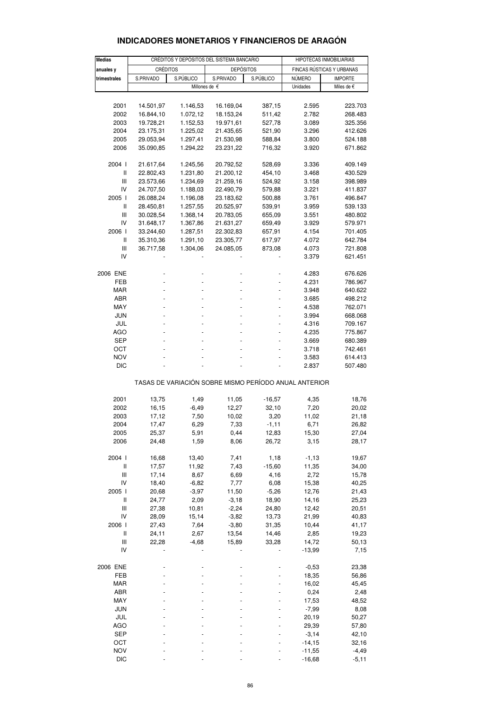| Medias                                |                 | CRÉDITOS Y DEPÓSITOS DEL SISTEMA BANCARIO |                                                       | HIPOTECAS INMOBILIARIAS |                |                           |
|---------------------------------------|-----------------|-------------------------------------------|-------------------------------------------------------|-------------------------|----------------|---------------------------|
| anuales y                             | <b>CRÉDITOS</b> |                                           | <b>DEPÓSITOS</b>                                      |                         |                | FINCAS RÚSTICAS Y URBANAS |
| trimestrales                          | S.PRIVADO       | S.PÚBLICO                                 | S.PRIVADO                                             | S.PÚBLICO               | <b>NÚMERO</b>  | <b>IMPORTE</b>            |
|                                       |                 |                                           | Millones de €                                         |                         | Unidades       | Miles de €                |
|                                       |                 |                                           |                                                       |                         |                |                           |
| 2001                                  | 14.501,97       | 1.146,53                                  | 16.169,04                                             | 387,15                  | 2.595          | 223.703                   |
| 2002                                  | 16.844,10       | 1.072,12                                  | 18.153,24                                             | 511,42                  | 2.782          | 268.483                   |
| 2003                                  | 19.728,21       | 1.152,53                                  | 19.971,61                                             | 527,78                  | 3.089          | 325.356                   |
| 2004                                  | 23.175,31       | 1.225,02                                  | 21.435,65                                             | 521,90                  | 3.296          | 412.626                   |
| 2005                                  | 29.053,94       | 1.297,41                                  | 21.530,98                                             | 588,84                  | 3.800          | 524.188                   |
| 2006                                  | 35.090,85       | 1.294,22                                  | 23.231,22                                             | 716,32                  | 3.920          | 671.862                   |
| 2004 l                                | 21.617,64       | 1.245,56                                  | 20.792,52                                             | 528,69                  | 3.336          | 409.149                   |
| Ш                                     | 22.802,43       | 1.231,80                                  | 21.200,12                                             | 454,10                  | 3.468          | 430.529                   |
| Ш                                     | 23.573,66       | 1.234,69                                  | 21.259,16                                             | 524,92                  | 3.158          | 398.989                   |
| IV                                    | 24.707,50       | 1.188,03                                  | 22.490,79                                             | 579,88                  | 3.221          | 411.837                   |
| 2005 l                                | 26.088,24       | 1.196,08                                  | 23.183,62                                             | 500,88                  | 3.761          | 496.847                   |
| Ш                                     | 28.450,81       | 1.257,55                                  | 20.525,97                                             | 539,91                  | 3.959          | 539.133                   |
| Ш                                     | 30.028,54       | 1.368,14                                  | 20.783,05                                             | 655,09                  | 3.551          | 480.802                   |
| IV                                    | 31.648,17       | 1.367,86                                  | 21.631,27                                             | 659,49                  | 3.929          | 579.971                   |
| 2006                                  | 33.244,60       | 1.287,51                                  | 22.302,83                                             | 657,91                  | 4.154          | 701.405                   |
| $\mathbf{I}$                          | 35.310,36       | 1.291,10                                  | 23.305,77                                             | 617,97                  | 4.072          | 642.784                   |
| Ш<br>IV                               | 36.717,58       | 1.304,06                                  | 24.085,05                                             | 873,08                  | 4.073<br>3.379 | 721.808<br>621.451        |
|                                       |                 |                                           |                                                       |                         |                |                           |
| 2006 ENE                              |                 |                                           |                                                       |                         | 4.283          | 676.626                   |
| FEB                                   |                 |                                           |                                                       |                         | 4.231          | 786.967                   |
| <b>MAR</b>                            |                 |                                           |                                                       |                         | 3.948          | 640.622                   |
| ABR                                   | ÷,              |                                           | ٠                                                     | ÷,                      | 3.685          | 498.212                   |
| MAY                                   |                 |                                           |                                                       |                         | 4.538          | 762.071                   |
| JUN                                   |                 |                                           |                                                       |                         | 3.994          | 668.068                   |
| JUL                                   | ÷,              |                                           | ۰                                                     | ÷,                      | 4.316          | 709.167                   |
| AGO                                   |                 |                                           |                                                       |                         | 4.235          | 775.867                   |
| SEP                                   |                 |                                           |                                                       |                         | 3.669          | 680.389                   |
| OCT<br><b>NOV</b>                     |                 |                                           |                                                       |                         | 3.718<br>3.583 | 742.461<br>614.413        |
| <b>DIC</b>                            |                 |                                           |                                                       |                         | 2.837          | 507.480                   |
|                                       |                 |                                           |                                                       |                         |                |                           |
|                                       |                 |                                           | TASAS DE VARIACIÓN SOBRE MISMO PERÍODO ANUAL ANTERIOR |                         |                |                           |
|                                       |                 |                                           |                                                       |                         |                |                           |
| 2001                                  | 13,75           | 1,49                                      | 11,05                                                 | $-16,57$                | 4,35           | 18,76                     |
| 2002<br>2003                          | 16,15<br>17,12  | $-6,49$<br>7,50                           | 12,27<br>10,02                                        | 32,10<br>3,20           | 7,20<br>11,02  | 20,02<br>21,18            |
| 2004                                  | 17,47           | 6,29                                      | 7,33                                                  | $-1,11$                 | 6,71           | 26,82                     |
| 2005                                  | 25,37           | 5,91                                      | 0,44                                                  | 12,83                   | 15,30          | 27,04                     |
| 2006                                  | 24,48           | 1,59                                      | 8,06                                                  | 26,72                   | 3,15           | 28,17                     |
|                                       |                 |                                           |                                                       |                         |                |                           |
| 2004 l                                | 16,68           | 13,40                                     | 7,41                                                  | 1,18                    | $-1, 13$       | 19,67                     |
| $\sf II$                              | 17,57           | 11,92                                     | 7,43                                                  | $-15,60$                | 11,35          | 34,00                     |
| $\begin{array}{c} \hline \end{array}$ | 17,14           | 8,67                                      | 6,69                                                  | 4,16                    | 2,72           | 15,78                     |
| IV                                    | 18,40           | $-6,82$                                   | 7,77                                                  | 6,08                    | 15,38          | 40,25                     |
| 2005 l<br>$\sf II$                    | 20,68           | $-3,97$                                   | 11,50                                                 | $-5,26$                 | 12,76          | 21,43                     |
| Ш                                     | 24,77<br>27,38  | 2,09<br>10,81                             | $-3,18$<br>$-2,24$                                    | 18,90<br>24,80          | 14,16<br>12,42 | 25,23<br>20,51            |
| IV                                    | 28,09           | 15,14                                     | $-3,82$                                               | 13,73                   | 21,99          | 40,83                     |
| 2006 l                                | 27,43           | 7,64                                      | $-3,80$                                               | 31,35                   | 10,44          | 41,17                     |
| Ш                                     | 24,11           | 2,67                                      | 13,54                                                 | 14,46                   | 2,85           | 19,23                     |
| Ш                                     | 22,28           | $-4,68$                                   | 15,89                                                 | 33,28                   | 14,72          | 50,13                     |
| IV                                    |                 |                                           |                                                       |                         | $-13,99$       | 7,15                      |
|                                       |                 |                                           |                                                       |                         |                |                           |
| 2006 ENE                              |                 |                                           |                                                       |                         | $-0,53$        | 23,38                     |
| FEB                                   |                 |                                           |                                                       |                         | 18,35          | 56,86                     |
| <b>MAR</b>                            |                 |                                           |                                                       |                         | 16,02          | 45,45                     |
| ABR<br>MAY                            |                 |                                           |                                                       |                         | 0,24<br>17,53  | 2,48<br>48,52             |
| <b>JUN</b>                            |                 |                                           |                                                       |                         | $-7,99$        | 8,08                      |
| JUL                                   |                 |                                           |                                                       |                         | 20,19          | 50,27                     |
| <b>AGO</b>                            |                 |                                           |                                                       |                         | 29,39          | 57,80                     |
| <b>SEP</b>                            |                 |                                           |                                                       |                         | $-3,14$        | 42,10                     |
| ОСТ                                   |                 |                                           |                                                       |                         | $-14, 15$      | 32,16                     |
| <b>NOV</b>                            |                 |                                           |                                                       |                         | $-11,55$       | $-4,49$                   |
| <b>DIC</b>                            |                 |                                           |                                                       |                         | $-16,68$       | $-5,11$                   |